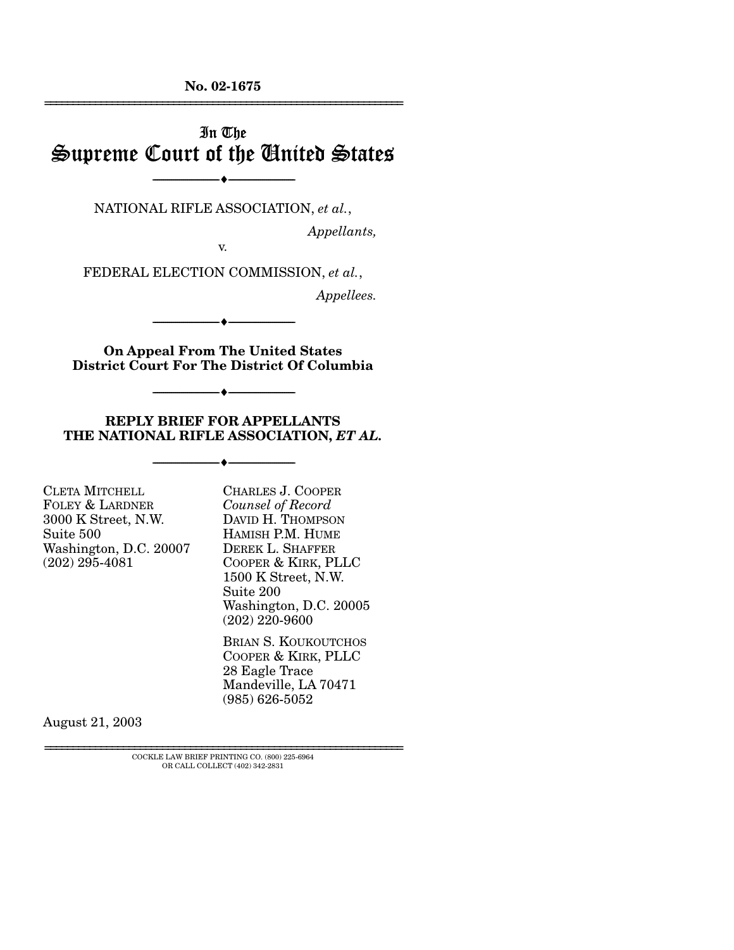**No. 02-1675**  ================================================================

# In The Supreme Court of the United States

NATIONAL RIFLE ASSOCIATION, *et al.*,

----------------------------- ------------------------------

 $\bullet$   $-$ 

*Appellants,* 

v.

FEDERAL ELECTION COMMISSION, *et al.*,

*Appellees.* 

**On Appeal From The United States District Court For The District Of Columbia** 

----------------------------- ------------------------------

----------------------------- ------------------------------

----♦-- -

----♦-- -

----♦-- -

**REPLY BRIEF FOR APPELLANTS THE NATIONAL RIFLE ASSOCIATION,** *ET AL.* 

----------------------------- ------------------------------

CLETA MITCHELL FOLEY & LARDNER 3000 K Street, N.W. Suite 500 Washington, D.C. 20007 (202) 295-4081

CHARLES J. COOPER *Counsel of Record*  DAVID H. THOMPSON HAMISH P.M. HUME DEREK L. SHAFFER COOPER & KIRK, PLLC 1500 K Street, N.W. Suite 200 Washington, D.C. 20005 (202) 220-9600

BRIAN S. KOUKOUTCHOS COOPER & KIRK, PLLC 28 Eagle Trace Mandeville, LA 70471 (985) 626-5052

August 21, 2003

 ${\rm COCKLE}$  LAW BRIEF PRINTING CO. (800) 225-6964 OR CALL COLLECT (402) 342-2831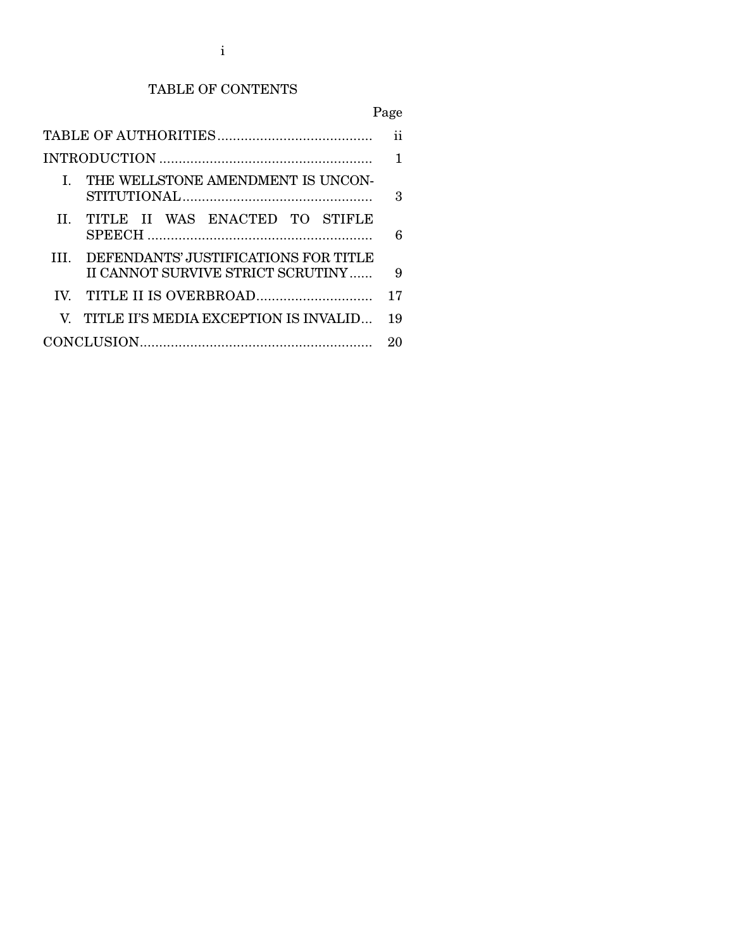# TABLE OF CONTENTS

#### Page

|   | I. THE WELLSTONE AMENDMENT IS UNCON-                                      | 3  |  |
|---|---------------------------------------------------------------------------|----|--|
|   | II TITLE II WAS ENACTED TO STIFLE                                         |    |  |
| Ш | DEFENDANTS' JUSTIFICATIONS FOR TITLE<br>II CANNOT SURVIVE STRICT SCRUTINY | 9  |  |
|   |                                                                           | 17 |  |
|   | V. TITLE II'S MEDIA EXCEPTION IS INVALID                                  | 19 |  |
|   |                                                                           |    |  |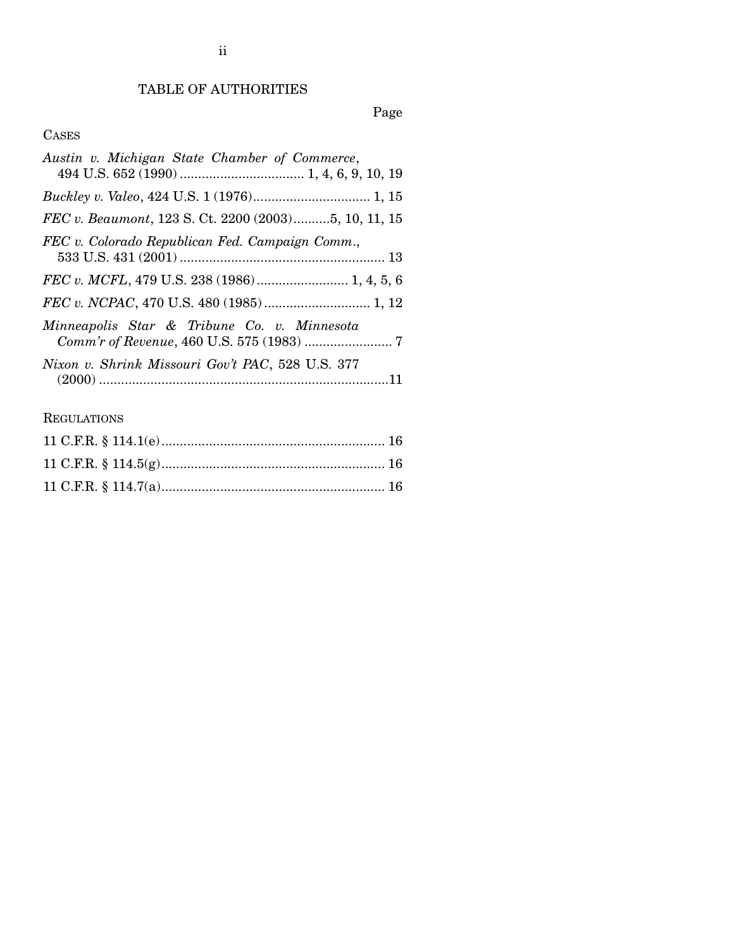# TABLE OF AUTHORITIES

# Page

# CASES

| Austin v. Michigan State Chamber of Commerce,        |
|------------------------------------------------------|
|                                                      |
| FEC v. Beaumont, 123 S. Ct. 2200 (2003)5, 10, 11, 15 |
| FEC v. Colorado Republican Fed. Campaign Comm.,      |
| FEC v. MCFL, 479 U.S. 238 (1986) 1, 4, 5, 6          |
|                                                      |
| Minneapolis Star & Tribune Co. v. Minnesota          |
| Nixon v. Shrink Missouri Gov't PAC, 528 U.S. 377     |

# REGULATIONS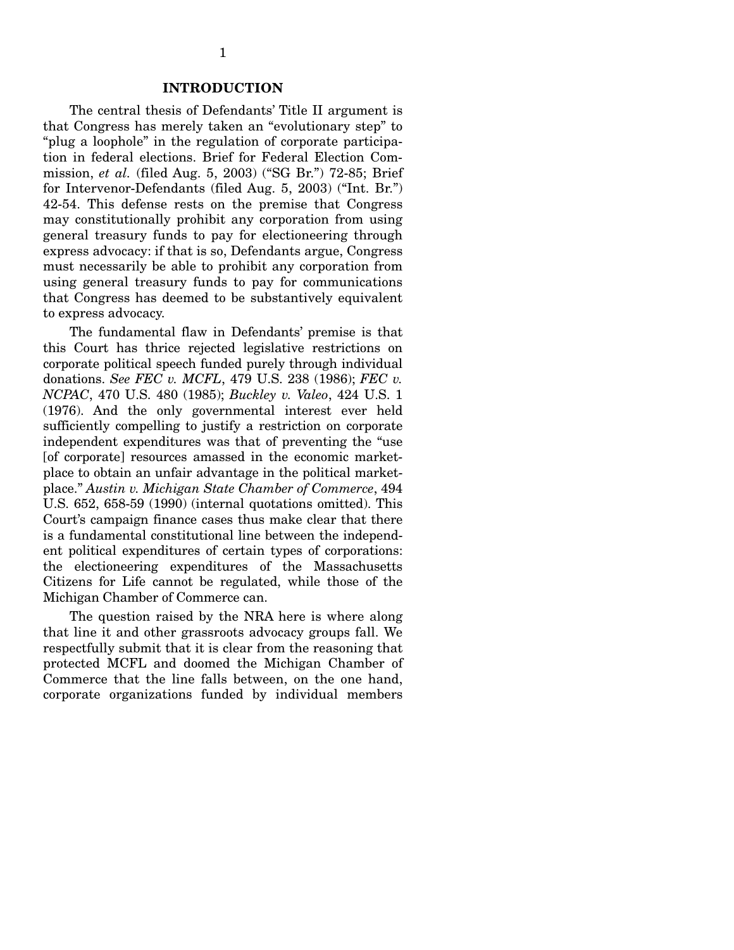### **INTRODUCTION**

The central thesis of Defendants' Title II argument is that Congress has merely taken an "evolutionary step" to "plug a loophole" in the regulation of corporate participation in federal elections. Brief for Federal Election Commission, *et al.* (filed Aug. 5, 2003) ("SG Br.") 72-85; Brief for Intervenor-Defendants (filed Aug. 5, 2003) ("Int. Br.") 42-54. This defense rests on the premise that Congress may constitutionally prohibit any corporation from using general treasury funds to pay for electioneering through express advocacy: if that is so, Defendants argue, Congress must necessarily be able to prohibit any corporation from using general treasury funds to pay for communications that Congress has deemed to be substantively equivalent to express advocacy.

The fundamental flaw in Defendants' premise is that this Court has thrice rejected legislative restrictions on corporate political speech funded purely through individual donations. *See FEC v. MCFL*, 479 U.S. 238 (1986); *FEC v. NCPAC*, 470 U.S. 480 (1985); *Buckley v. Valeo*, 424 U.S. 1 (1976). And the only governmental interest ever held sufficiently compelling to justify a restriction on corporate independent expenditures was that of preventing the "use [of corporate] resources amassed in the economic marketplace to obtain an unfair advantage in the political marketplace." *Austin v. Michigan State Chamber of Commerce*, 494 U.S. 652, 658-59 (1990) (internal quotations omitted). This Court's campaign finance cases thus make clear that there is a fundamental constitutional line between the independent political expenditures of certain types of corporations: the electioneering expenditures of the Massachusetts Citizens for Life cannot be regulated, while those of the Michigan Chamber of Commerce can.

The question raised by the NRA here is where along that line it and other grassroots advocacy groups fall. We respectfully submit that it is clear from the reasoning that protected MCFL and doomed the Michigan Chamber of Commerce that the line falls between, on the one hand, corporate organizations funded by individual members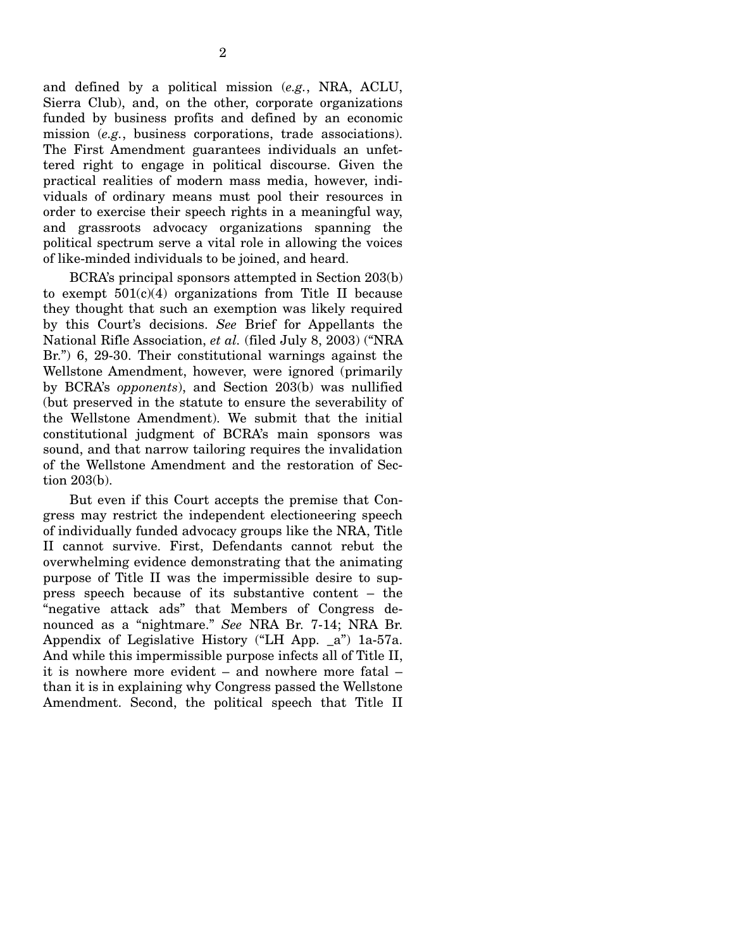and defined by a political mission (*e.g.*, NRA, ACLU, Sierra Club), and, on the other, corporate organizations funded by business profits and defined by an economic mission (*e.g.*, business corporations, trade associations). The First Amendment guarantees individuals an unfettered right to engage in political discourse. Given the practical realities of modern mass media, however, individuals of ordinary means must pool their resources in order to exercise their speech rights in a meaningful way, and grassroots advocacy organizations spanning the political spectrum serve a vital role in allowing the voices of like-minded individuals to be joined, and heard.

BCRA's principal sponsors attempted in Section 203(b) to exempt  $501(c)(4)$  organizations from Title II because they thought that such an exemption was likely required by this Court's decisions. *See* Brief for Appellants the National Rifle Association, *et al.* (filed July 8, 2003) ("NRA Br.") 6, 29-30. Their constitutional warnings against the Wellstone Amendment, however, were ignored (primarily by BCRA's *opponents*), and Section 203(b) was nullified (but preserved in the statute to ensure the severability of the Wellstone Amendment). We submit that the initial constitutional judgment of BCRA's main sponsors was sound, and that narrow tailoring requires the invalidation of the Wellstone Amendment and the restoration of Section 203(b).

But even if this Court accepts the premise that Congress may restrict the independent electioneering speech of individually funded advocacy groups like the NRA, Title II cannot survive. First, Defendants cannot rebut the overwhelming evidence demonstrating that the animating purpose of Title II was the impermissible desire to suppress speech because of its substantive content – the "negative attack ads" that Members of Congress denounced as a "nightmare." *See* NRA Br. 7-14; NRA Br. Appendix of Legislative History ("LH App. \_a") 1a-57a. And while this impermissible purpose infects all of Title II, it is nowhere more evident – and nowhere more fatal – than it is in explaining why Congress passed the Wellstone Amendment. Second, the political speech that Title II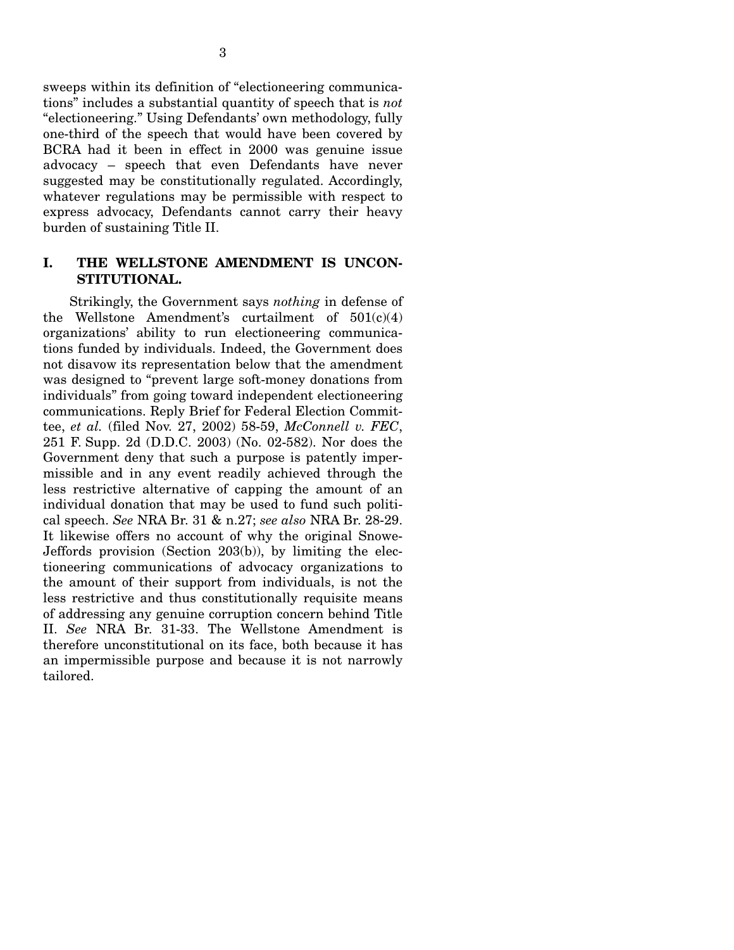sweeps within its definition of "electioneering communications" includes a substantial quantity of speech that is *not*  "electioneering." Using Defendants' own methodology, fully one-third of the speech that would have been covered by BCRA had it been in effect in 2000 was genuine issue advocacy – speech that even Defendants have never suggested may be constitutionally regulated. Accordingly, whatever regulations may be permissible with respect to express advocacy, Defendants cannot carry their heavy burden of sustaining Title II.

## **I. THE WELLSTONE AMENDMENT IS UNCON-STITUTIONAL.**

Strikingly, the Government says *nothing* in defense of the Wellstone Amendment's curtailment of  $501(c)(4)$ organizations' ability to run electioneering communications funded by individuals. Indeed, the Government does not disavow its representation below that the amendment was designed to "prevent large soft-money donations from individuals" from going toward independent electioneering communications. Reply Brief for Federal Election Committee, *et al.* (filed Nov. 27, 2002) 58-59, *McConnell v. FEC*, 251 F. Supp. 2d (D.D.C. 2003) (No. 02-582). Nor does the Government deny that such a purpose is patently impermissible and in any event readily achieved through the less restrictive alternative of capping the amount of an individual donation that may be used to fund such political speech. *See* NRA Br. 31 & n.27; *see also* NRA Br. 28-29. It likewise offers no account of why the original Snowe-Jeffords provision (Section 203(b)), by limiting the electioneering communications of advocacy organizations to the amount of their support from individuals, is not the less restrictive and thus constitutionally requisite means of addressing any genuine corruption concern behind Title II. *See* NRA Br. 31-33. The Wellstone Amendment is therefore unconstitutional on its face, both because it has an impermissible purpose and because it is not narrowly tailored.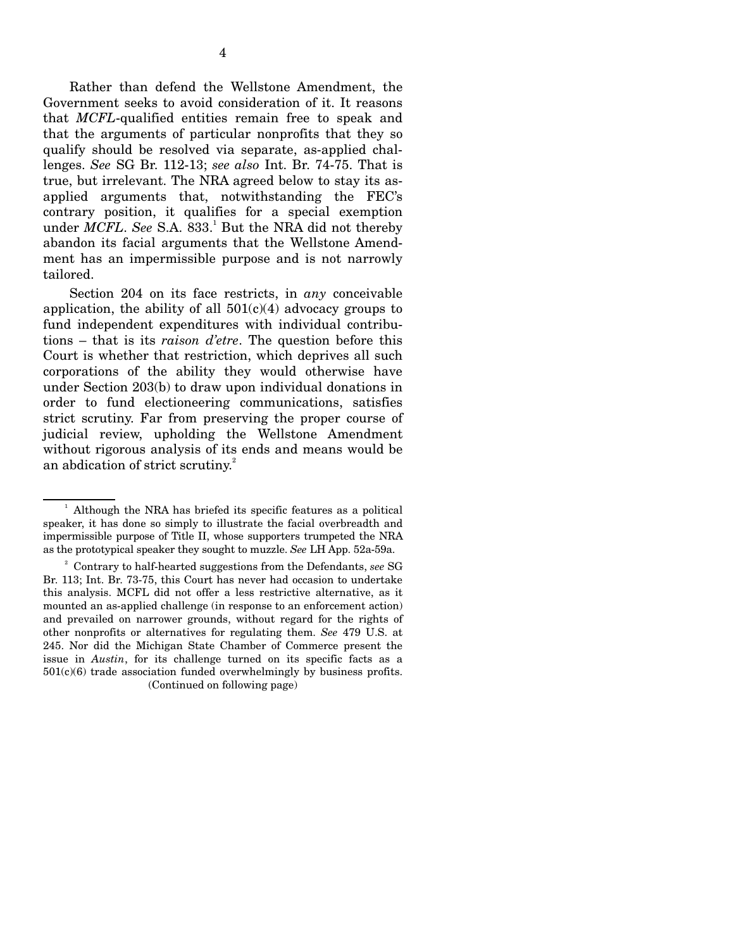Rather than defend the Wellstone Amendment, the Government seeks to avoid consideration of it. It reasons that *MCFL*-qualified entities remain free to speak and that the arguments of particular nonprofits that they so qualify should be resolved via separate, as-applied challenges. *See* SG Br. 112-13; *see also* Int. Br. 74-75. That is true, but irrelevant. The NRA agreed below to stay its asapplied arguments that, notwithstanding the FEC's contrary position, it qualifies for a special exemption under *MCFL*. See S.A. 833.<sup>1</sup> But the NRA did not thereby abandon its facial arguments that the Wellstone Amendment has an impermissible purpose and is not narrowly tailored.

Section 204 on its face restricts, in *any* conceivable application, the ability of all  $501(c)(4)$  advocacy groups to fund independent expenditures with individual contributions – that is its *raison d'etre*. The question before this Court is whether that restriction, which deprives all such corporations of the ability they would otherwise have under Section 203(b) to draw upon individual donations in order to fund electioneering communications, satisfies strict scrutiny. Far from preserving the proper course of judicial review, upholding the Wellstone Amendment without rigorous analysis of its ends and means would be an abdication of strict scrutiny.<sup>2</sup>

 $1$  Although the NRA has briefed its specific features as a political speaker, it has done so simply to illustrate the facial overbreadth and impermissible purpose of Title II, whose supporters trumpeted the NRA as the prototypical speaker they sought to muzzle. *See* LH App. 52a-59a.

<sup>2</sup> Contrary to half-hearted suggestions from the Defendants, *see* SG Br. 113; Int. Br. 73-75, this Court has never had occasion to undertake this analysis. MCFL did not offer a less restrictive alternative, as it mounted an as-applied challenge (in response to an enforcement action) and prevailed on narrower grounds, without regard for the rights of other nonprofits or alternatives for regulating them. *See* 479 U.S. at 245. Nor did the Michigan State Chamber of Commerce present the issue in *Austin*, for its challenge turned on its specific facts as a  $501(c)(6)$  trade association funded overwhelmingly by business profits. (Continued on following page)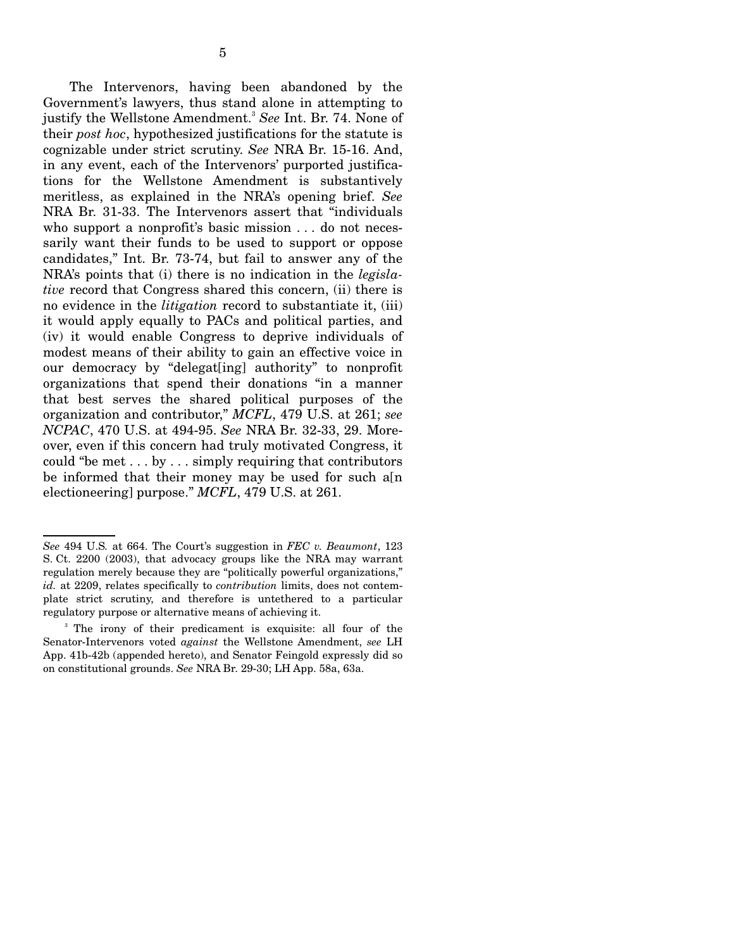The Intervenors, having been abandoned by the Government's lawyers, thus stand alone in attempting to justify the Wellstone Amendment.<sup>3</sup>*See* Int. Br. 74. None of their *post hoc*, hypothesized justifications for the statute is cognizable under strict scrutiny. *See* NRA Br. 15-16. And, in any event, each of the Intervenors' purported justifications for the Wellstone Amendment is substantively meritless, as explained in the NRA's opening brief. *See*  NRA Br. 31-33. The Intervenors assert that "individuals who support a nonprofit's basic mission . . . do not necessarily want their funds to be used to support or oppose candidates," Int. Br. 73-74, but fail to answer any of the NRA's points that (i) there is no indication in the *legislative* record that Congress shared this concern, (ii) there is no evidence in the *litigation* record to substantiate it, (iii) it would apply equally to PACs and political parties, and (iv) it would enable Congress to deprive individuals of modest means of their ability to gain an effective voice in our democracy by "delegat[ing] authority" to nonprofit organizations that spend their donations "in a manner that best serves the shared political purposes of the organization and contributor," *MCFL*, 479 U.S. at 261; *see NCPAC*, 470 U.S. at 494-95. *See* NRA Br. 32-33, 29. Moreover, even if this concern had truly motivated Congress, it could "be met . . . by . . . simply requiring that contributors be informed that their money may be used for such  $a[n]$ electioneering] purpose." *MCFL*, 479 U.S. at 261.

*See* 494 U.S*.* at 664. The Court's suggestion in *FEC v. Beaumont*, 123 S. Ct. 2200 (2003), that advocacy groups like the NRA may warrant regulation merely because they are "politically powerful organizations," *id.* at 2209, relates specifically to *contribution* limits, does not contemplate strict scrutiny, and therefore is untethered to a particular regulatory purpose or alternative means of achieving it.

<sup>&</sup>lt;sup>3</sup> The irony of their predicament is exquisite: all four of the Senator-Intervenors voted *against* the Wellstone Amendment, *see* LH App. 41b-42b (appended hereto), and Senator Feingold expressly did so on constitutional grounds. *See* NRA Br. 29-30; LH App. 58a, 63a.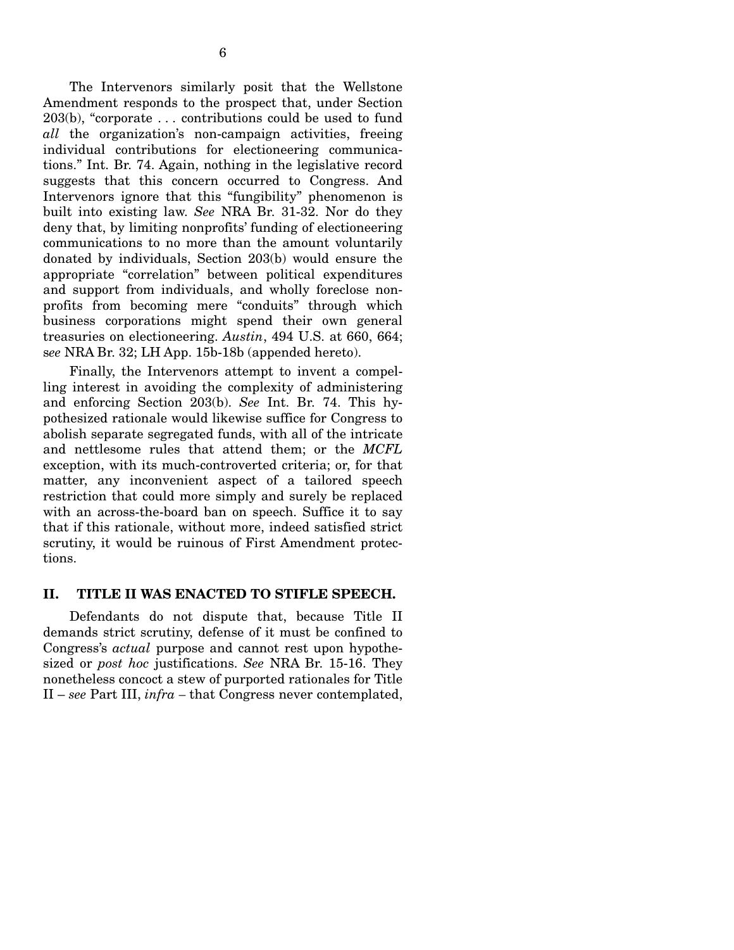The Intervenors similarly posit that the Wellstone Amendment responds to the prospect that, under Section 203(b), "corporate . . . contributions could be used to fund *all* the organization's non-campaign activities, freeing individual contributions for electioneering communications." Int. Br. 74. Again, nothing in the legislative record suggests that this concern occurred to Congress. And Intervenors ignore that this "fungibility" phenomenon is built into existing law. *See* NRA Br. 31-32. Nor do they deny that, by limiting nonprofits' funding of electioneering communications to no more than the amount voluntarily donated by individuals, Section 203(b) would ensure the appropriate "correlation" between political expenditures and support from individuals, and wholly foreclose nonprofits from becoming mere "conduits" through which business corporations might spend their own general treasuries on electioneering. *Austin*, 494 U.S. at 660, 664; s*ee* NRA Br. 32; LH App. 15b-18b (appended hereto).

Finally, the Intervenors attempt to invent a compelling interest in avoiding the complexity of administering and enforcing Section 203(b). *See* Int. Br. 74. This hypothesized rationale would likewise suffice for Congress to abolish separate segregated funds, with all of the intricate and nettlesome rules that attend them; or the *MCFL*  exception, with its much-controverted criteria; or, for that matter, any inconvenient aspect of a tailored speech restriction that could more simply and surely be replaced with an across-the-board ban on speech. Suffice it to say that if this rationale, without more, indeed satisfied strict scrutiny, it would be ruinous of First Amendment protections.

## **II. TITLE II WAS ENACTED TO STIFLE SPEECH.**

Defendants do not dispute that, because Title II demands strict scrutiny, defense of it must be confined to Congress's *actual* purpose and cannot rest upon hypothesized or *post hoc* justifications. *See* NRA Br. 15-16. They nonetheless concoct a stew of purported rationales for Title II – *see* Part III, *infra –* that Congress never contemplated,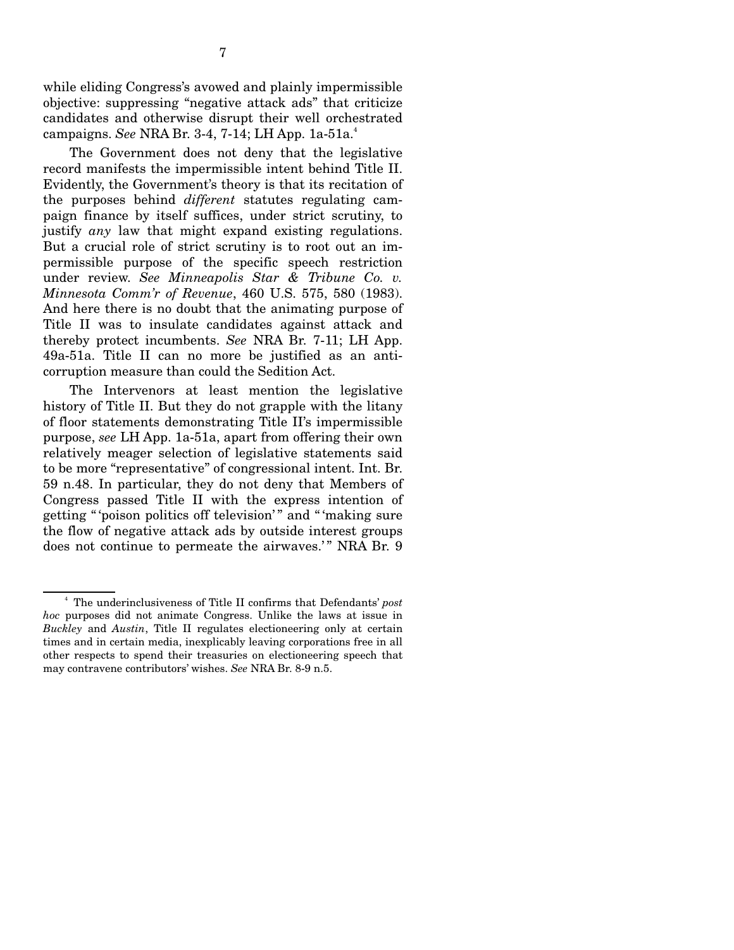while eliding Congress's avowed and plainly impermissible objective: suppressing "negative attack ads" that criticize candidates and otherwise disrupt their well orchestrated campaigns. *See* NRA Br. 3-4, 7-14; LH App. 1a-51a.4

The Government does not deny that the legislative record manifests the impermissible intent behind Title II. Evidently, the Government's theory is that its recitation of the purposes behind *different* statutes regulating campaign finance by itself suffices, under strict scrutiny, to justify *any* law that might expand existing regulations. But a crucial role of strict scrutiny is to root out an impermissible purpose of the specific speech restriction under review. *See Minneapolis Star & Tribune Co. v. Minnesota Comm'r of Revenue*, 460 U.S. 575, 580 (1983). And here there is no doubt that the animating purpose of Title II was to insulate candidates against attack and thereby protect incumbents. *See* NRA Br. 7-11; LH App. 49a-51a. Title II can no more be justified as an anticorruption measure than could the Sedition Act.

The Intervenors at least mention the legislative history of Title II. But they do not grapple with the litany of floor statements demonstrating Title II's impermissible purpose, *see* LH App. 1a-51a, apart from offering their own relatively meager selection of legislative statements said to be more "representative" of congressional intent. Int. Br. 59 n.48. In particular, they do not deny that Members of Congress passed Title II with the express intention of getting " 'poison politics off television'" and " 'making sure the flow of negative attack ads by outside interest groups does not continue to permeate the airwaves.'" NRA Br. 9

<sup>4</sup> The underinclusiveness of Title II confirms that Defendants' *post hoc* purposes did not animate Congress. Unlike the laws at issue in *Buckley* and *Austin*, Title II regulates electioneering only at certain times and in certain media, inexplicably leaving corporations free in all other respects to spend their treasuries on electioneering speech that may contravene contributors' wishes. *See* NRA Br. 8-9 n.5.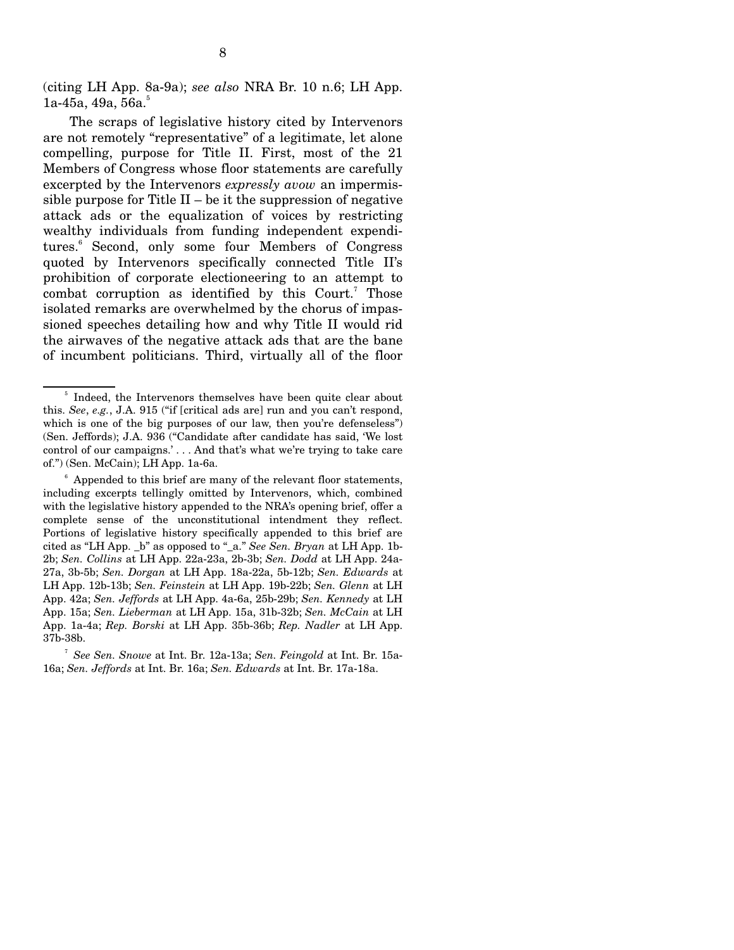(citing LH App. 8a-9a); *see also* NRA Br. 10 n.6; LH App.  $1a-45a, 49a, 56a.5$ 

The scraps of legislative history cited by Intervenors are not remotely "representative" of a legitimate, let alone compelling, purpose for Title II. First, most of the 21 Members of Congress whose floor statements are carefully excerpted by the Intervenors *expressly avow* an impermissible purpose for Title  $II - be$  it the suppression of negative attack ads or the equalization of voices by restricting wealthy individuals from funding independent expenditures.<sup>6</sup> Second, only some four Members of Congress quoted by Intervenors specifically connected Title II's prohibition of corporate electioneering to an attempt to combat corruption as identified by this Court.<sup>7</sup> Those isolated remarks are overwhelmed by the chorus of impassioned speeches detailing how and why Title II would rid the airwaves of the negative attack ads that are the bane of incumbent politicians. Third, virtually all of the floor

<sup>&</sup>lt;sup>5</sup> Indeed, the Intervenors themselves have been quite clear about this. *See*, *e.g.*, J.A. 915 ("if [critical ads are] run and you can't respond, which is one of the big purposes of our law, then you're defenseless" (Sen. Jeffords); J.A. 936 ("Candidate after candidate has said, 'We lost control of our campaigns.' . . . And that's what we're trying to take care of.") (Sen. McCain); LH App. 1a-6a.

Appended to this brief are many of the relevant floor statements, including excerpts tellingly omitted by Intervenors, which, combined with the legislative history appended to the NRA's opening brief, offer a complete sense of the unconstitutional intendment they reflect. Portions of legislative history specifically appended to this brief are cited as "LH App. \_b" as opposed to "\_a." *See Sen. Bryan* at LH App. 1b-2b; *Sen. Collins* at LH App. 22a-23a, 2b-3b; *Sen. Dodd* at LH App. 24a-27a, 3b-5b; *Sen. Dorgan* at LH App. 18a-22a, 5b-12b; *Sen. Edwards* at LH App. 12b-13b; *Sen. Feinstein* at LH App. 19b-22b; *Sen. Glenn* at LH App. 42a; *Sen. Jeffords* at LH App. 4a-6a, 25b-29b; *Sen. Kennedy* at LH App. 15a; *Sen. Lieberman* at LH App. 15a, 31b-32b; *Sen. McCain* at LH App. 1a-4a; *Rep. Borski* at LH App. 35b-36b; *Rep. Nadler* at LH App. 37b-38b.

<sup>7</sup>*See Sen. Snowe* at Int. Br. 12a-13a; *Sen. Feingold* at Int. Br. 15a-16a; *Sen. Jeffords* at Int. Br. 16a; *Sen. Edwards* at Int. Br. 17a-18a.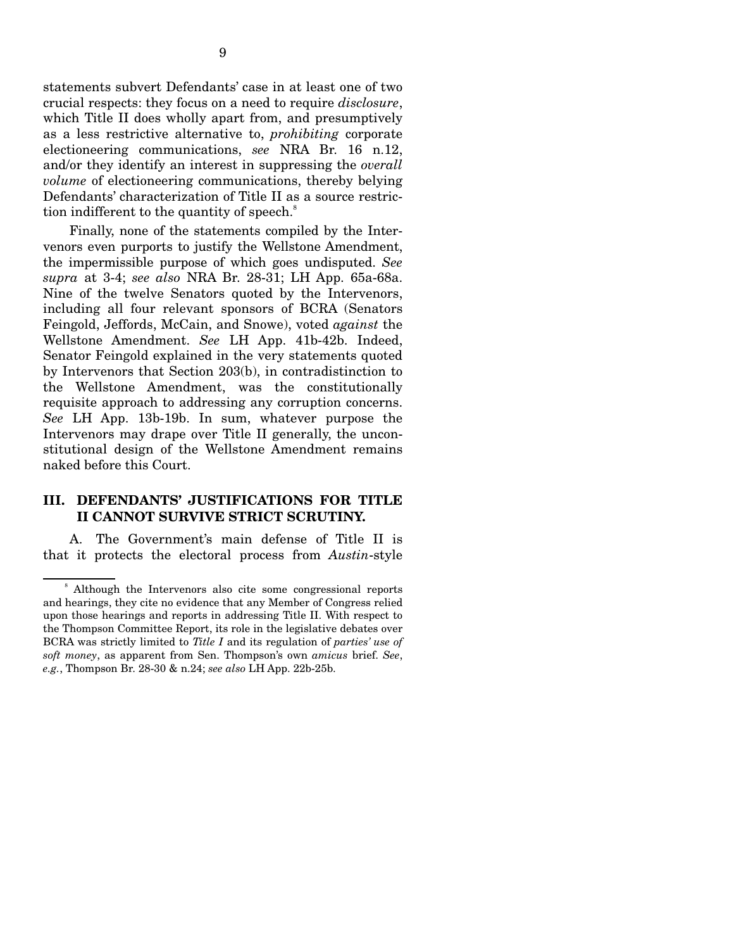statements subvert Defendants' case in at least one of two crucial respects: they focus on a need to require *disclosure*, which Title II does wholly apart from, and presumptively as a less restrictive alternative to, *prohibiting* corporate electioneering communications, *see* NRA Br. 16 n.12, and/or they identify an interest in suppressing the *overall volume* of electioneering communications, thereby belying Defendants' characterization of Title II as a source restriction indifferent to the quantity of speech.<sup>8</sup>

Finally, none of the statements compiled by the Intervenors even purports to justify the Wellstone Amendment, the impermissible purpose of which goes undisputed. *See supra* at 3-4; *see also* NRA Br. 28-31; LH App. 65a-68a. Nine of the twelve Senators quoted by the Intervenors, including all four relevant sponsors of BCRA (Senators Feingold, Jeffords, McCain, and Snowe), voted *against* the Wellstone Amendment. *See* LH App. 41b-42b. Indeed, Senator Feingold explained in the very statements quoted by Intervenors that Section 203(b), in contradistinction to the Wellstone Amendment, was the constitutionally requisite approach to addressing any corruption concerns. *See* LH App. 13b-19b. In sum, whatever purpose the Intervenors may drape over Title II generally, the unconstitutional design of the Wellstone Amendment remains naked before this Court.

### **III. DEFENDANTS' JUSTIFICATIONS FOR TITLE II CANNOT SURVIVE STRICT SCRUTINY.**

A. The Government's main defense of Title II is that it protects the electoral process from *Austin*-style

<sup>8</sup> Although the Intervenors also cite some congressional reports and hearings, they cite no evidence that any Member of Congress relied upon those hearings and reports in addressing Title II. With respect to the Thompson Committee Report, its role in the legislative debates over BCRA was strictly limited to *Title I* and its regulation of *parties' use of soft money*, as apparent from Sen. Thompson's own *amicus* brief. *See*, *e.g.*, Thompson Br. 28-30 & n.24; *see also* LH App. 22b-25b.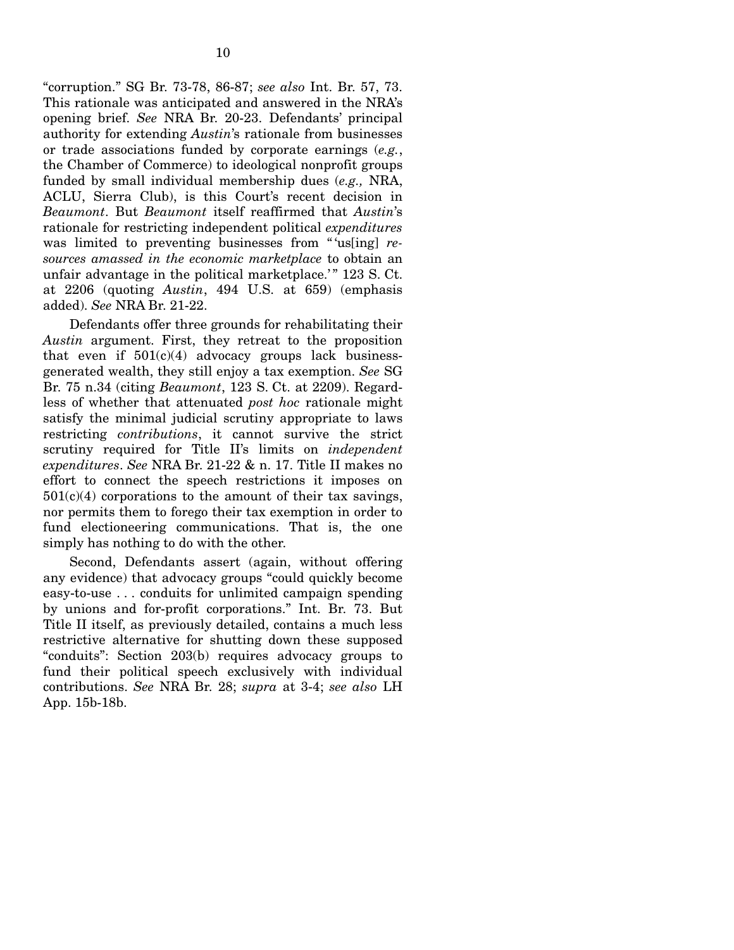"corruption." SG Br. 73-78, 86-87; *see also* Int. Br. 57, 73. This rationale was anticipated and answered in the NRA's opening brief. *See* NRA Br. 20-23. Defendants' principal authority for extending *Austin*'s rationale from businesses or trade associations funded by corporate earnings (*e.g.*, the Chamber of Commerce) to ideological nonprofit groups funded by small individual membership dues (*e.g.,* NRA, ACLU, Sierra Club), is this Court's recent decision in *Beaumont*. But *Beaumont* itself reaffirmed that *Austin*'s rationale for restricting independent political *expenditures*  was limited to preventing businesses from " 'us[ing] *resources amassed in the economic marketplace* to obtain an unfair advantage in the political marketplace.'" 123 S. Ct. at 2206 (quoting *Austin*, 494 U.S. at 659) (emphasis added). *See* NRA Br. 21-22.

Defendants offer three grounds for rehabilitating their *Austin* argument. First, they retreat to the proposition that even if  $501(c)(4)$  advocacy groups lack businessgenerated wealth, they still enjoy a tax exemption. *See* SG Br. 75 n.34 (citing *Beaumont*, 123 S. Ct. at 2209). Regardless of whether that attenuated *post hoc* rationale might satisfy the minimal judicial scrutiny appropriate to laws restricting *contributions*, it cannot survive the strict scrutiny required for Title II's limits on *independent expenditures*. *See* NRA Br. 21-22 & n. 17. Title II makes no effort to connect the speech restrictions it imposes on  $501(c)(4)$  corporations to the amount of their tax savings, nor permits them to forego their tax exemption in order to fund electioneering communications. That is, the one simply has nothing to do with the other.

Second, Defendants assert (again, without offering any evidence) that advocacy groups "could quickly become easy-to-use . . . conduits for unlimited campaign spending by unions and for-profit corporations." Int. Br. 73. But Title II itself, as previously detailed, contains a much less restrictive alternative for shutting down these supposed "conduits": Section 203(b) requires advocacy groups to fund their political speech exclusively with individual contributions. *See* NRA Br. 28; *supra* at 3-4; *see also* LH App. 15b-18b.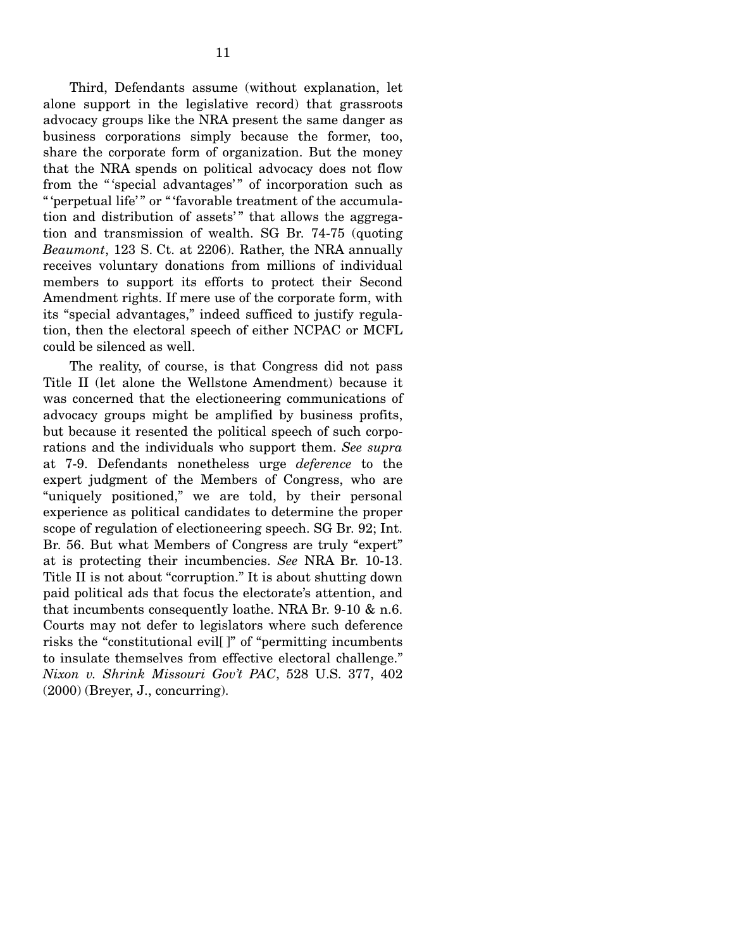Third, Defendants assume (without explanation, let alone support in the legislative record) that grassroots advocacy groups like the NRA present the same danger as business corporations simply because the former, too, share the corporate form of organization. But the money that the NRA spends on political advocacy does not flow from the "'special advantages'" of incorporation such as " 'perpetual life'" or " 'favorable treatment of the accumulation and distribution of assets'" that allows the aggregation and transmission of wealth. SG Br. 74-75 (quoting *Beaumont*, 123 S. Ct. at 2206). Rather, the NRA annually receives voluntary donations from millions of individual members to support its efforts to protect their Second Amendment rights. If mere use of the corporate form, with its "special advantages," indeed sufficed to justify regulation, then the electoral speech of either NCPAC or MCFL could be silenced as well.

The reality, of course, is that Congress did not pass Title II (let alone the Wellstone Amendment) because it was concerned that the electioneering communications of advocacy groups might be amplified by business profits, but because it resented the political speech of such corporations and the individuals who support them. *See supra*  at 7-9. Defendants nonetheless urge *deference* to the expert judgment of the Members of Congress, who are "uniquely positioned," we are told, by their personal experience as political candidates to determine the proper scope of regulation of electioneering speech. SG Br. 92; Int. Br. 56. But what Members of Congress are truly "expert" at is protecting their incumbencies. *See* NRA Br. 10-13. Title II is not about "corruption." It is about shutting down paid political ads that focus the electorate's attention, and that incumbents consequently loathe. NRA Br. 9-10 & n.6. Courts may not defer to legislators where such deference risks the "constitutional evil[ ]" of "permitting incumbents to insulate themselves from effective electoral challenge." *Nixon v. Shrink Missouri Gov't PAC*, 528 U.S. 377, 402 (2000) (Breyer, J., concurring).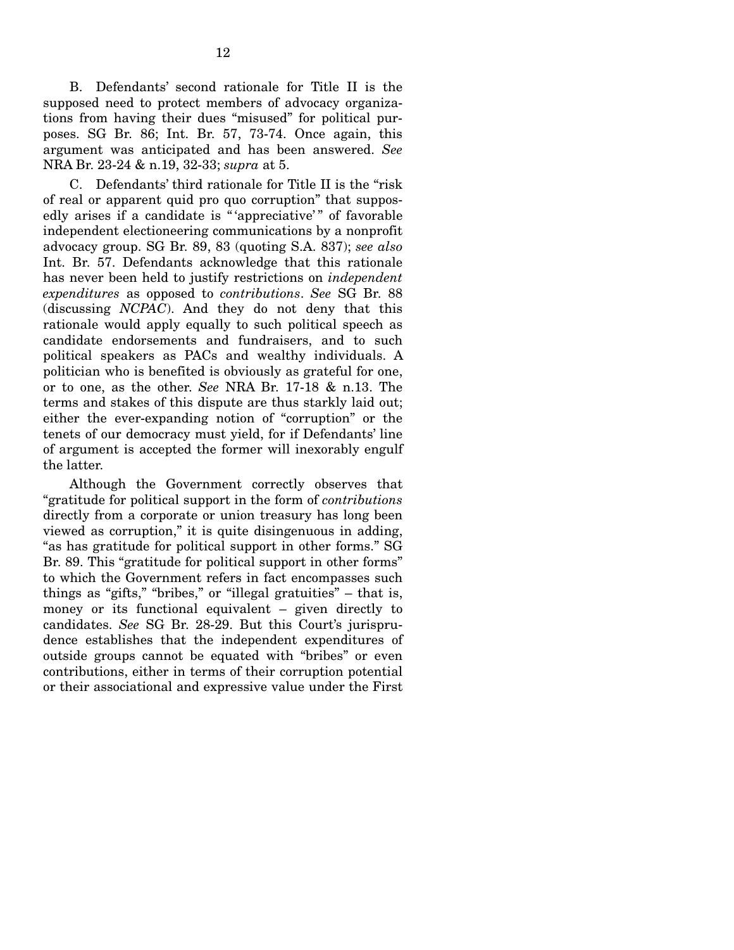B. Defendants' second rationale for Title II is the supposed need to protect members of advocacy organizations from having their dues "misused" for political purposes. SG Br. 86; Int. Br. 57, 73-74. Once again, this argument was anticipated and has been answered. *See*  NRA Br. 23-24 & n.19, 32-33; *supra* at 5.

C. Defendants' third rationale for Title II is the "risk of real or apparent quid pro quo corruption" that supposedly arises if a candidate is "'appreciative'" of favorable independent electioneering communications by a nonprofit advocacy group. SG Br. 89, 83 (quoting S.A. 837); *see also*  Int. Br. 57. Defendants acknowledge that this rationale has never been held to justify restrictions on *independent expenditures* as opposed to *contributions*. *See* SG Br. 88 (discussing *NCPAC*). And they do not deny that this rationale would apply equally to such political speech as candidate endorsements and fundraisers, and to such political speakers as PACs and wealthy individuals. A politician who is benefited is obviously as grateful for one, or to one, as the other. *See* NRA Br. 17-18 & n.13. The terms and stakes of this dispute are thus starkly laid out; either the ever-expanding notion of "corruption" or the tenets of our democracy must yield, for if Defendants' line of argument is accepted the former will inexorably engulf the latter.

Although the Government correctly observes that "gratitude for political support in the form of *contributions*  directly from a corporate or union treasury has long been viewed as corruption," it is quite disingenuous in adding, "as has gratitude for political support in other forms." SG Br. 89. This "gratitude for political support in other forms" to which the Government refers in fact encompasses such things as "gifts," "bribes," or "illegal gratuities" – that is, money or its functional equivalent – given directly to candidates. *See* SG Br. 28-29. But this Court's jurisprudence establishes that the independent expenditures of outside groups cannot be equated with "bribes" or even contributions, either in terms of their corruption potential or their associational and expressive value under the First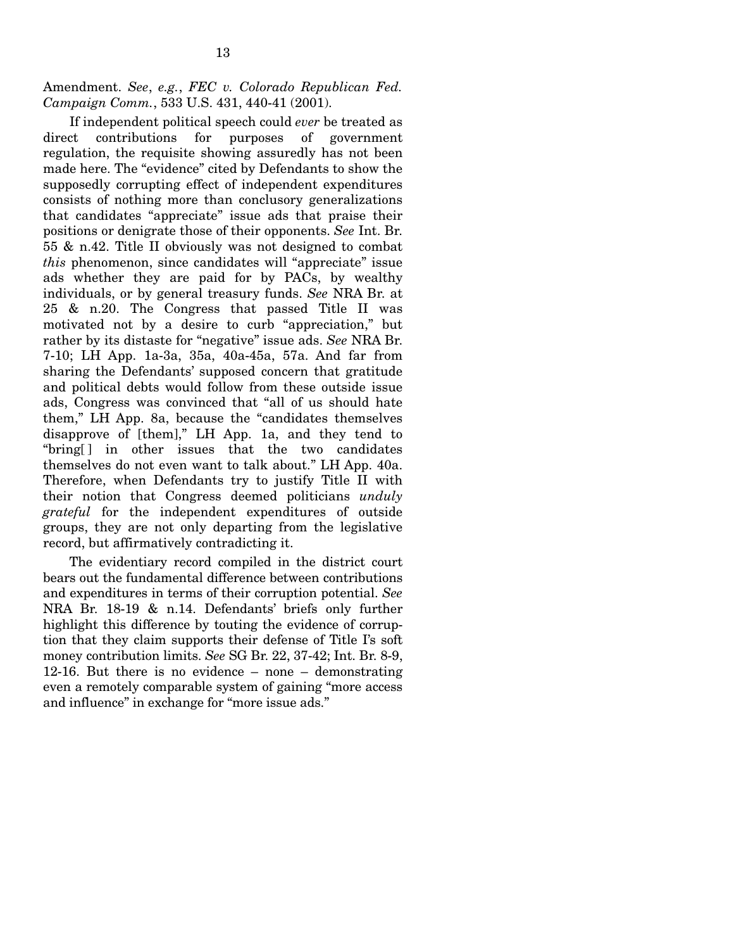Amendment. *See*, *e.g.*, *FEC v. Colorado Republican Fed. Campaign Comm.*, 533 U.S. 431, 440-41 (2001).

If independent political speech could *ever* be treated as direct contributions for purposes of government regulation, the requisite showing assuredly has not been made here. The "evidence" cited by Defendants to show the supposedly corrupting effect of independent expenditures consists of nothing more than conclusory generalizations that candidates "appreciate" issue ads that praise their positions or denigrate those of their opponents. *See* Int. Br. 55 & n.42. Title II obviously was not designed to combat *this* phenomenon, since candidates will "appreciate" issue ads whether they are paid for by PACs, by wealthy individuals, or by general treasury funds. *See* NRA Br. at 25 & n.20. The Congress that passed Title II was motivated not by a desire to curb "appreciation," but rather by its distaste for "negative" issue ads. *See* NRA Br. 7-10; LH App. 1a-3a, 35a, 40a-45a, 57a. And far from sharing the Defendants' supposed concern that gratitude and political debts would follow from these outside issue ads, Congress was convinced that "all of us should hate them," LH App. 8a, because the "candidates themselves disapprove of [them]," LH App. 1a, and they tend to "bring[ ] in other issues that the two candidates themselves do not even want to talk about." LH App. 40a. Therefore, when Defendants try to justify Title II with their notion that Congress deemed politicians *unduly grateful* for the independent expenditures of outside groups, they are not only departing from the legislative record, but affirmatively contradicting it.

The evidentiary record compiled in the district court bears out the fundamental difference between contributions and expenditures in terms of their corruption potential. *See*  NRA Br. 18-19 & n.14. Defendants' briefs only further highlight this difference by touting the evidence of corruption that they claim supports their defense of Title I's soft money contribution limits. *See* SG Br. 22, 37-42; Int. Br. 8-9, 12-16. But there is no evidence – none – demonstrating even a remotely comparable system of gaining "more access and influence" in exchange for "more issue ads."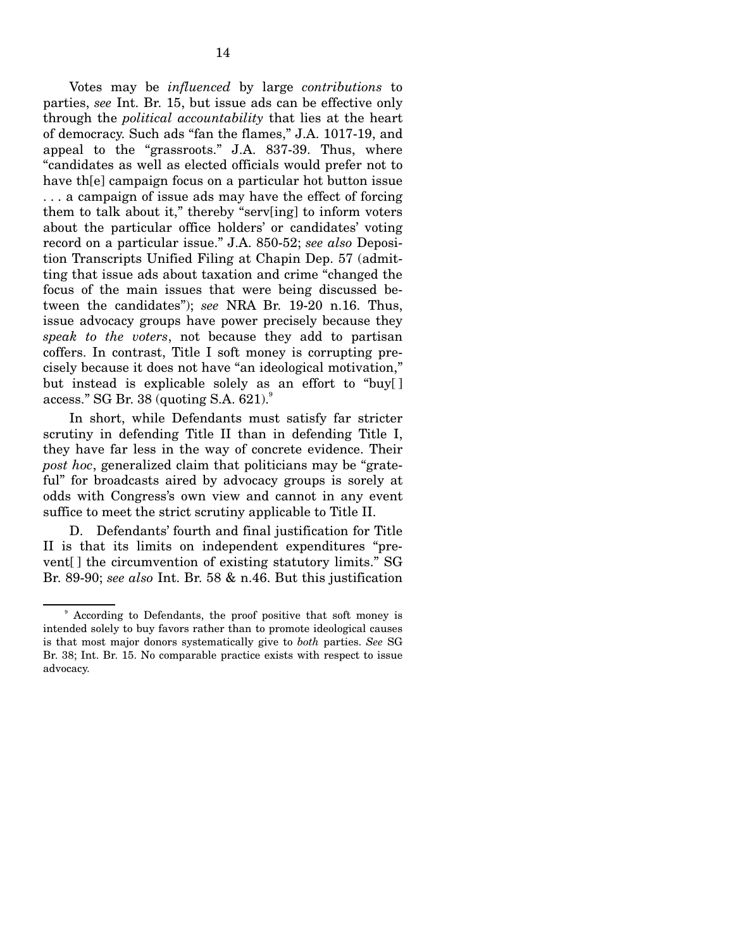Votes may be *influenced* by large *contributions* to parties, *see* Int. Br. 15, but issue ads can be effective only through the *political accountability* that lies at the heart of democracy. Such ads "fan the flames," J.A. 1017-19, and appeal to the "grassroots." J.A. 837-39. Thus, where "candidates as well as elected officials would prefer not to have th[e] campaign focus on a particular hot button issue . . . a campaign of issue ads may have the effect of forcing them to talk about it," thereby "serv[ing] to inform voters about the particular office holders' or candidates' voting record on a particular issue." J.A. 850-52; *see also* Deposition Transcripts Unified Filing at Chapin Dep. 57 (admitting that issue ads about taxation and crime "changed the focus of the main issues that were being discussed between the candidates"); *see* NRA Br. 19-20 n.16. Thus, issue advocacy groups have power precisely because they *speak to the voters*, not because they add to partisan coffers. In contrast, Title I soft money is corrupting precisely because it does not have "an ideological motivation," but instead is explicable solely as an effort to "buy[ ] access." SG Br. 38 (quoting S.A.  $621$ ).

In short, while Defendants must satisfy far stricter scrutiny in defending Title II than in defending Title I, they have far less in the way of concrete evidence. Their *post hoc*, generalized claim that politicians may be "grateful" for broadcasts aired by advocacy groups is sorely at odds with Congress's own view and cannot in any event suffice to meet the strict scrutiny applicable to Title II.

D. Defendants' fourth and final justification for Title II is that its limits on independent expenditures "prevent[ ] the circumvention of existing statutory limits." SG Br. 89-90; *see also* Int. Br. 58 & n.46. But this justification

According to Defendants, the proof positive that soft money is intended solely to buy favors rather than to promote ideological causes is that most major donors systematically give to *both* parties. *See* SG Br. 38; Int. Br. 15. No comparable practice exists with respect to issue advocacy.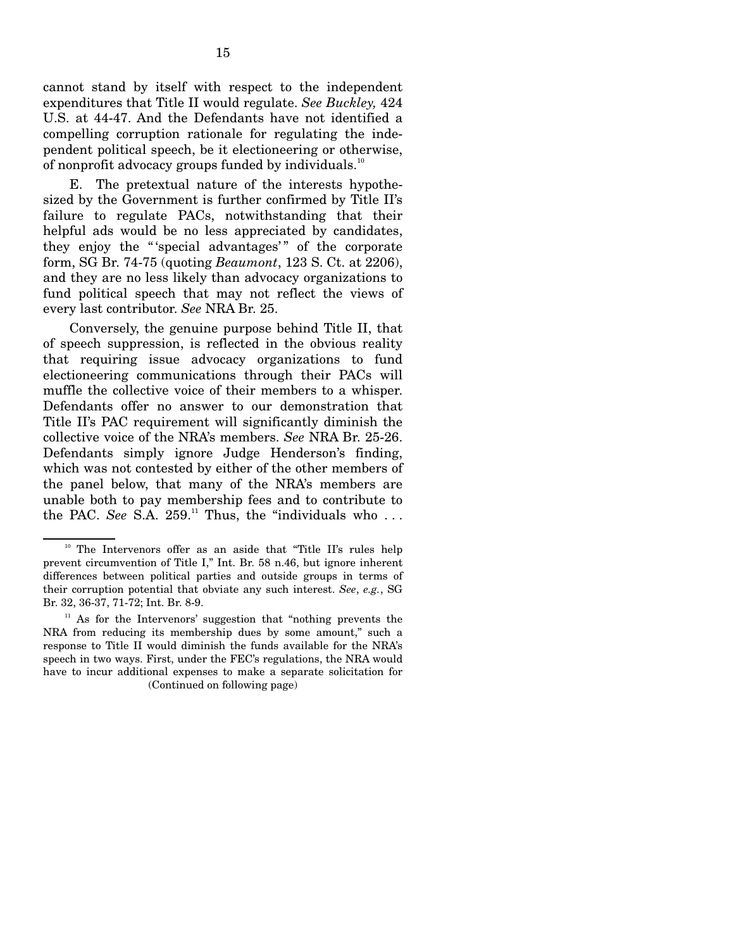cannot stand by itself with respect to the independent expenditures that Title II would regulate. *See Buckley,* 424 U.S. at 44-47. And the Defendants have not identified a compelling corruption rationale for regulating the independent political speech, be it electioneering or otherwise, of nonprofit advocacy groups funded by individuals.<sup>10</sup>

E. The pretextual nature of the interests hypothesized by the Government is further confirmed by Title II's failure to regulate PACs, notwithstanding that their helpful ads would be no less appreciated by candidates, they enjoy the "'special advantages'" of the corporate form, SG Br. 74-75 (quoting *Beaumont*, 123 S. Ct. at 2206), and they are no less likely than advocacy organizations to fund political speech that may not reflect the views of every last contributor. *See* NRA Br. 25.

Conversely, the genuine purpose behind Title II, that of speech suppression, is reflected in the obvious reality that requiring issue advocacy organizations to fund electioneering communications through their PACs will muffle the collective voice of their members to a whisper. Defendants offer no answer to our demonstration that Title II's PAC requirement will significantly diminish the collective voice of the NRA's members. *See* NRA Br. 25-26. Defendants simply ignore Judge Henderson's finding, which was not contested by either of the other members of the panel below, that many of the NRA's members are unable both to pay membership fees and to contribute to the PAC. See S.A.  $259$ .<sup> $11$ </sup> Thus, the "individuals who ...

<sup>&</sup>lt;sup>10</sup> The Intervenors offer as an aside that "Title II's rules help prevent circumvention of Title I," Int. Br. 58 n.46, but ignore inherent differences between political parties and outside groups in terms of their corruption potential that obviate any such interest. *See*, *e.g.*, SG Br. 32, 36-37, 71-72; Int. Br. 8-9.

<sup>&</sup>lt;sup>11</sup> As for the Intervenors' suggestion that "nothing prevents the NRA from reducing its membership dues by some amount," such a response to Title II would diminish the funds available for the NRA's speech in two ways. First, under the FEC's regulations, the NRA would have to incur additional expenses to make a separate solicitation for (Continued on following page)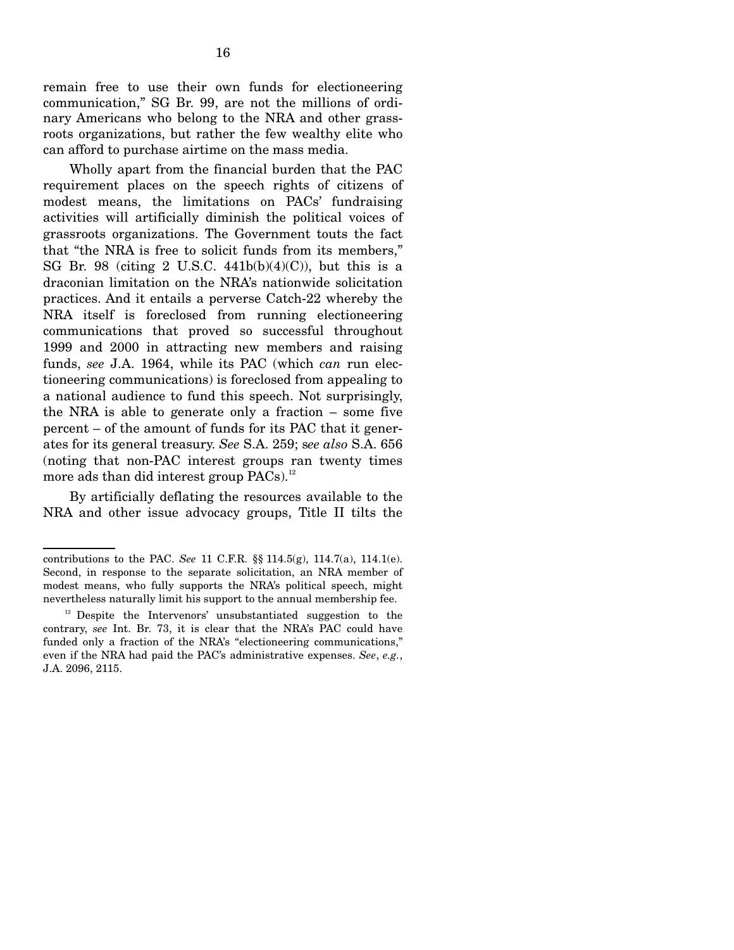remain free to use their own funds for electioneering communication," SG Br. 99, are not the millions of ordinary Americans who belong to the NRA and other grassroots organizations, but rather the few wealthy elite who can afford to purchase airtime on the mass media.

Wholly apart from the financial burden that the PAC requirement places on the speech rights of citizens of modest means, the limitations on PACs' fundraising activities will artificially diminish the political voices of grassroots organizations. The Government touts the fact that "the NRA is free to solicit funds from its members," SG Br. 98 (citing 2 U.S.C.  $441b(b)(4)(C)$ ), but this is a draconian limitation on the NRA's nationwide solicitation practices. And it entails a perverse Catch-22 whereby the NRA itself is foreclosed from running electioneering communications that proved so successful throughout 1999 and 2000 in attracting new members and raising funds, *see* J.A. 1964, while its PAC (which *can* run electioneering communications) is foreclosed from appealing to a national audience to fund this speech. Not surprisingly, the NRA is able to generate only a fraction – some five percent – of the amount of funds for its PAC that it generates for its general treasury. *See* S.A. 259; s*ee also* S.A. 656 (noting that non-PAC interest groups ran twenty times more ads than did interest group  $PACs$ ).<sup>12</sup>

By artificially deflating the resources available to the NRA and other issue advocacy groups, Title II tilts the

contributions to the PAC. *See* 11 C.F.R. §§ 114.5(g), 114.7(a), 114.1(e). Second, in response to the separate solicitation, an NRA member of modest means, who fully supports the NRA's political speech, might nevertheless naturally limit his support to the annual membership fee.

 $12$  Despite the Intervenors' unsubstantiated suggestion to the contrary, *see* Int. Br. 73, it is clear that the NRA's PAC could have funded only a fraction of the NRA's "electioneering communications," even if the NRA had paid the PAC's administrative expenses. *See*, *e.g.*, J.A. 2096, 2115.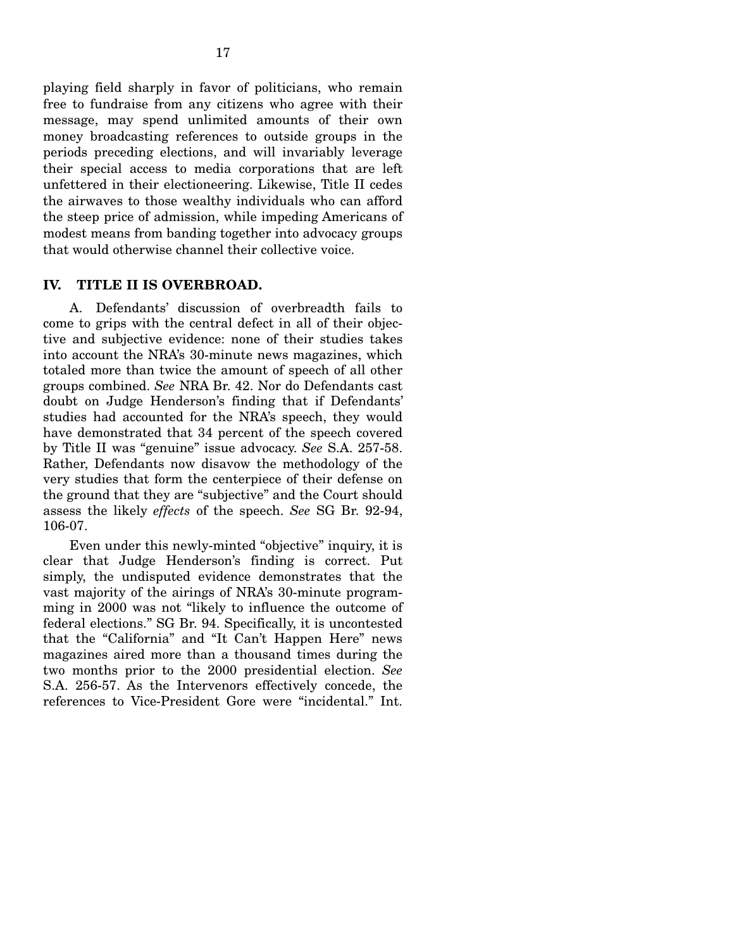playing field sharply in favor of politicians, who remain free to fundraise from any citizens who agree with their message, may spend unlimited amounts of their own money broadcasting references to outside groups in the periods preceding elections, and will invariably leverage their special access to media corporations that are left unfettered in their electioneering. Likewise, Title II cedes the airwaves to those wealthy individuals who can afford the steep price of admission, while impeding Americans of modest means from banding together into advocacy groups that would otherwise channel their collective voice.

## **IV. TITLE II IS OVERBROAD.**

A. Defendants' discussion of overbreadth fails to come to grips with the central defect in all of their objective and subjective evidence: none of their studies takes into account the NRA's 30-minute news magazines, which totaled more than twice the amount of speech of all other groups combined. *See* NRA Br. 42. Nor do Defendants cast doubt on Judge Henderson's finding that if Defendants' studies had accounted for the NRA's speech, they would have demonstrated that 34 percent of the speech covered by Title II was "genuine" issue advocacy. *See* S.A. 257-58. Rather, Defendants now disavow the methodology of the very studies that form the centerpiece of their defense on the ground that they are "subjective" and the Court should assess the likely *effects* of the speech. *See* SG Br. 92-94, 106-07.

Even under this newly-minted "objective" inquiry, it is clear that Judge Henderson's finding is correct. Put simply, the undisputed evidence demonstrates that the vast majority of the airings of NRA's 30-minute programming in 2000 was not "likely to influence the outcome of federal elections." SG Br. 94. Specifically, it is uncontested that the "California" and "It Can't Happen Here" news magazines aired more than a thousand times during the two months prior to the 2000 presidential election. *See*  S.A. 256-57. As the Intervenors effectively concede, the references to Vice-President Gore were "incidental." Int.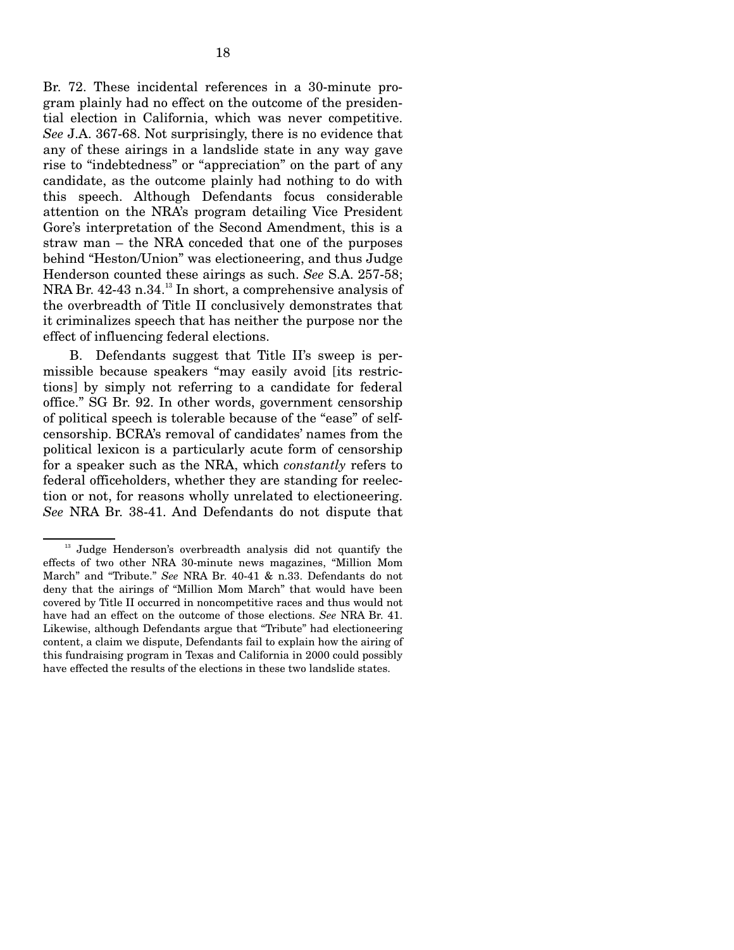Br. 72. These incidental references in a 30-minute program plainly had no effect on the outcome of the presidential election in California, which was never competitive. *See* J.A. 367-68. Not surprisingly, there is no evidence that any of these airings in a landslide state in any way gave rise to "indebtedness" or "appreciation" on the part of any candidate, as the outcome plainly had nothing to do with this speech. Although Defendants focus considerable attention on the NRA's program detailing Vice President Gore's interpretation of the Second Amendment, this is a straw man – the NRA conceded that one of the purposes behind "Heston/Union" was electioneering, and thus Judge Henderson counted these airings as such. *See* S.A. 257-58; NRA Br. 42-43 n.34.<sup>13</sup> In short, a comprehensive analysis of the overbreadth of Title II conclusively demonstrates that it criminalizes speech that has neither the purpose nor the effect of influencing federal elections.

B. Defendants suggest that Title II's sweep is permissible because speakers "may easily avoid [its restrictions] by simply not referring to a candidate for federal office." SG Br. 92. In other words, government censorship of political speech is tolerable because of the "ease" of selfcensorship. BCRA's removal of candidates' names from the political lexicon is a particularly acute form of censorship for a speaker such as the NRA, which *constantly* refers to federal officeholders, whether they are standing for reelection or not, for reasons wholly unrelated to electioneering. *See* NRA Br. 38-41. And Defendants do not dispute that

<sup>&</sup>lt;sup>13</sup> Judge Henderson's overbreadth analysis did not quantify the effects of two other NRA 30-minute news magazines, "Million Mom March" and "Tribute." *See* NRA Br. 40-41 & n.33. Defendants do not deny that the airings of "Million Mom March" that would have been covered by Title II occurred in noncompetitive races and thus would not have had an effect on the outcome of those elections. *See* NRA Br. 41. Likewise, although Defendants argue that "Tribute" had electioneering content, a claim we dispute, Defendants fail to explain how the airing of this fundraising program in Texas and California in 2000 could possibly have effected the results of the elections in these two landslide states.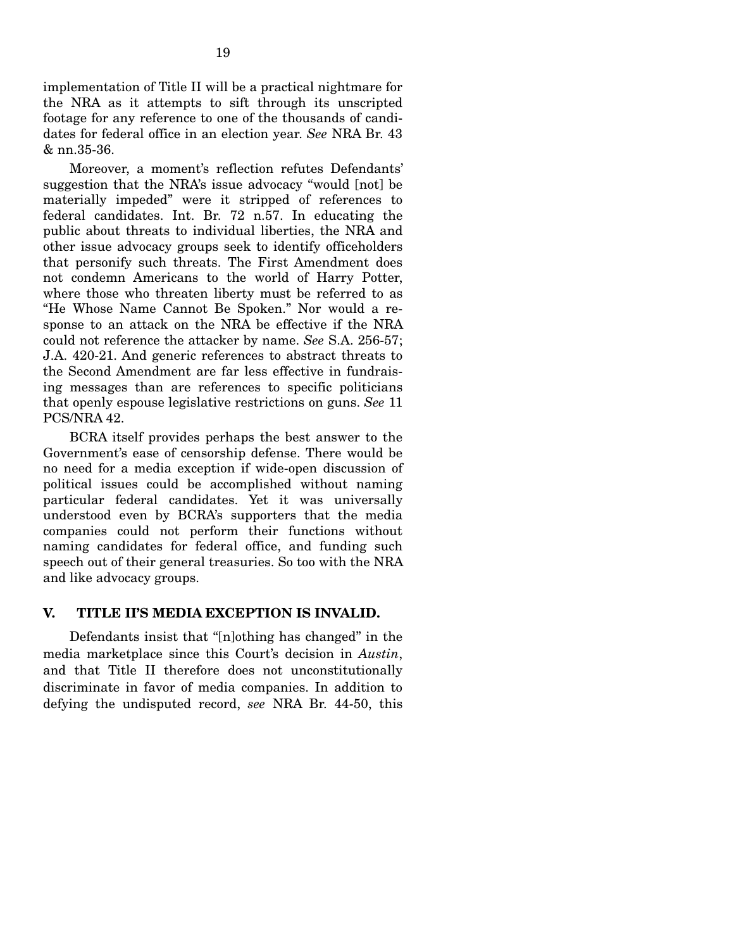implementation of Title II will be a practical nightmare for the NRA as it attempts to sift through its unscripted footage for any reference to one of the thousands of candidates for federal office in an election year. *See* NRA Br. 43 & nn.35-36.

Moreover, a moment's reflection refutes Defendants' suggestion that the NRA's issue advocacy "would [not] be materially impeded" were it stripped of references to federal candidates. Int. Br. 72 n.57. In educating the public about threats to individual liberties, the NRA and other issue advocacy groups seek to identify officeholders that personify such threats. The First Amendment does not condemn Americans to the world of Harry Potter, where those who threaten liberty must be referred to as "He Whose Name Cannot Be Spoken." Nor would a response to an attack on the NRA be effective if the NRA could not reference the attacker by name. *See* S.A. 256-57; J.A. 420-21. And generic references to abstract threats to the Second Amendment are far less effective in fundraising messages than are references to specific politicians that openly espouse legislative restrictions on guns. *See* 11 PCS/NRA 42.

BCRA itself provides perhaps the best answer to the Government's ease of censorship defense. There would be no need for a media exception if wide-open discussion of political issues could be accomplished without naming particular federal candidates. Yet it was universally understood even by BCRA's supporters that the media companies could not perform their functions without naming candidates for federal office, and funding such speech out of their general treasuries. So too with the NRA and like advocacy groups.

# **V. TITLE II'S MEDIA EXCEPTION IS INVALID.**

Defendants insist that "[n]othing has changed" in the media marketplace since this Court's decision in *Austin*, and that Title II therefore does not unconstitutionally discriminate in favor of media companies. In addition to defying the undisputed record, *see* NRA Br. 44-50, this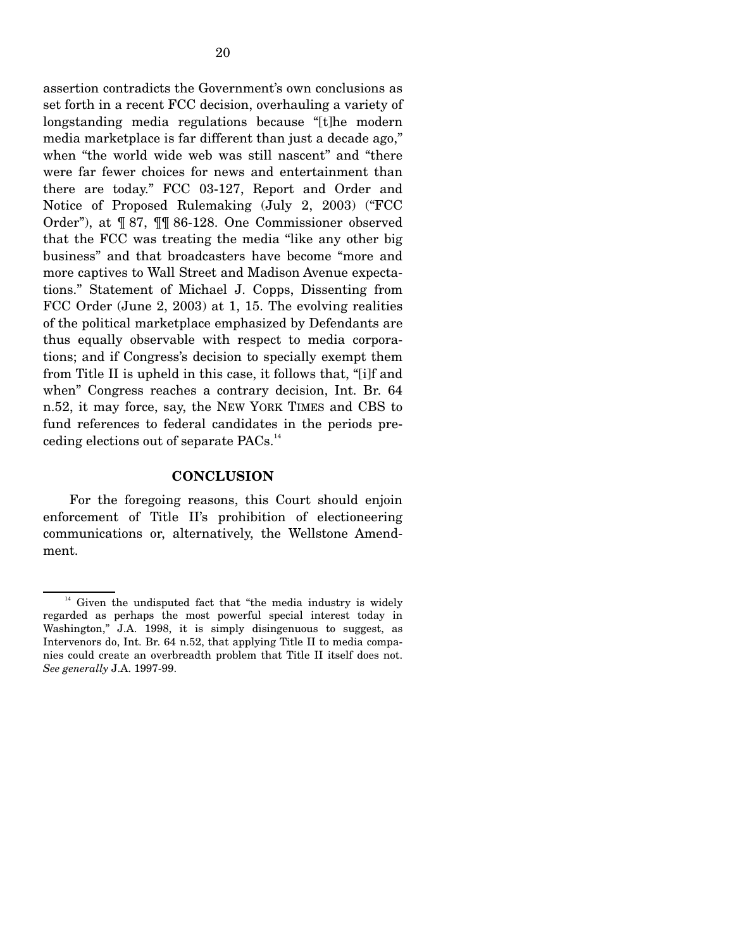assertion contradicts the Government's own conclusions as set forth in a recent FCC decision, overhauling a variety of longstanding media regulations because "[t]he modern media marketplace is far different than just a decade ago," when "the world wide web was still nascent" and "there were far fewer choices for news and entertainment than there are today." FCC 03-127, Report and Order and Notice of Proposed Rulemaking (July 2, 2003) ("FCC Order"), at ¶ 87, ¶¶ 86-128. One Commissioner observed that the FCC was treating the media "like any other big business" and that broadcasters have become "more and more captives to Wall Street and Madison Avenue expectations." Statement of Michael J. Copps, Dissenting from FCC Order (June 2, 2003) at 1, 15. The evolving realities of the political marketplace emphasized by Defendants are thus equally observable with respect to media corporations; and if Congress's decision to specially exempt them from Title II is upheld in this case, it follows that, "[i]f and when" Congress reaches a contrary decision, Int. Br. 64 n.52, it may force, say, the NEW YORK TIMES and CBS to fund references to federal candidates in the periods preceding elections out of separate PACs.<sup>14</sup>

#### **CONCLUSION**

For the foregoing reasons, this Court should enjoin enforcement of Title II's prohibition of electioneering communications or, alternatively, the Wellstone Amendment.

 $14$  Given the undisputed fact that "the media industry is widely regarded as perhaps the most powerful special interest today in Washington," J.A. 1998, it is simply disingenuous to suggest, as Intervenors do, Int. Br. 64 n.52, that applying Title II to media companies could create an overbreadth problem that Title II itself does not. *See generally* J.A. 1997-99.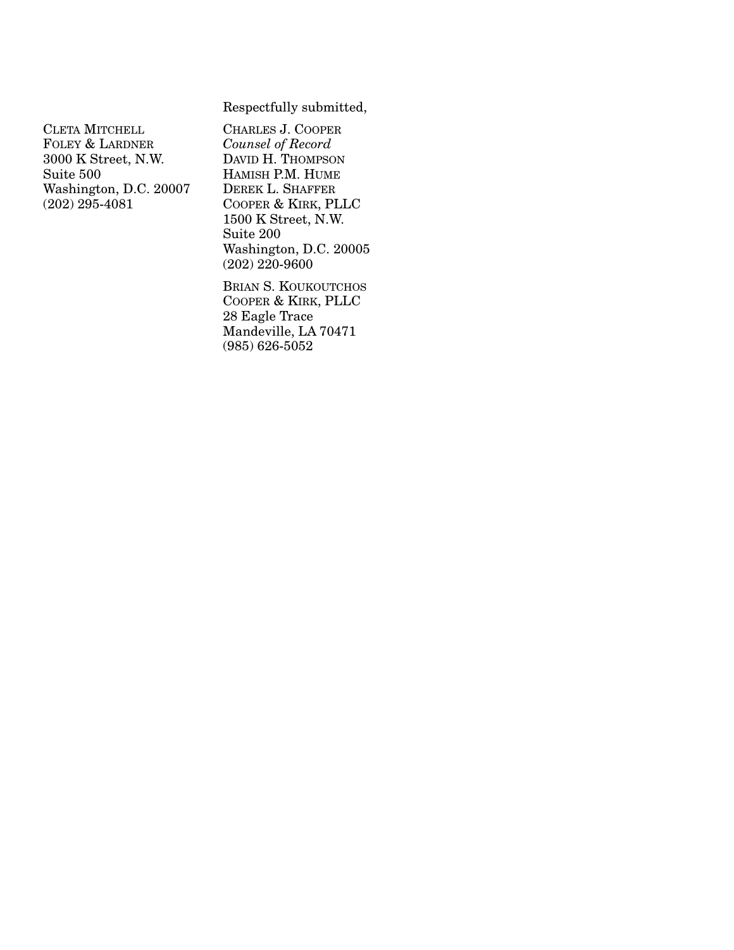## Respectfully submitted,

CLETA MITCHELL FOLEY & LARDNER 3000 K Street, N.W. Suite 500 Washington, D.C. 20007 (202) 295-4081

CHARLES J. COOPER *Counsel of Record*  DAVID H. THOMPSON HAMISH P.M. HUME DEREK L. SHAFFER COOPER & KIRK, PLLC 1500 K Street, N.W. Suite 200 Washington, D.C. 20005 (202) 220-9600

BRIAN S. KOUKOUTCHOS COOPER & KIRK, PLLC 28 Eagle Trace Mandeville, LA 70471 (985) 626-5052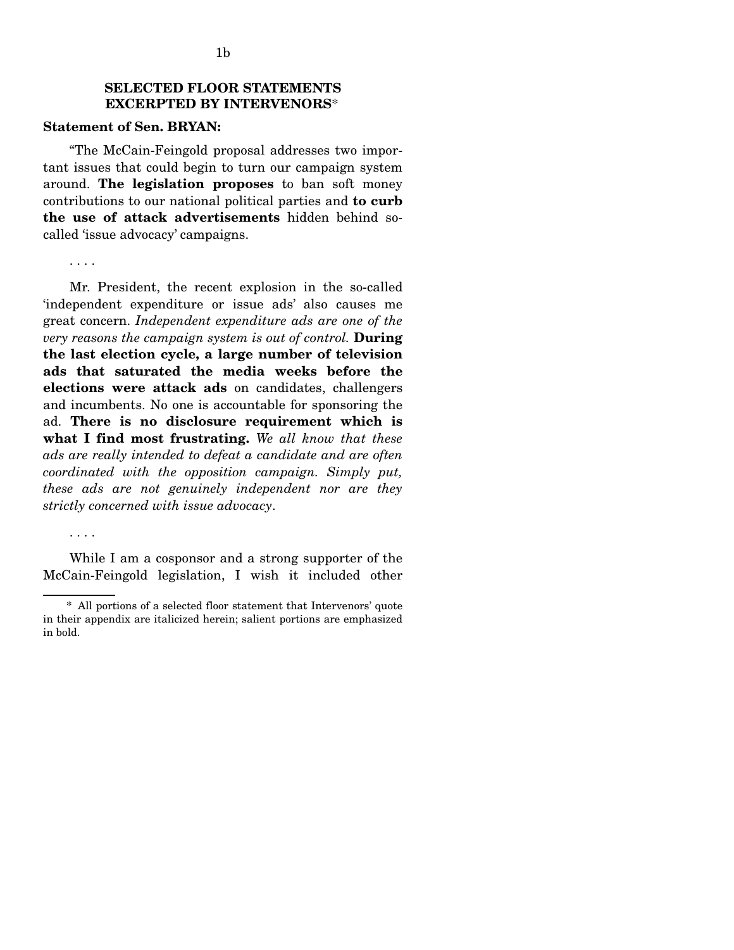# **SELECTED FLOOR STATEMENTS EXCERPTED BY INTERVENORS**\*

## **Statement of Sen. BRYAN:**

"The McCain-Feingold proposal addresses two important issues that could begin to turn our campaign system around. **The legislation proposes** to ban soft money contributions to our national political parties and **to curb the use of attack advertisements** hidden behind socalled 'issue advocacy' campaigns.

. . . .

. . . .

Mr. President, the recent explosion in the so-called 'independent expenditure or issue ads' also causes me great concern. *Independent expenditure ads are one of the very reasons the campaign system is out of control.* **During the last election cycle, a large number of television ads that saturated the media weeks before the elections were attack ads** on candidates, challengers and incumbents. No one is accountable for sponsoring the ad. **There is no disclosure requirement which is what I find most frustrating.** *We all know that these ads are really intended to defeat a candidate and are often coordinated with the opposition campaign. Simply put, these ads are not genuinely independent nor are they strictly concerned with issue advocacy*.

While I am a cosponsor and a strong supporter of the McCain-Feingold legislation, I wish it included other

<sup>\*</sup> All portions of a selected floor statement that Intervenors' quote in their appendix are italicized herein; salient portions are emphasized in bold.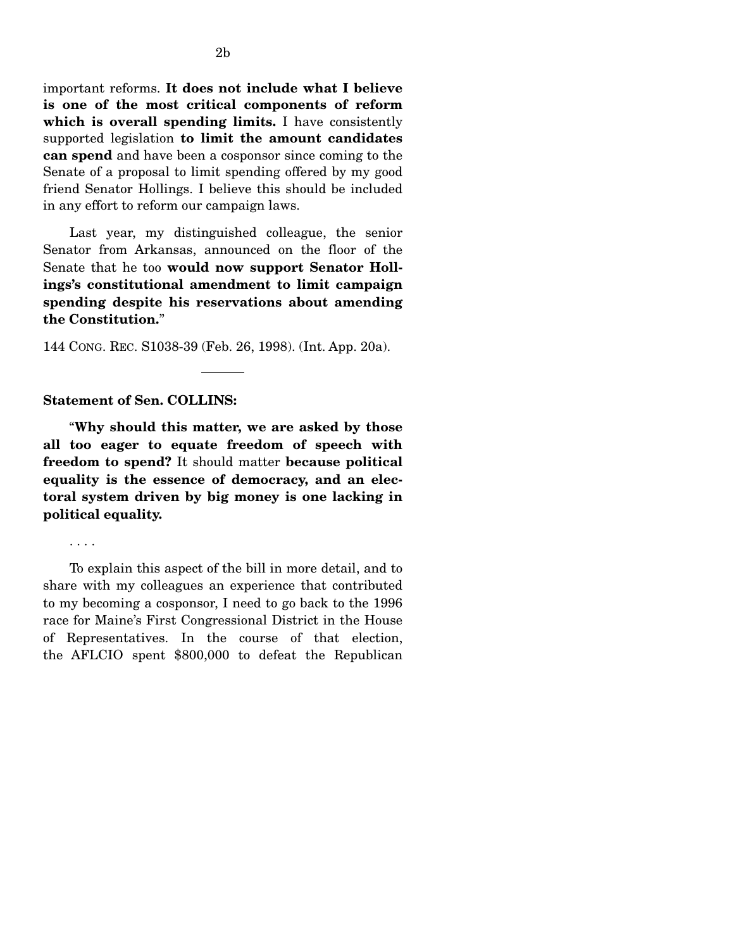important reforms. **It does not include what I believe is one of the most critical components of reform which is overall spending limits.** I have consistently supported legislation **to limit the amount candidates can spend** and have been a cosponsor since coming to the Senate of a proposal to limit spending offered by my good friend Senator Hollings. I believe this should be included in any effort to reform our campaign laws.

Last year, my distinguished colleague, the senior Senator from Arkansas, announced on the floor of the Senate that he too **would now support Senator Hollings's constitutional amendment to limit campaign spending despite his reservations about amending the Constitution.**"

144 CONG. REC. S1038-39 (Feb. 26, 1998). (Int. App. 20a).

### **Statement of Sen. COLLINS:**

"**Why should this matter, we are asked by those all too eager to equate freedom of speech with freedom to spend?** It should matter **because political equality is the essence of democracy, and an electoral system driven by big money is one lacking in political equality.** 

. . . .

To explain this aspect of the bill in more detail, and to share with my colleagues an experience that contributed to my becoming a cosponsor, I need to go back to the 1996 race for Maine's First Congressional District in the House of Representatives. In the course of that election, the AFLCIO spent \$800,000 to defeat the Republican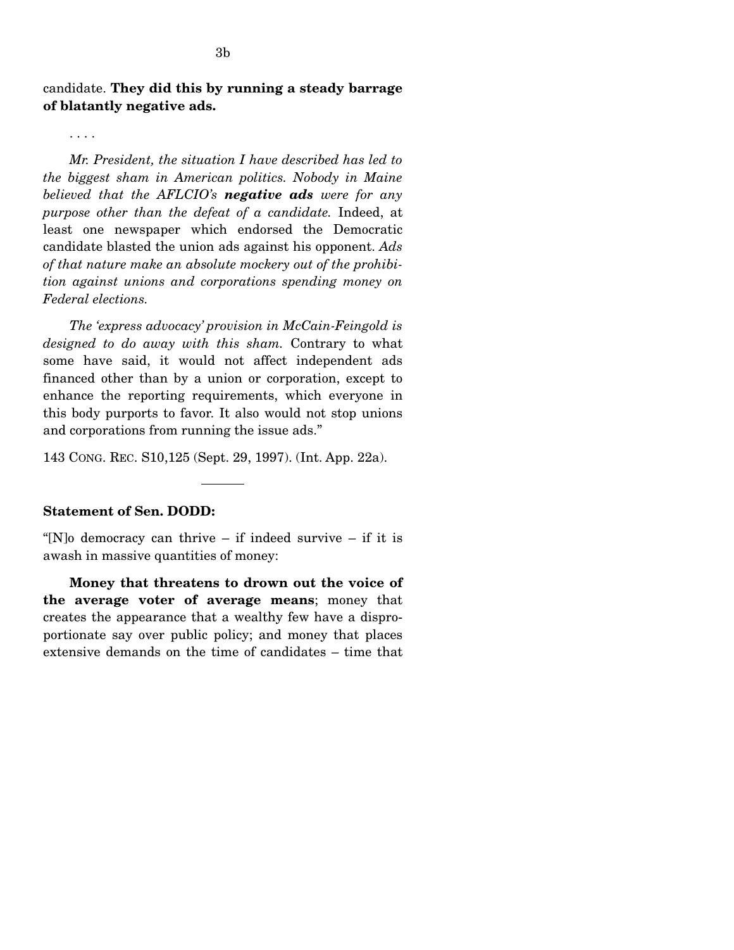candidate. **They did this by running a steady barrage of blatantly negative ads.** 

. . . .

*Mr. President, the situation I have described has led to the biggest sham in American politics. Nobody in Maine believed that the AFLCIO's negative ads were for any purpose other than the defeat of a candidate.* Indeed, at least one newspaper which endorsed the Democratic candidate blasted the union ads against his opponent. *Ads of that nature make an absolute mockery out of the prohibition against unions and corporations spending money on Federal elections.* 

*The 'express advocacy' provision in McCain-Feingold is designed to do away with this sham.* Contrary to what some have said, it would not affect independent ads financed other than by a union or corporation, except to enhance the reporting requirements, which everyone in this body purports to favor. It also would not stop unions and corporations from running the issue ads."

143 CONG. REC. S10,125 (Sept. 29, 1997). (Int. App. 22a).

### **Statement of Sen. DODD:**

"[N]o democracy can thrive  $-$  if indeed survive  $-$  if it is awash in massive quantities of money:

**Money that threatens to drown out the voice of the average voter of average means**; money that creates the appearance that a wealthy few have a disproportionate say over public policy; and money that places extensive demands on the time of candidates – time that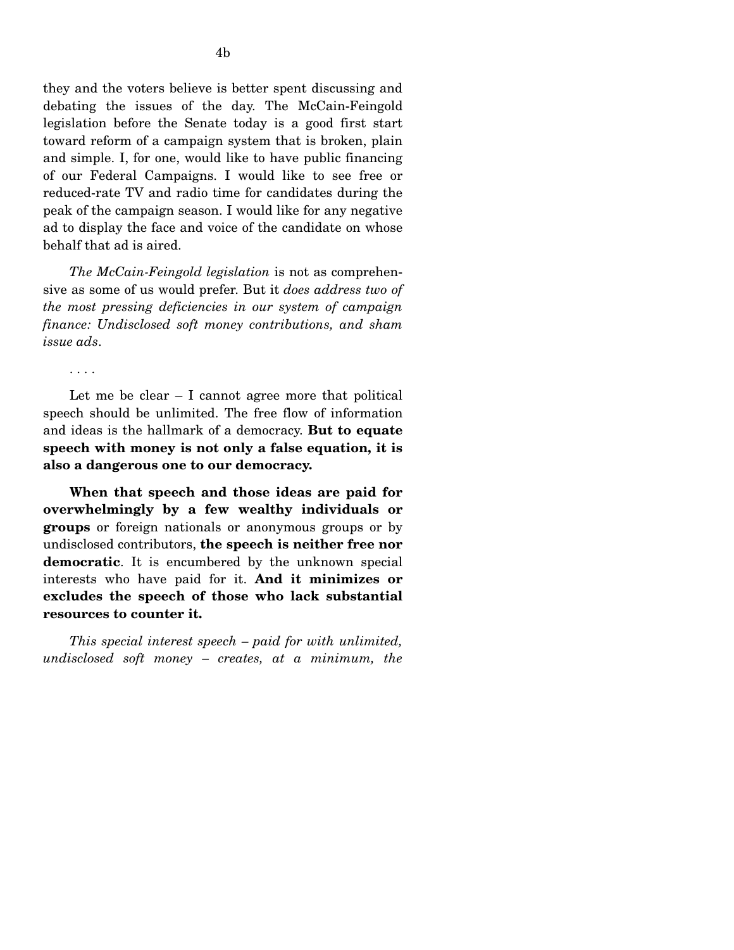they and the voters believe is better spent discussing and debating the issues of the day. The McCain-Feingold legislation before the Senate today is a good first start toward reform of a campaign system that is broken, plain and simple. I, for one, would like to have public financing of our Federal Campaigns. I would like to see free or reduced-rate TV and radio time for candidates during the peak of the campaign season. I would like for any negative ad to display the face and voice of the candidate on whose behalf that ad is aired.

*The McCain-Feingold legislation* is not as comprehensive as some of us would prefer. But it *does address two of the most pressing deficiencies in our system of campaign finance: Undisclosed soft money contributions, and sham issue ads*.

. . . .

Let me be clear – I cannot agree more that political speech should be unlimited. The free flow of information and ideas is the hallmark of a democracy. **But to equate speech with money is not only a false equation, it is also a dangerous one to our democracy.** 

**When that speech and those ideas are paid for overwhelmingly by a few wealthy individuals or groups** or foreign nationals or anonymous groups or by undisclosed contributors, **the speech is neither free nor democratic**. It is encumbered by the unknown special interests who have paid for it. **And it minimizes or excludes the speech of those who lack substantial resources to counter it.** 

*This special interest speech – paid for with unlimited, undisclosed soft money – creates, at a minimum, the*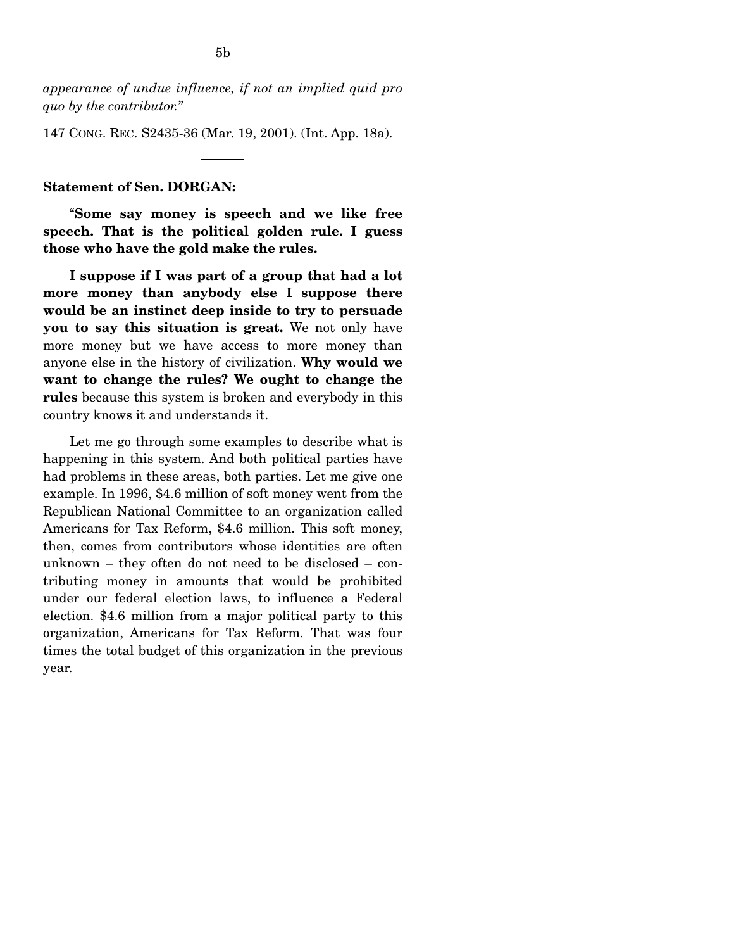*appearance of undue influence, if not an implied quid pro quo by the contributor.*"

147 CONG. REC. S2435-36 (Mar. 19, 2001). (Int. App. 18a).

### **Statement of Sen. DORGAN:**

"**Some say money is speech and we like free speech. That is the political golden rule. I guess those who have the gold make the rules.** 

**I suppose if I was part of a group that had a lot more money than anybody else I suppose there would be an instinct deep inside to try to persuade you to say this situation is great.** We not only have more money but we have access to more money than anyone else in the history of civilization. **Why would we want to change the rules? We ought to change the rules** because this system is broken and everybody in this country knows it and understands it.

Let me go through some examples to describe what is happening in this system. And both political parties have had problems in these areas, both parties. Let me give one example. In 1996, \$4.6 million of soft money went from the Republican National Committee to an organization called Americans for Tax Reform, \$4.6 million. This soft money, then, comes from contributors whose identities are often unknown – they often do not need to be disclosed – contributing money in amounts that would be prohibited under our federal election laws, to influence a Federal election. \$4.6 million from a major political party to this organization, Americans for Tax Reform. That was four times the total budget of this organization in the previous year.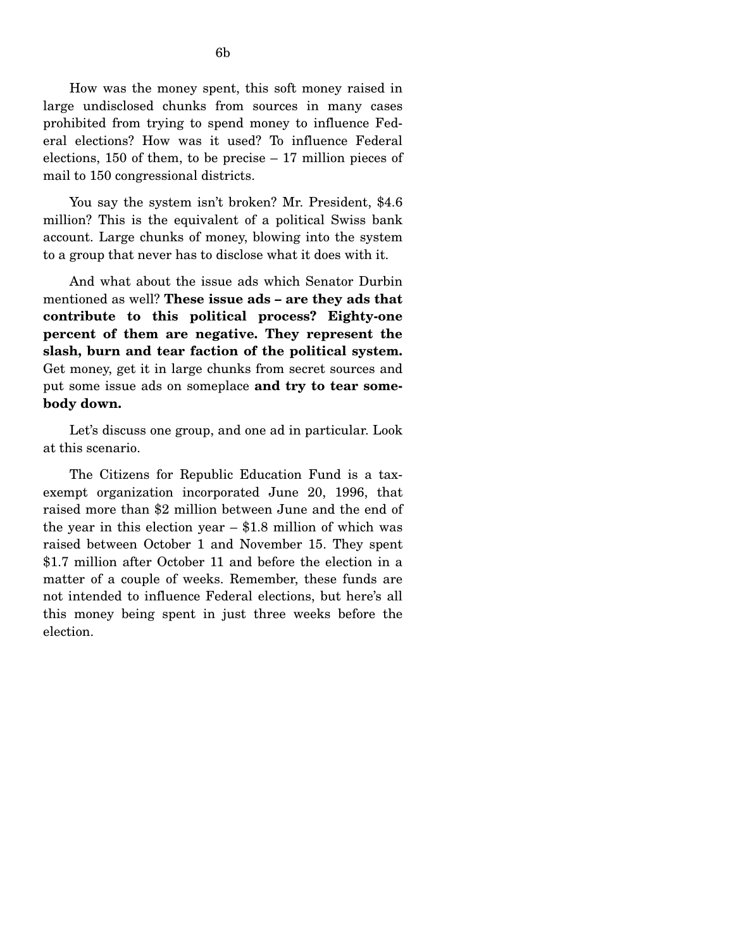How was the money spent, this soft money raised in large undisclosed chunks from sources in many cases prohibited from trying to spend money to influence Federal elections? How was it used? To influence Federal elections, 150 of them, to be precise – 17 million pieces of mail to 150 congressional districts.

You say the system isn't broken? Mr. President, \$4.6 million? This is the equivalent of a political Swiss bank account. Large chunks of money, blowing into the system to a group that never has to disclose what it does with it.

And what about the issue ads which Senator Durbin mentioned as well? **These issue ads – are they ads that contribute to this political process? Eighty-one percent of them are negative. They represent the slash, burn and tear faction of the political system.**  Get money, get it in large chunks from secret sources and put some issue ads on someplace **and try to tear somebody down.** 

Let's discuss one group, and one ad in particular. Look at this scenario.

The Citizens for Republic Education Fund is a taxexempt organization incorporated June 20, 1996, that raised more than \$2 million between June and the end of the year in this election year  $-$  \$1.8 million of which was raised between October 1 and November 15. They spent \$1.7 million after October 11 and before the election in a matter of a couple of weeks. Remember, these funds are not intended to influence Federal elections, but here's all this money being spent in just three weeks before the election.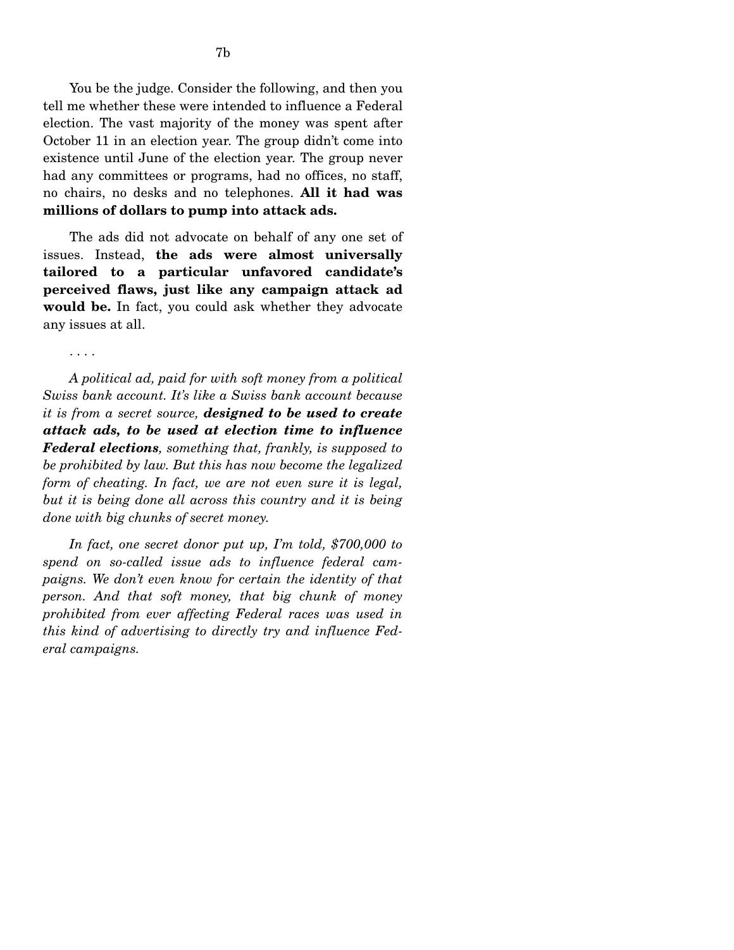You be the judge. Consider the following, and then you tell me whether these were intended to influence a Federal election. The vast majority of the money was spent after October 11 in an election year. The group didn't come into existence until June of the election year. The group never had any committees or programs, had no offices, no staff, no chairs, no desks and no telephones. **All it had was millions of dollars to pump into attack ads.** 

The ads did not advocate on behalf of any one set of issues. Instead, **the ads were almost universally tailored to a particular unfavored candidate's perceived flaws, just like any campaign attack ad would be.** In fact, you could ask whether they advocate any issues at all.

. . . .

*A political ad, paid for with soft money from a political Swiss bank account. It's like a Swiss bank account because it is from a secret source, designed to be used to create attack ads, to be used at election time to influence Federal elections, something that, frankly, is supposed to be prohibited by law. But this has now become the legalized form of cheating. In fact, we are not even sure it is legal, but it is being done all across this country and it is being done with big chunks of secret money.* 

*In fact, one secret donor put up, I'm told, \$700,000 to spend on so-called issue ads to influence federal campaigns. We don't even know for certain the identity of that person. And that soft money, that big chunk of money prohibited from ever affecting Federal races was used in this kind of advertising to directly try and influence Federal campaigns.*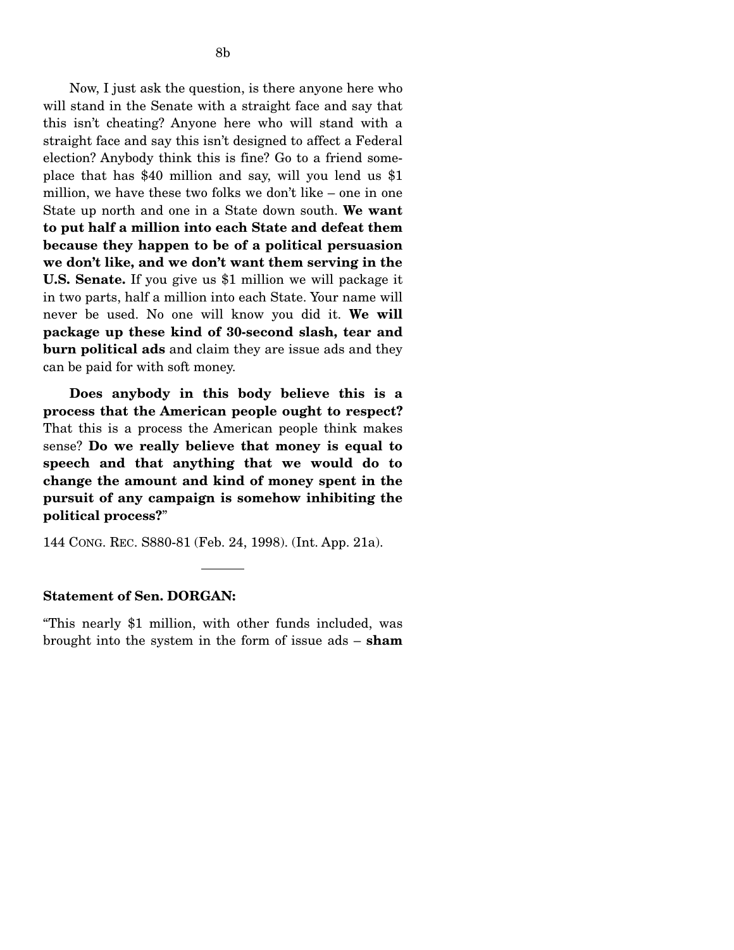Now, I just ask the question, is there anyone here who will stand in the Senate with a straight face and say that this isn't cheating? Anyone here who will stand with a straight face and say this isn't designed to affect a Federal election? Anybody think this is fine? Go to a friend someplace that has \$40 million and say, will you lend us \$1 million, we have these two folks we don't like – one in one State up north and one in a State down south. **We want to put half a million into each State and defeat them because they happen to be of a political persuasion we don't like, and we don't want them serving in the U.S. Senate.** If you give us \$1 million we will package it in two parts, half a million into each State. Your name will never be used. No one will know you did it. **We will package up these kind of 30-second slash, tear and burn political ads** and claim they are issue ads and they can be paid for with soft money.

**Does anybody in this body believe this is a process that the American people ought to respect?**  That this is a process the American people think makes sense? **Do we really believe that money is equal to speech and that anything that we would do to change the amount and kind of money spent in the pursuit of any campaign is somehow inhibiting the political process?**"

144 CONG. REC. S880-81 (Feb. 24, 1998). (Int. App. 21a).

### **Statement of Sen. DORGAN:**

"This nearly \$1 million, with other funds included, was brought into the system in the form of issue ads – **sham**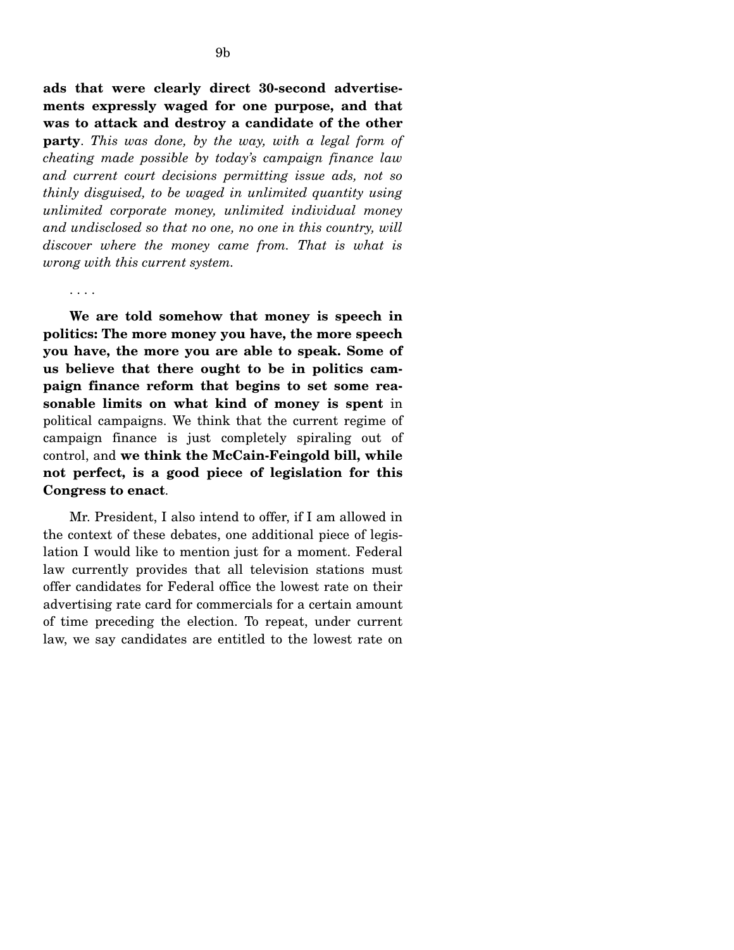**ads that were clearly direct 30-second advertisements expressly waged for one purpose, and that was to attack and destroy a candidate of the other party**. *This was done, by the way, with a legal form of cheating made possible by today's campaign finance law and current court decisions permitting issue ads, not so thinly disguised, to be waged in unlimited quantity using unlimited corporate money, unlimited individual money and undisclosed so that no one, no one in this country, will discover where the money came from. That is what is wrong with this current system.* 

. . . .

**We are told somehow that money is speech in politics: The more money you have, the more speech you have, the more you are able to speak. Some of us believe that there ought to be in politics campaign finance reform that begins to set some reasonable limits on what kind of money is spent** in political campaigns. We think that the current regime of campaign finance is just completely spiraling out of control, and **we think the McCain-Feingold bill, while not perfect, is a good piece of legislation for this Congress to enact**.

Mr. President, I also intend to offer, if I am allowed in the context of these debates, one additional piece of legislation I would like to mention just for a moment. Federal law currently provides that all television stations must offer candidates for Federal office the lowest rate on their advertising rate card for commercials for a certain amount of time preceding the election. To repeat, under current law, we say candidates are entitled to the lowest rate on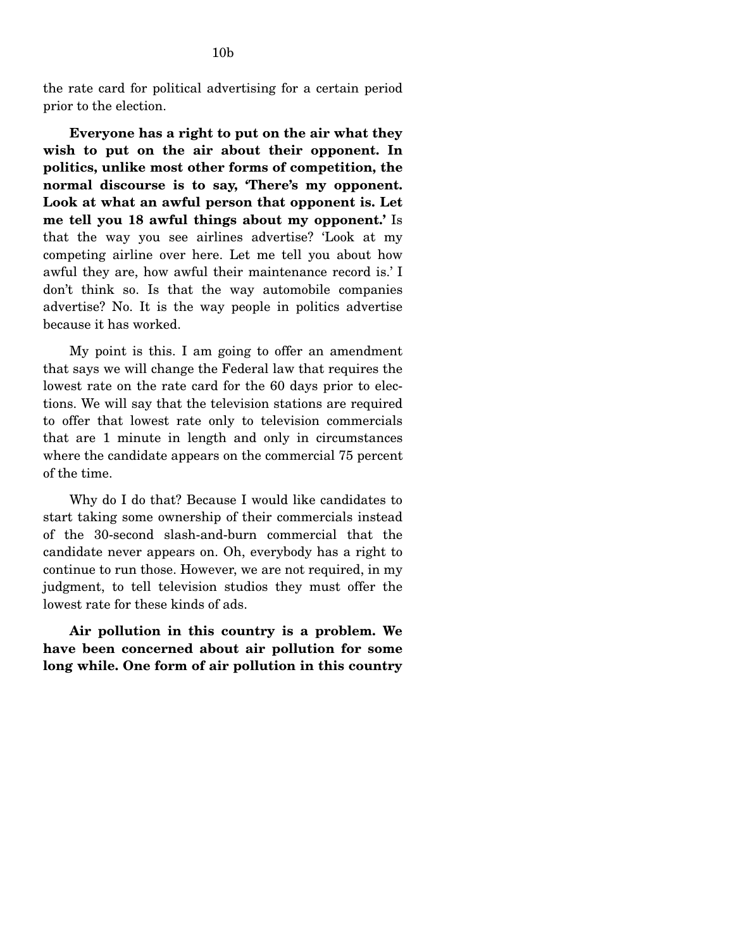the rate card for political advertising for a certain period prior to the election.

**Everyone has a right to put on the air what they wish to put on the air about their opponent. In politics, unlike most other forms of competition, the normal discourse is to say, 'There's my opponent. Look at what an awful person that opponent is. Let me tell you 18 awful things about my opponent.'** Is that the way you see airlines advertise? 'Look at my competing airline over here. Let me tell you about how awful they are, how awful their maintenance record is.' I don't think so. Is that the way automobile companies advertise? No. It is the way people in politics advertise because it has worked.

My point is this. I am going to offer an amendment that says we will change the Federal law that requires the lowest rate on the rate card for the 60 days prior to elections. We will say that the television stations are required to offer that lowest rate only to television commercials that are 1 minute in length and only in circumstances where the candidate appears on the commercial 75 percent of the time.

Why do I do that? Because I would like candidates to start taking some ownership of their commercials instead of the 30-second slash-and-burn commercial that the candidate never appears on. Oh, everybody has a right to continue to run those. However, we are not required, in my judgment, to tell television studios they must offer the lowest rate for these kinds of ads.

**Air pollution in this country is a problem. We have been concerned about air pollution for some long while. One form of air pollution in this country**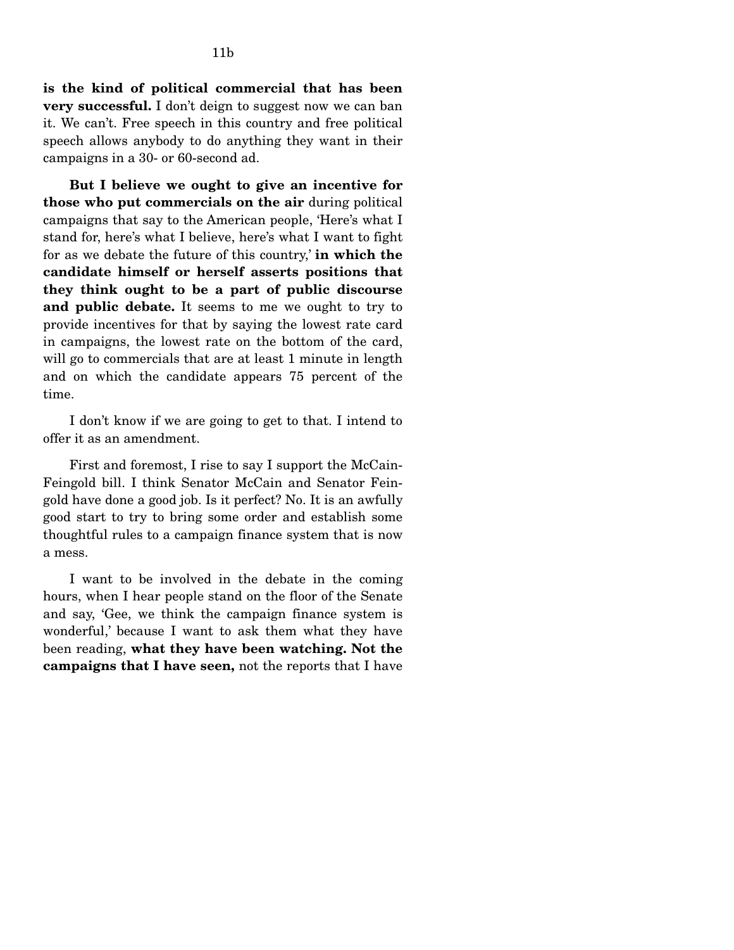**is the kind of political commercial that has been very successful.** I don't deign to suggest now we can ban it. We can't. Free speech in this country and free political speech allows anybody to do anything they want in their campaigns in a 30- or 60-second ad.

**But I believe we ought to give an incentive for those who put commercials on the air** during political campaigns that say to the American people, 'Here's what I stand for, here's what I believe, here's what I want to fight for as we debate the future of this country,' **in which the candidate himself or herself asserts positions that they think ought to be a part of public discourse and public debate.** It seems to me we ought to try to provide incentives for that by saying the lowest rate card in campaigns, the lowest rate on the bottom of the card, will go to commercials that are at least 1 minute in length and on which the candidate appears 75 percent of the time.

I don't know if we are going to get to that. I intend to offer it as an amendment.

First and foremost, I rise to say I support the McCain-Feingold bill. I think Senator McCain and Senator Feingold have done a good job. Is it perfect? No. It is an awfully good start to try to bring some order and establish some thoughtful rules to a campaign finance system that is now a mess.

I want to be involved in the debate in the coming hours, when I hear people stand on the floor of the Senate and say, 'Gee, we think the campaign finance system is wonderful,' because I want to ask them what they have been reading, **what they have been watching. Not the campaigns that I have seen,** not the reports that I have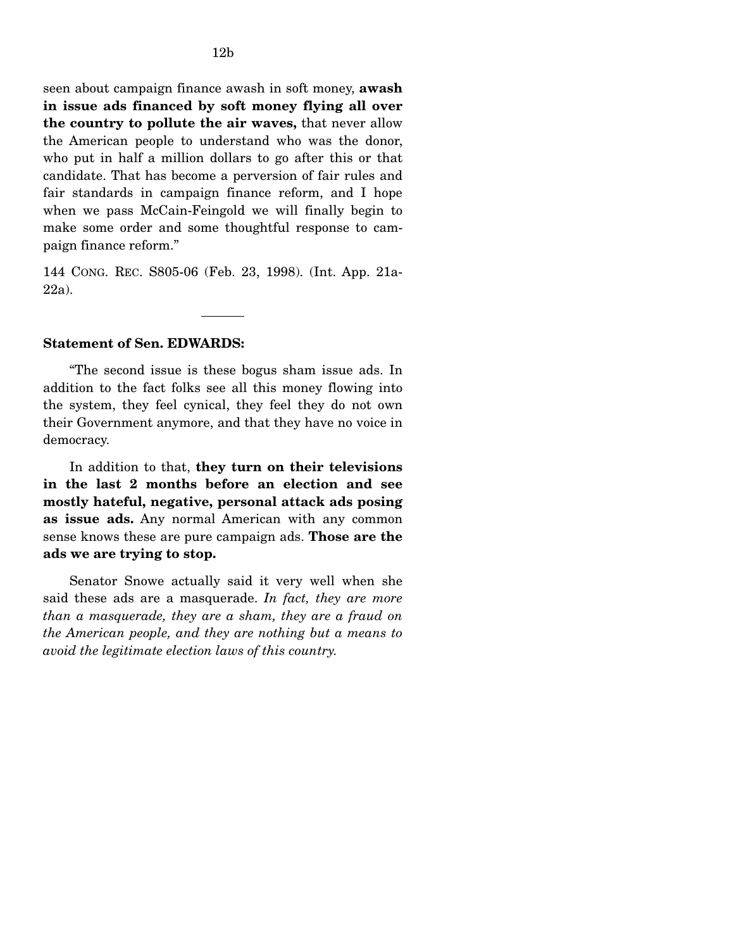seen about campaign finance awash in soft money, **awash in issue ads financed by soft money flying all over the country to pollute the air waves,** that never allow the American people to understand who was the donor, who put in half a million dollars to go after this or that candidate. That has become a perversion of fair rules and fair standards in campaign finance reform, and I hope when we pass McCain-Feingold we will finally begin to make some order and some thoughtful response to campaign finance reform."

144 CONG. REC. S805-06 (Feb. 23, 1998). (Int. App. 21a-22a).

## **Statement of Sen. EDWARDS:**

"The second issue is these bogus sham issue ads. In addition to the fact folks see all this money flowing into the system, they feel cynical, they feel they do not own their Government anymore, and that they have no voice in democracy.

In addition to that, **they turn on their televisions in the last 2 months before an election and see mostly hateful, negative, personal attack ads posing as issue ads.** Any normal American with any common sense knows these are pure campaign ads. **Those are the ads we are trying to stop.** 

Senator Snowe actually said it very well when she said these ads are a masquerade. *In fact, they are more than a masquerade, they are a sham, they are a fraud on the American people, and they are nothing but a means to avoid the legitimate election laws of this country.*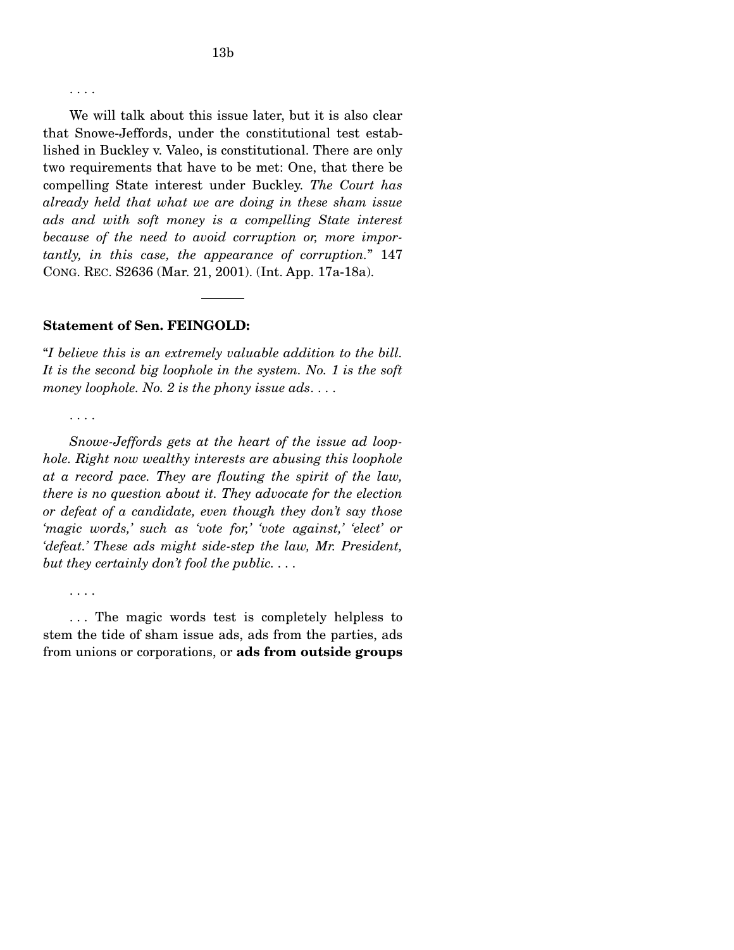. . . .

We will talk about this issue later, but it is also clear that Snowe-Jeffords, under the constitutional test established in Buckley v. Valeo, is constitutional. There are only two requirements that have to be met: One, that there be compelling State interest under Buckley. *The Court has already held that what we are doing in these sham issue ads and with soft money is a compelling State interest because of the need to avoid corruption or, more importantly, in this case, the appearance of corruption.*" 147 CONG. REC. S2636 (Mar. 21, 2001). (Int. App. 17a-18a).

### **Statement of Sen. FEINGOLD:**

"*I believe this is an extremely valuable addition to the bill. It is the second big loophole in the system. No. 1 is the soft money loophole. No. 2 is the phony issue ads*. . . .

. . . .

*Snowe-Jeffords gets at the heart of the issue ad loophole. Right now wealthy interests are abusing this loophole at a record pace. They are flouting the spirit of the law, there is no question about it. They advocate for the election or defeat of a candidate, even though they don't say those 'magic words,' such as 'vote for,' 'vote against,' 'elect' or 'defeat.' These ads might side-step the law, Mr. President, but they certainly don't fool the public. . . .* 

. . . .

. . . The magic words test is completely helpless to stem the tide of sham issue ads, ads from the parties, ads from unions or corporations, or **ads from outside groups**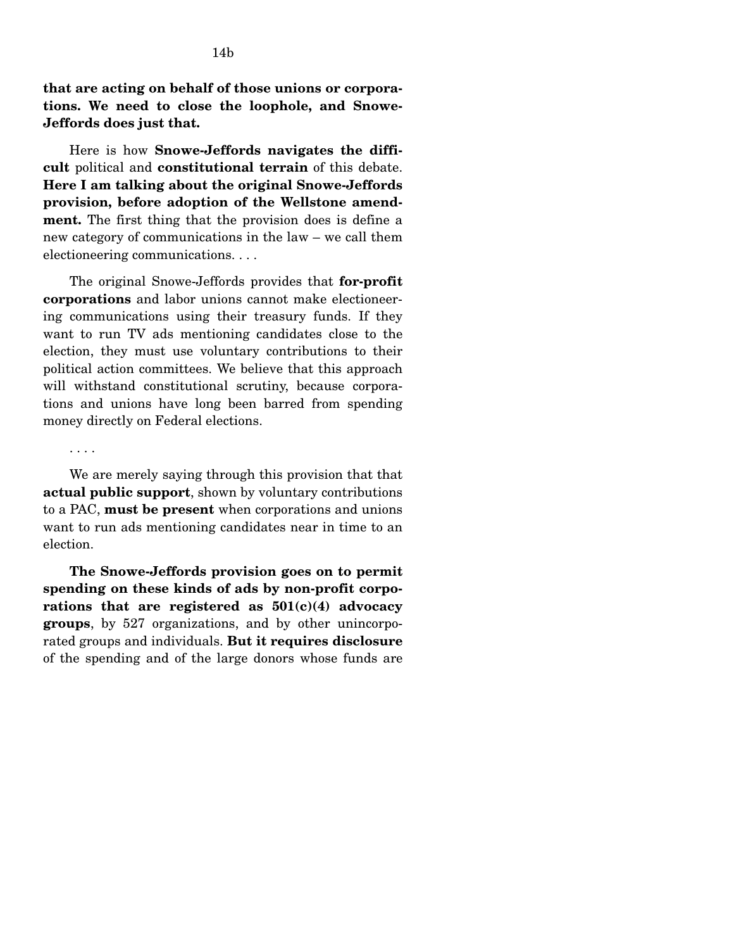**that are acting on behalf of those unions or corporations. We need to close the loophole, and Snowe-Jeffords does just that.** 

Here is how **Snowe-Jeffords navigates the difficult** political and **constitutional terrain** of this debate. **Here I am talking about the original Snowe-Jeffords provision, before adoption of the Wellstone amendment.** The first thing that the provision does is define a new category of communications in the law – we call them electioneering communications. . . .

The original Snowe-Jeffords provides that **for-profit corporations** and labor unions cannot make electioneering communications using their treasury funds. If they want to run TV ads mentioning candidates close to the election, they must use voluntary contributions to their political action committees. We believe that this approach will withstand constitutional scrutiny, because corporations and unions have long been barred from spending money directly on Federal elections.

. . . .

We are merely saying through this provision that that **actual public support**, shown by voluntary contributions to a PAC, **must be present** when corporations and unions want to run ads mentioning candidates near in time to an election.

**The Snowe-Jeffords provision goes on to permit spending on these kinds of ads by non-profit corporations that are registered as 501(c)(4) advocacy groups**, by 527 organizations, and by other unincorporated groups and individuals. **But it requires disclosure**  of the spending and of the large donors whose funds are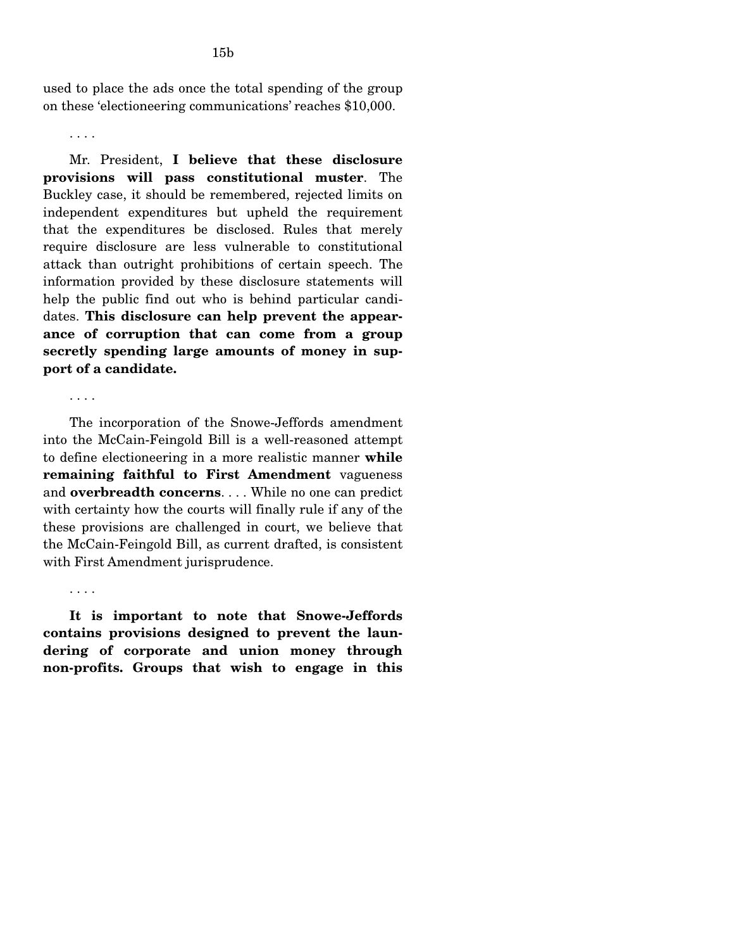. . . .

Mr. President, **I believe that these disclosure provisions will pass constitutional muster**. The Buckley case, it should be remembered, rejected limits on independent expenditures but upheld the requirement that the expenditures be disclosed. Rules that merely require disclosure are less vulnerable to constitutional attack than outright prohibitions of certain speech. The information provided by these disclosure statements will help the public find out who is behind particular candidates. **This disclosure can help prevent the appearance of corruption that can come from a group secretly spending large amounts of money in support of a candidate.** 

. . . .

The incorporation of the Snowe-Jeffords amendment into the McCain-Feingold Bill is a well-reasoned attempt to define electioneering in a more realistic manner **while remaining faithful to First Amendment** vagueness and **overbreadth concerns**. . . . While no one can predict with certainty how the courts will finally rule if any of the these provisions are challenged in court, we believe that the McCain-Feingold Bill, as current drafted, is consistent with First Amendment jurisprudence.

. . . .

**It is important to note that Snowe-Jeffords contains provisions designed to prevent the laundering of corporate and union money through non-profits. Groups that wish to engage in this**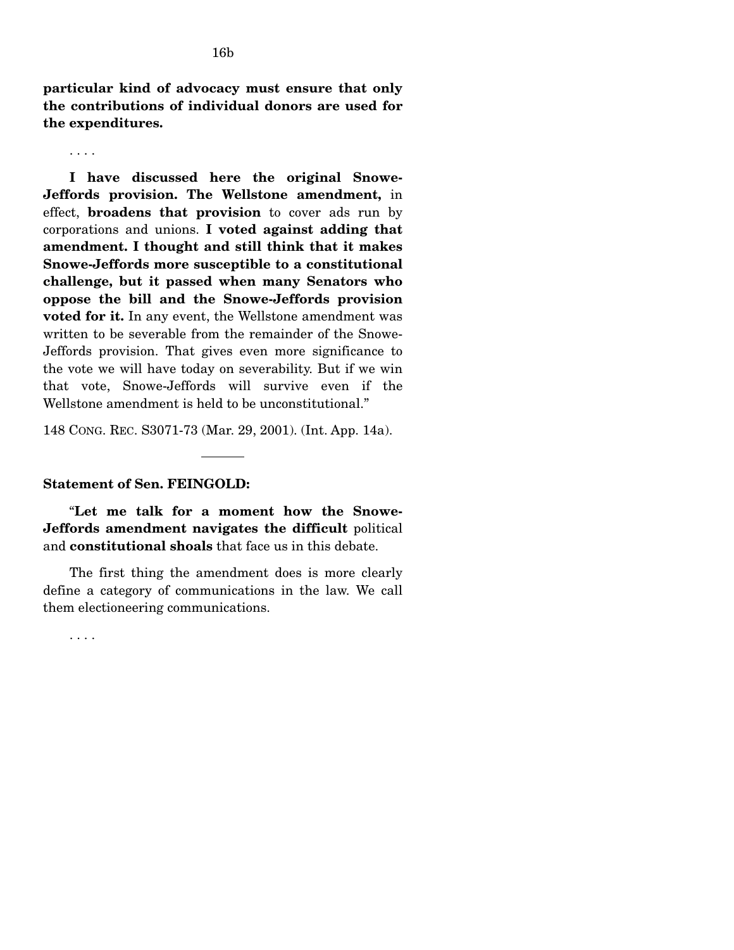. . . .

**I have discussed here the original Snowe-Jeffords provision. The Wellstone amendment,** in effect, **broadens that provision** to cover ads run by corporations and unions. **I voted against adding that amendment. I thought and still think that it makes Snowe-Jeffords more susceptible to a constitutional challenge, but it passed when many Senators who oppose the bill and the Snowe-Jeffords provision voted for it.** In any event, the Wellstone amendment was written to be severable from the remainder of the Snowe-Jeffords provision. That gives even more significance to the vote we will have today on severability. But if we win that vote, Snowe-Jeffords will survive even if the Wellstone amendment is held to be unconstitutional."

148 CONG. REC. S3071-73 (Mar. 29, 2001). (Int. App. 14a).

## **Statement of Sen. FEINGOLD:**

"**Let me talk for a moment how the Snowe-Jeffords amendment navigates the difficult** political and **constitutional shoals** that face us in this debate.

The first thing the amendment does is more clearly define a category of communications in the law. We call them electioneering communications.

. . . .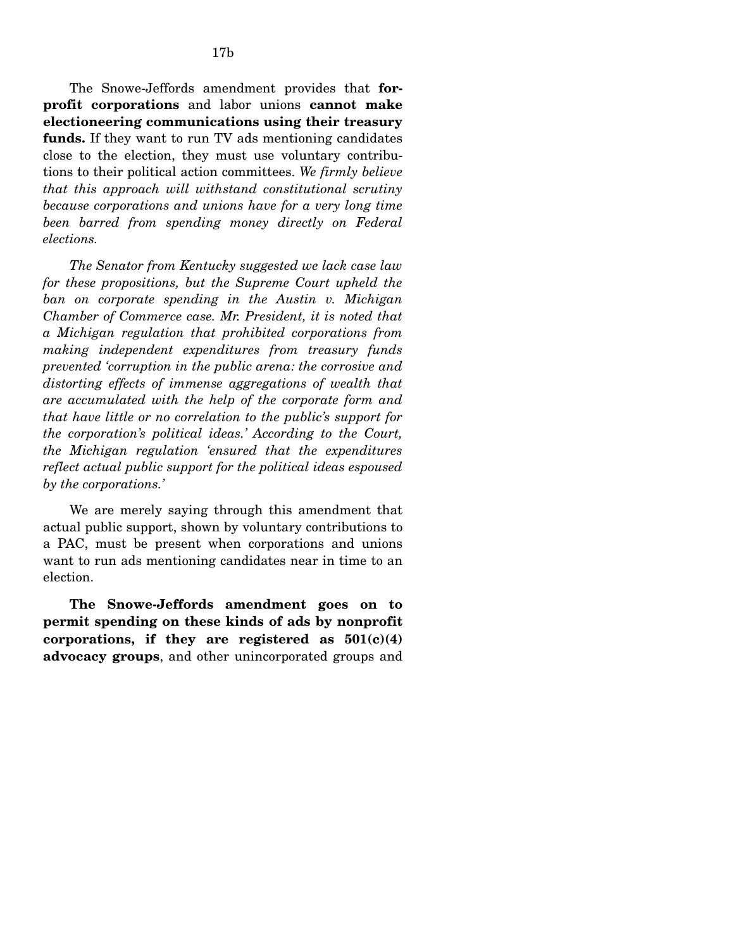The Snowe-Jeffords amendment provides that **forprofit corporations** and labor unions **cannot make electioneering communications using their treasury funds.** If they want to run TV ads mentioning candidates close to the election, they must use voluntary contributions to their political action committees. *We firmly believe that this approach will withstand constitutional scrutiny because corporations and unions have for a very long time been barred from spending money directly on Federal elections.* 

*The Senator from Kentucky suggested we lack case law for these propositions, but the Supreme Court upheld the ban on corporate spending in the Austin v. Michigan Chamber of Commerce case. Mr. President, it is noted that a Michigan regulation that prohibited corporations from making independent expenditures from treasury funds prevented 'corruption in the public arena: the corrosive and distorting effects of immense aggregations of wealth that are accumulated with the help of the corporate form and that have little or no correlation to the public's support for the corporation's political ideas.' According to the Court, the Michigan regulation 'ensured that the expenditures reflect actual public support for the political ideas espoused by the corporations.'* 

We are merely saying through this amendment that actual public support, shown by voluntary contributions to a PAC, must be present when corporations and unions want to run ads mentioning candidates near in time to an election.

**The Snowe-Jeffords amendment goes on to permit spending on these kinds of ads by nonprofit corporations, if they are registered as 501(c)(4) advocacy groups**, and other unincorporated groups and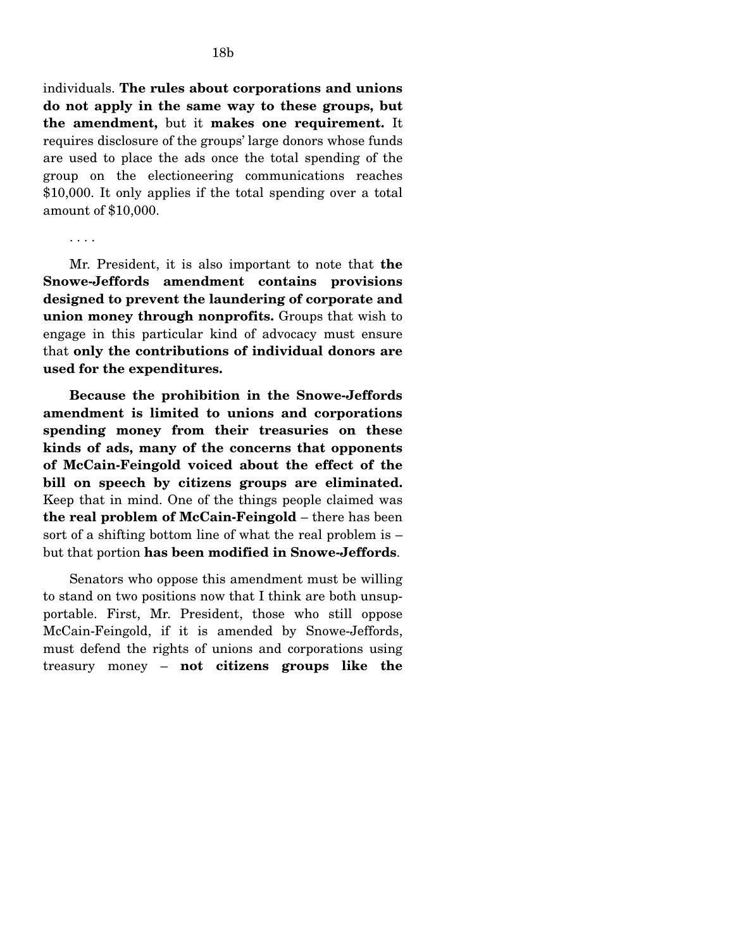individuals. **The rules about corporations and unions do not apply in the same way to these groups, but the amendment,** but it **makes one requirement.** It requires disclosure of the groups' large donors whose funds are used to place the ads once the total spending of the group on the electioneering communications reaches \$10,000. It only applies if the total spending over a total amount of \$10,000.

Mr. President, it is also important to note that **the Snowe-Jeffords amendment contains provisions designed to prevent the laundering of corporate and union money through nonprofits.** Groups that wish to engage in this particular kind of advocacy must ensure that **only the contributions of individual donors are used for the expenditures.** 

**Because the prohibition in the Snowe-Jeffords amendment is limited to unions and corporations spending money from their treasuries on these kinds of ads, many of the concerns that opponents of McCain-Feingold voiced about the effect of the bill on speech by citizens groups are eliminated.**  Keep that in mind. One of the things people claimed was **the real problem of McCain-Feingold** – there has been sort of a shifting bottom line of what the real problem is – but that portion **has been modified in Snowe-Jeffords**.

Senators who oppose this amendment must be willing to stand on two positions now that I think are both unsupportable. First, Mr. President, those who still oppose McCain-Feingold, if it is amended by Snowe-Jeffords, must defend the rights of unions and corporations using treasury money – **not citizens groups like the** 

<sup>. . . .</sup>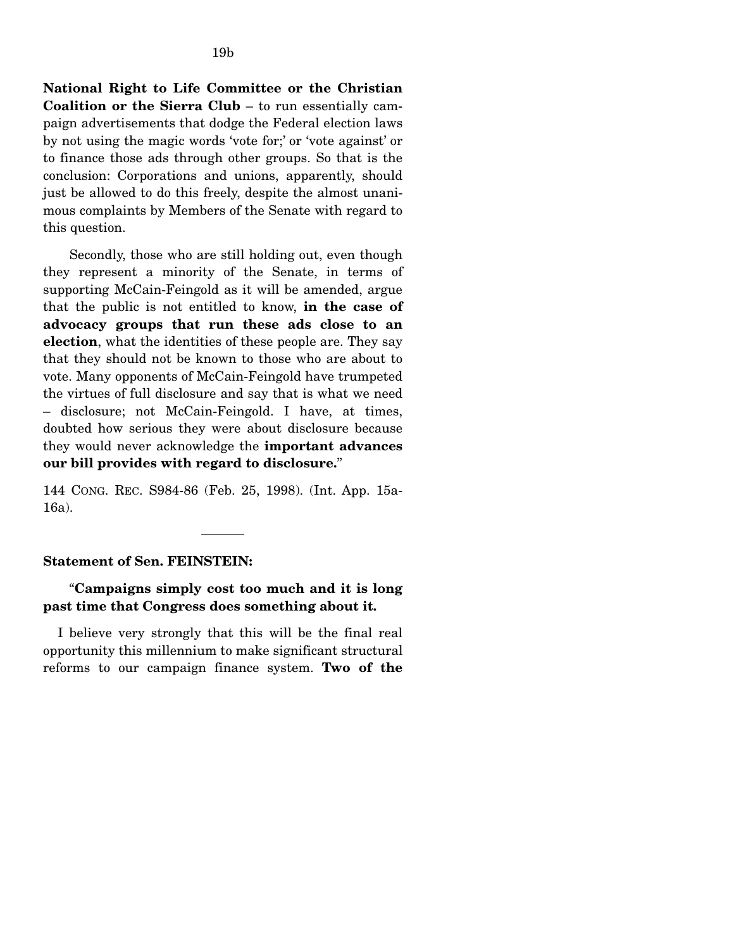**National Right to Life Committee or the Christian Coalition or the Sierra Club** – to run essentially campaign advertisements that dodge the Federal election laws by not using the magic words 'vote for;' or 'vote against' or to finance those ads through other groups. So that is the conclusion: Corporations and unions, apparently, should just be allowed to do this freely, despite the almost unanimous complaints by Members of the Senate with regard to this question.

Secondly, those who are still holding out, even though they represent a minority of the Senate, in terms of supporting McCain-Feingold as it will be amended, argue that the public is not entitled to know, **in the case of advocacy groups that run these ads close to an election**, what the identities of these people are. They say that they should not be known to those who are about to vote. Many opponents of McCain-Feingold have trumpeted the virtues of full disclosure and say that is what we need – disclosure; not McCain-Feingold. I have, at times, doubted how serious they were about disclosure because they would never acknowledge the **important advances our bill provides with regard to disclosure.**"

144 CONG. REC. S984-86 (Feb. 25, 1998). (Int. App. 15a-16a).

### **Statement of Sen. FEINSTEIN:**

# "**Campaigns simply cost too much and it is long past time that Congress does something about it.**

I believe very strongly that this will be the final real opportunity this millennium to make significant structural reforms to our campaign finance system. **Two of the**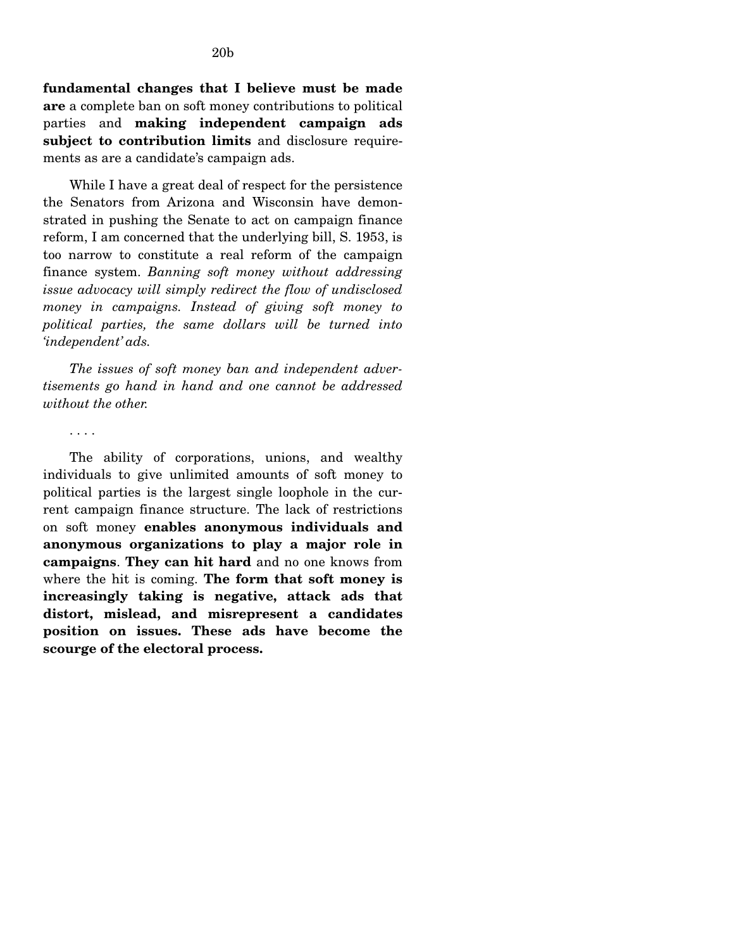**fundamental changes that I believe must be made are** a complete ban on soft money contributions to political parties and **making independent campaign ads subject to contribution limits** and disclosure requirements as are a candidate's campaign ads.

While I have a great deal of respect for the persistence the Senators from Arizona and Wisconsin have demonstrated in pushing the Senate to act on campaign finance reform, I am concerned that the underlying bill, S. 1953, is too narrow to constitute a real reform of the campaign finance system. *Banning soft money without addressing issue advocacy will simply redirect the flow of undisclosed money in campaigns. Instead of giving soft money to political parties, the same dollars will be turned into 'independent' ads.* 

*The issues of soft money ban and independent advertisements go hand in hand and one cannot be addressed without the other.* 

. . . .

The ability of corporations, unions, and wealthy individuals to give unlimited amounts of soft money to political parties is the largest single loophole in the current campaign finance structure. The lack of restrictions on soft money **enables anonymous individuals and anonymous organizations to play a major role in campaigns**. **They can hit hard** and no one knows from where the hit is coming. **The form that soft money is increasingly taking is negative, attack ads that distort, mislead, and misrepresent a candidates position on issues. These ads have become the scourge of the electoral process.**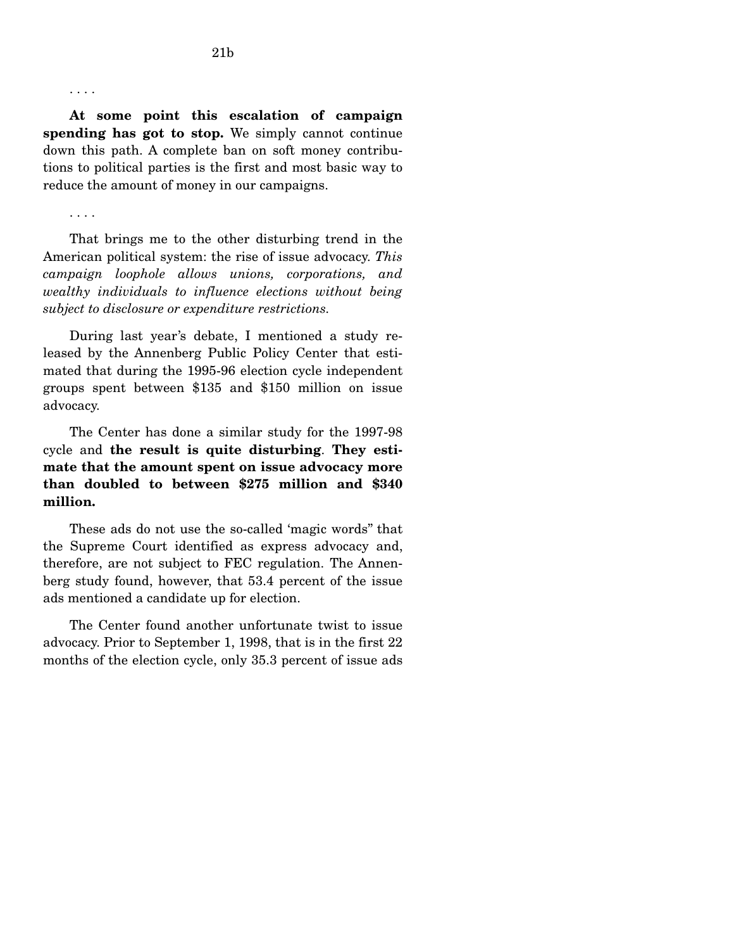. . . .

**At some point this escalation of campaign spending has got to stop.** We simply cannot continue down this path. A complete ban on soft money contributions to political parties is the first and most basic way to reduce the amount of money in our campaigns.

. . . .

That brings me to the other disturbing trend in the American political system: the rise of issue advocacy. *This campaign loophole allows unions, corporations, and wealthy individuals to influence elections without being subject to disclosure or expenditure restrictions.* 

During last year's debate, I mentioned a study released by the Annenberg Public Policy Center that estimated that during the 1995-96 election cycle independent groups spent between \$135 and \$150 million on issue advocacy.

The Center has done a similar study for the 1997-98 cycle and **the result is quite disturbing**. **They estimate that the amount spent on issue advocacy more than doubled to between \$275 million and \$340 million.** 

These ads do not use the so-called 'magic words'' that the Supreme Court identified as express advocacy and, therefore, are not subject to FEC regulation. The Annenberg study found, however, that 53.4 percent of the issue ads mentioned a candidate up for election.

The Center found another unfortunate twist to issue advocacy. Prior to September 1, 1998, that is in the first 22 months of the election cycle, only 35.3 percent of issue ads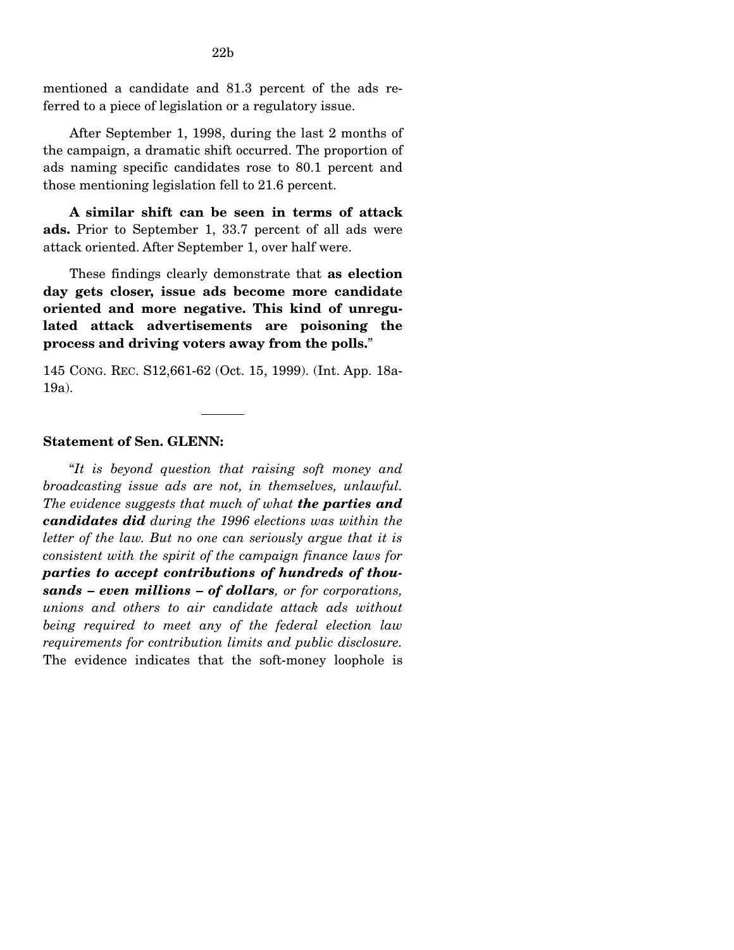mentioned a candidate and 81.3 percent of the ads referred to a piece of legislation or a regulatory issue.

After September 1, 1998, during the last 2 months of the campaign, a dramatic shift occurred. The proportion of ads naming specific candidates rose to 80.1 percent and those mentioning legislation fell to 21.6 percent.

**A similar shift can be seen in terms of attack ads.** Prior to September 1, 33.7 percent of all ads were attack oriented. After September 1, over half were.

These findings clearly demonstrate that **as election day gets closer, issue ads become more candidate oriented and more negative. This kind of unregulated attack advertisements are poisoning the process and driving voters away from the polls.**"

145 CONG. REC. S12,661-62 (Oct. 15, 1999). (Int. App. 18a-19a).

### **Statement of Sen. GLENN:**

"*It is beyond question that raising soft money and broadcasting issue ads are not, in themselves, unlawful. The evidence suggests that much of what the parties and candidates did during the 1996 elections was within the letter of the law. But no one can seriously argue that it is consistent with the spirit of the campaign finance laws for parties to accept contributions of hundreds of thousands – even millions – of dollars, or for corporations, unions and others to air candidate attack ads without being required to meet any of the federal election law requirements for contribution limits and public disclosure.*  The evidence indicates that the soft-money loophole is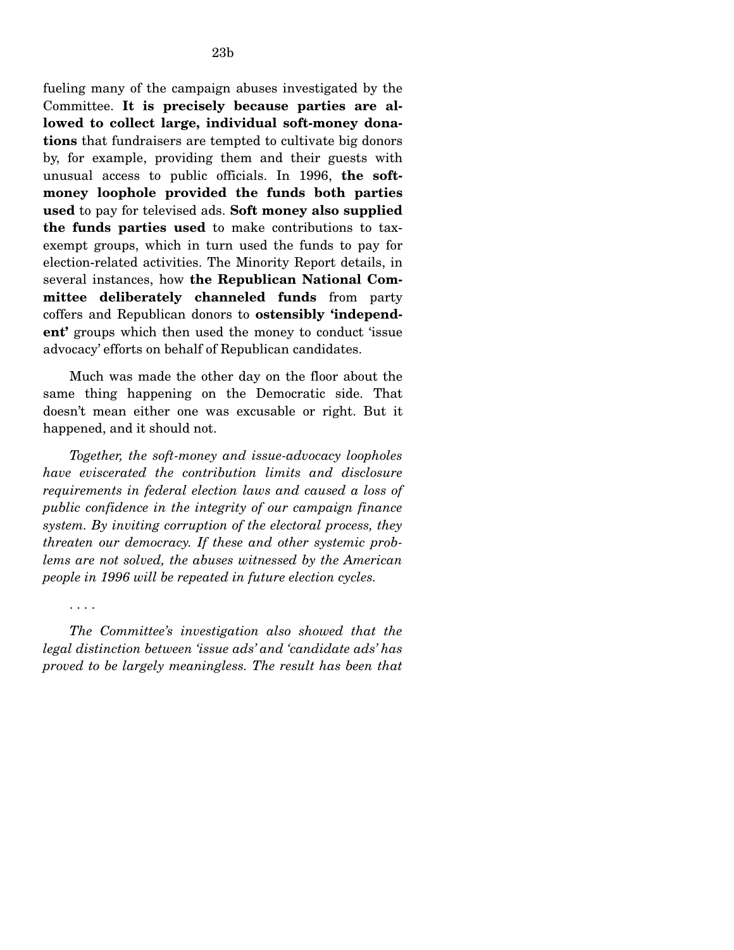fueling many of the campaign abuses investigated by the Committee. **It is precisely because parties are allowed to collect large, individual soft-money donations** that fundraisers are tempted to cultivate big donors by, for example, providing them and their guests with unusual access to public officials. In 1996, **the softmoney loophole provided the funds both parties used** to pay for televised ads. **Soft money also supplied the funds parties used** to make contributions to taxexempt groups, which in turn used the funds to pay for election-related activities. The Minority Report details, in several instances, how **the Republican National Committee deliberately channeled funds** from party coffers and Republican donors to **ostensibly 'independent'** groups which then used the money to conduct 'issue advocacy' efforts on behalf of Republican candidates.

Much was made the other day on the floor about the same thing happening on the Democratic side. That doesn't mean either one was excusable or right. But it happened, and it should not.

*Together, the soft-money and issue-advocacy loopholes have eviscerated the contribution limits and disclosure requirements in federal election laws and caused a loss of public confidence in the integrity of our campaign finance system. By inviting corruption of the electoral process, they threaten our democracy. If these and other systemic problems are not solved, the abuses witnessed by the American people in 1996 will be repeated in future election cycles.* 

. . . .

*The Committee's investigation also showed that the legal distinction between 'issue ads' and 'candidate ads' has proved to be largely meaningless. The result has been that*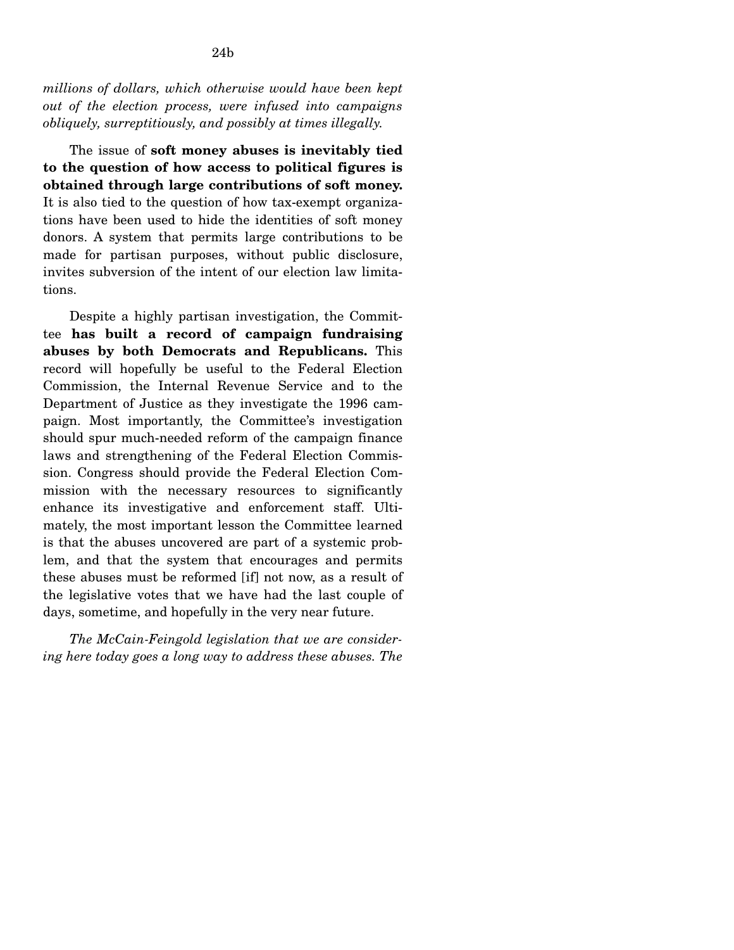*millions of dollars, which otherwise would have been kept out of the election process, were infused into campaigns obliquely, surreptitiously, and possibly at times illegally.* 

The issue of **soft money abuses is inevitably tied to the question of how access to political figures is obtained through large contributions of soft money.**  It is also tied to the question of how tax-exempt organizations have been used to hide the identities of soft money donors. A system that permits large contributions to be made for partisan purposes, without public disclosure, invites subversion of the intent of our election law limitations.

Despite a highly partisan investigation, the Committee **has built a record of campaign fundraising abuses by both Democrats and Republicans.** This record will hopefully be useful to the Federal Election Commission, the Internal Revenue Service and to the Department of Justice as they investigate the 1996 campaign. Most importantly, the Committee's investigation should spur much-needed reform of the campaign finance laws and strengthening of the Federal Election Commission. Congress should provide the Federal Election Commission with the necessary resources to significantly enhance its investigative and enforcement staff. Ultimately, the most important lesson the Committee learned is that the abuses uncovered are part of a systemic problem, and that the system that encourages and permits these abuses must be reformed [if] not now, as a result of the legislative votes that we have had the last couple of days, sometime, and hopefully in the very near future.

*The McCain-Feingold legislation that we are considering here today goes a long way to address these abuses. The*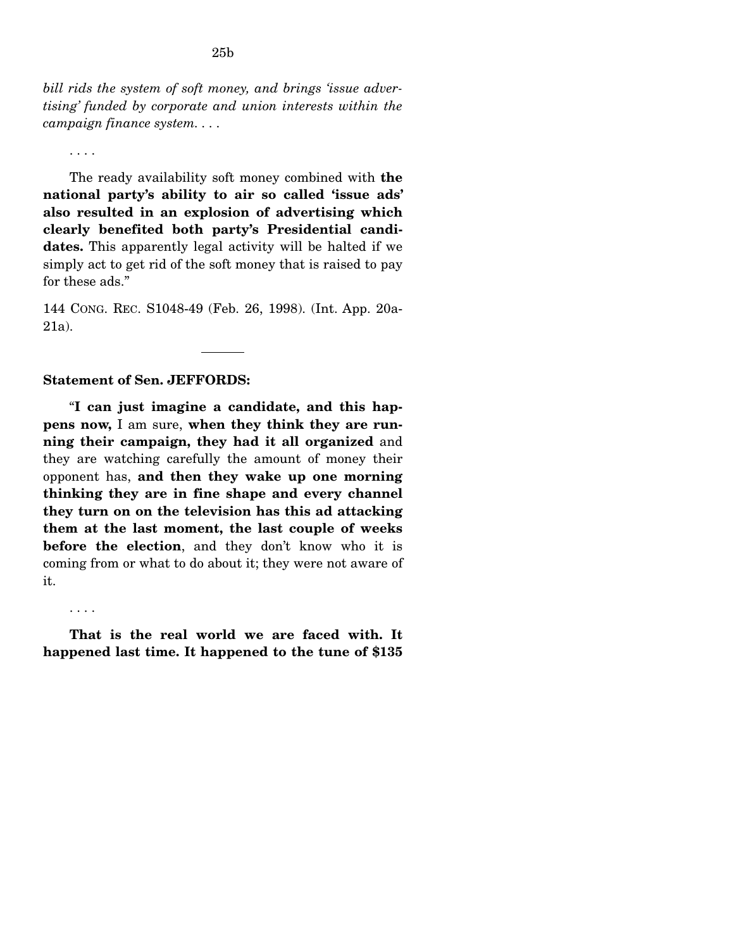*bill rids the system of soft money, and brings 'issue advertising' funded by corporate and union interests within the campaign finance system. . . .* 

. . . .

The ready availability soft money combined with **the national party's ability to air so called 'issue ads' also resulted in an explosion of advertising which clearly benefited both party's Presidential candidates.** This apparently legal activity will be halted if we simply act to get rid of the soft money that is raised to pay for these ads."

144 CONG. REC. S1048-49 (Feb. 26, 1998). (Int. App. 20a-21a).

#### **Statement of Sen. JEFFORDS:**

"**I can just imagine a candidate, and this happens now,** I am sure, **when they think they are running their campaign, they had it all organized** and they are watching carefully the amount of money their opponent has, **and then they wake up one morning thinking they are in fine shape and every channel they turn on on the television has this ad attacking them at the last moment, the last couple of weeks before the election**, and they don't know who it is coming from or what to do about it; they were not aware of it.

. . . .

**That is the real world we are faced with. It happened last time. It happened to the tune of \$135**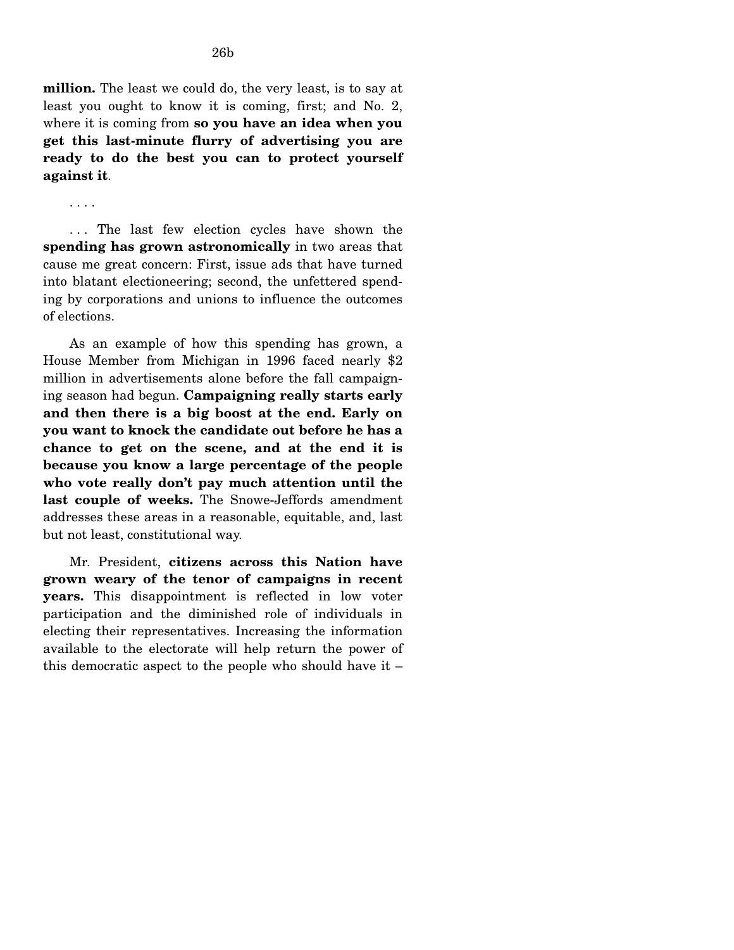**million.** The least we could do, the very least, is to say at least you ought to know it is coming, first; and No. 2, where it is coming from **so you have an idea when you get this last-minute flurry of advertising you are ready to do the best you can to protect yourself against it**.

. . . .

... The last few election cycles have shown the **spending has grown astronomically** in two areas that cause me great concern: First, issue ads that have turned into blatant electioneering; second, the unfettered spending by corporations and unions to influence the outcomes of elections.

As an example of how this spending has grown, a House Member from Michigan in 1996 faced nearly \$2 million in advertisements alone before the fall campaigning season had begun. **Campaigning really starts early and then there is a big boost at the end. Early on you want to knock the candidate out before he has a chance to get on the scene, and at the end it is because you know a large percentage of the people who vote really don't pay much attention until the last couple of weeks.** The Snowe-Jeffords amendment addresses these areas in a reasonable, equitable, and, last but not least, constitutional way.

Mr. President, **citizens across this Nation have grown weary of the tenor of campaigns in recent years.** This disappointment is reflected in low voter participation and the diminished role of individuals in electing their representatives. Increasing the information available to the electorate will help return the power of this democratic aspect to the people who should have it –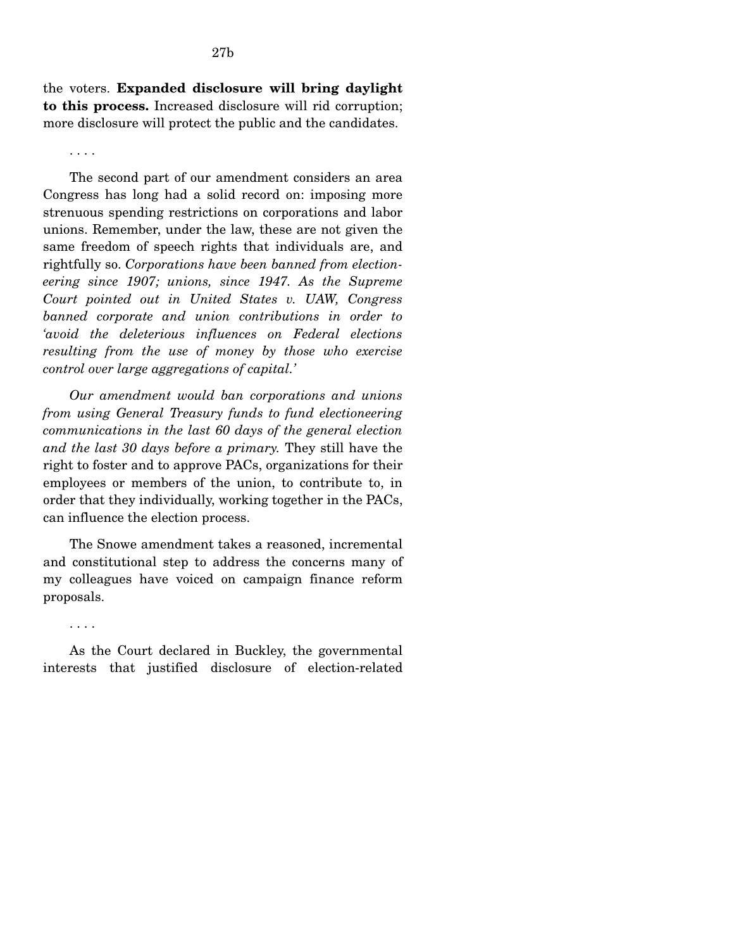the voters. **Expanded disclosure will bring daylight to this process.** Increased disclosure will rid corruption; more disclosure will protect the public and the candidates.

#### . . . .

. . . .

The second part of our amendment considers an area Congress has long had a solid record on: imposing more strenuous spending restrictions on corporations and labor unions. Remember, under the law, these are not given the same freedom of speech rights that individuals are, and rightfully so. *Corporations have been banned from electioneering since 1907; unions, since 1947. As the Supreme Court pointed out in United States v. UAW, Congress banned corporate and union contributions in order to 'avoid the deleterious influences on Federal elections resulting from the use of money by those who exercise control over large aggregations of capital.'* 

*Our amendment would ban corporations and unions from using General Treasury funds to fund electioneering communications in the last 60 days of the general election and the last 30 days before a primary.* They still have the right to foster and to approve PACs, organizations for their employees or members of the union, to contribute to, in order that they individually, working together in the PACs, can influence the election process.

The Snowe amendment takes a reasoned, incremental and constitutional step to address the concerns many of my colleagues have voiced on campaign finance reform proposals.

As the Court declared in Buckley, the governmental interests that justified disclosure of election-related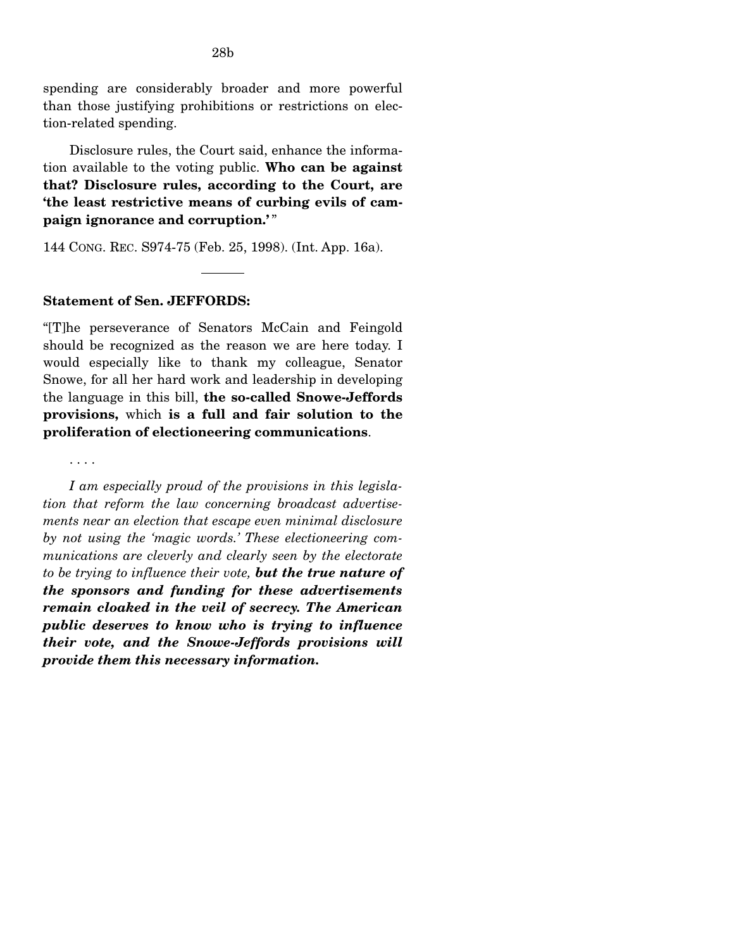spending are considerably broader and more powerful than those justifying prohibitions or restrictions on election-related spending.

Disclosure rules, the Court said, enhance the information available to the voting public. **Who can be against that? Disclosure rules, according to the Court, are 'the least restrictive means of curbing evils of campaign ignorance and corruption.'** "

144 CONG. REC. S974-75 (Feb. 25, 1998). (Int. App. 16a).

### **Statement of Sen. JEFFORDS:**

"[T]he perseverance of Senators McCain and Feingold should be recognized as the reason we are here today. I would especially like to thank my colleague, Senator Snowe, for all her hard work and leadership in developing the language in this bill, **the so-called Snowe-Jeffords provisions,** which **is a full and fair solution to the proliferation of electioneering communications**.

. . . .

*I am especially proud of the provisions in this legislation that reform the law concerning broadcast advertisements near an election that escape even minimal disclosure by not using the 'magic words.' These electioneering communications are cleverly and clearly seen by the electorate to be trying to influence their vote, but the true nature of the sponsors and funding for these advertisements remain cloaked in the veil of secrecy. The American public deserves to know who is trying to influence their vote, and the Snowe-Jeffords provisions will provide them this necessary information.*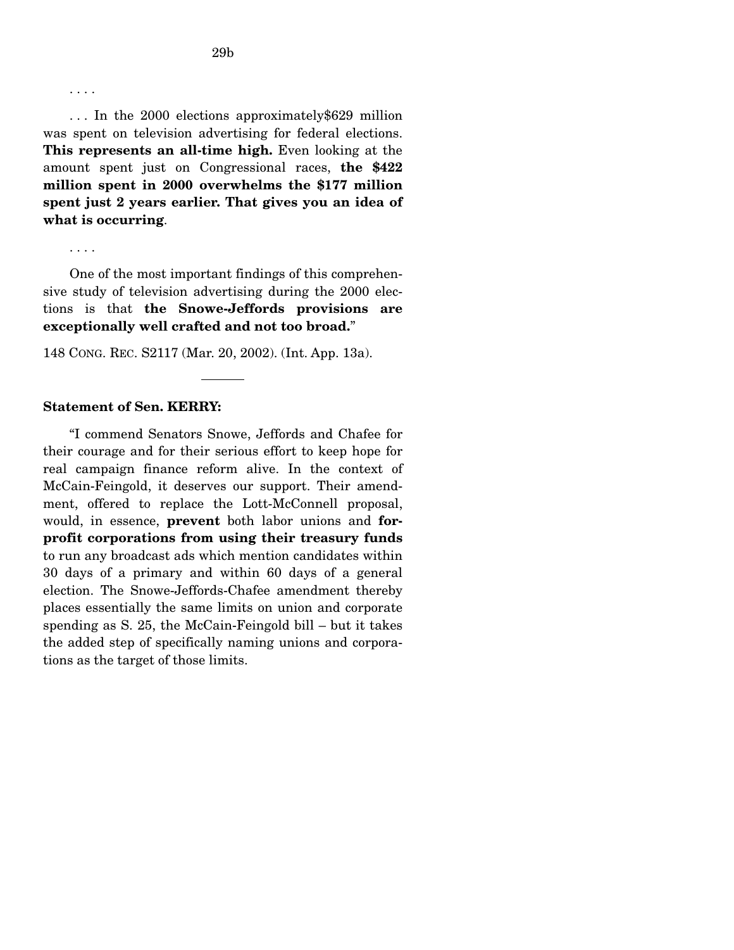. . . .

. . . In the 2000 elections approximately\$629 million was spent on television advertising for federal elections. **This represents an all-time high.** Even looking at the amount spent just on Congressional races, **the \$422 million spent in 2000 overwhelms the \$177 million spent just 2 years earlier. That gives you an idea of what is occurring**.

. . . .

One of the most important findings of this comprehensive study of television advertising during the 2000 elections is that **the Snowe-Jeffords provisions are exceptionally well crafted and not too broad.**"

148 CONG. REC. S2117 (Mar. 20, 2002). (Int. App. 13a).

#### **Statement of Sen. KERRY:**

"I commend Senators Snowe, Jeffords and Chafee for their courage and for their serious effort to keep hope for real campaign finance reform alive. In the context of McCain-Feingold, it deserves our support. Their amendment, offered to replace the Lott-McConnell proposal, would, in essence, **prevent** both labor unions and **forprofit corporations from using their treasury funds**  to run any broadcast ads which mention candidates within 30 days of a primary and within 60 days of a general election. The Snowe-Jeffords-Chafee amendment thereby places essentially the same limits on union and corporate spending as S. 25, the McCain-Feingold bill – but it takes the added step of specifically naming unions and corporations as the target of those limits.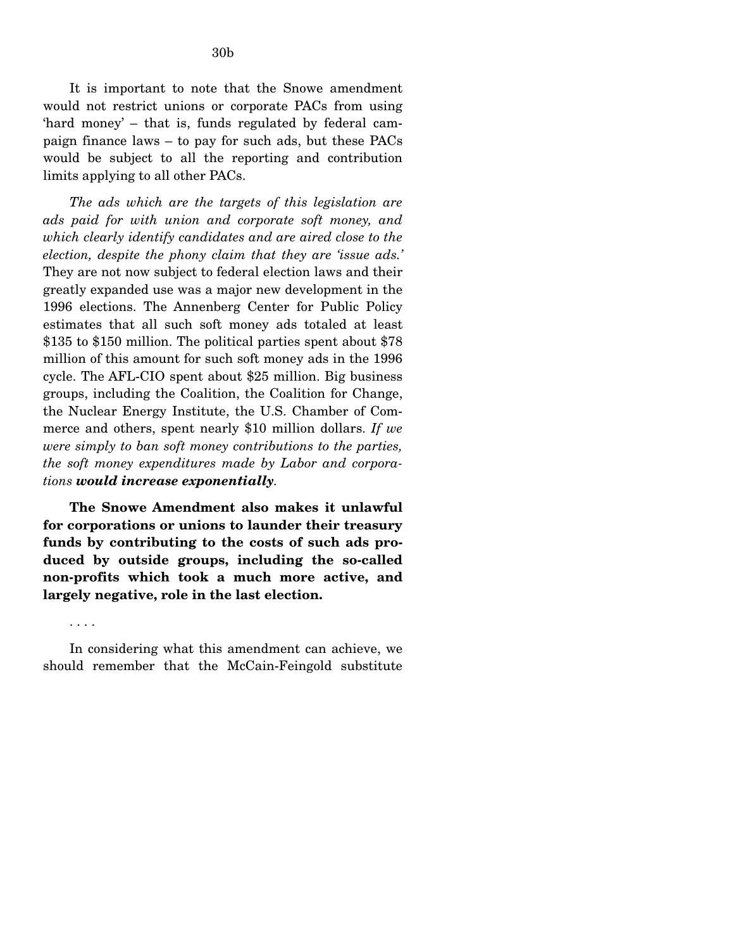It is important to note that the Snowe amendment would not restrict unions or corporate PACs from using 'hard money' – that is, funds regulated by federal campaign finance laws – to pay for such ads, but these PACs would be subject to all the reporting and contribution limits applying to all other PACs.

*The ads which are the targets of this legislation are ads paid for with union and corporate soft money, and which clearly identify candidates and are aired close to the election, despite the phony claim that they are 'issue ads.'*  They are not now subject to federal election laws and their greatly expanded use was a major new development in the 1996 elections. The Annenberg Center for Public Policy estimates that all such soft money ads totaled at least \$135 to \$150 million. The political parties spent about \$78 million of this amount for such soft money ads in the 1996 cycle. The AFL-CIO spent about \$25 million. Big business groups, including the Coalition, the Coalition for Change, the Nuclear Energy Institute, the U.S. Chamber of Commerce and others, spent nearly \$10 million dollars. *If we were simply to ban soft money contributions to the parties, the soft money expenditures made by Labor and corporations would increase exponentially.* 

**The Snowe Amendment also makes it unlawful for corporations or unions to launder their treasury funds by contributing to the costs of such ads produced by outside groups, including the so-called non-profits which took a much more active, and largely negative, role in the last election.** 

In considering what this amendment can achieve, we should remember that the McCain-Feingold substitute

. . . .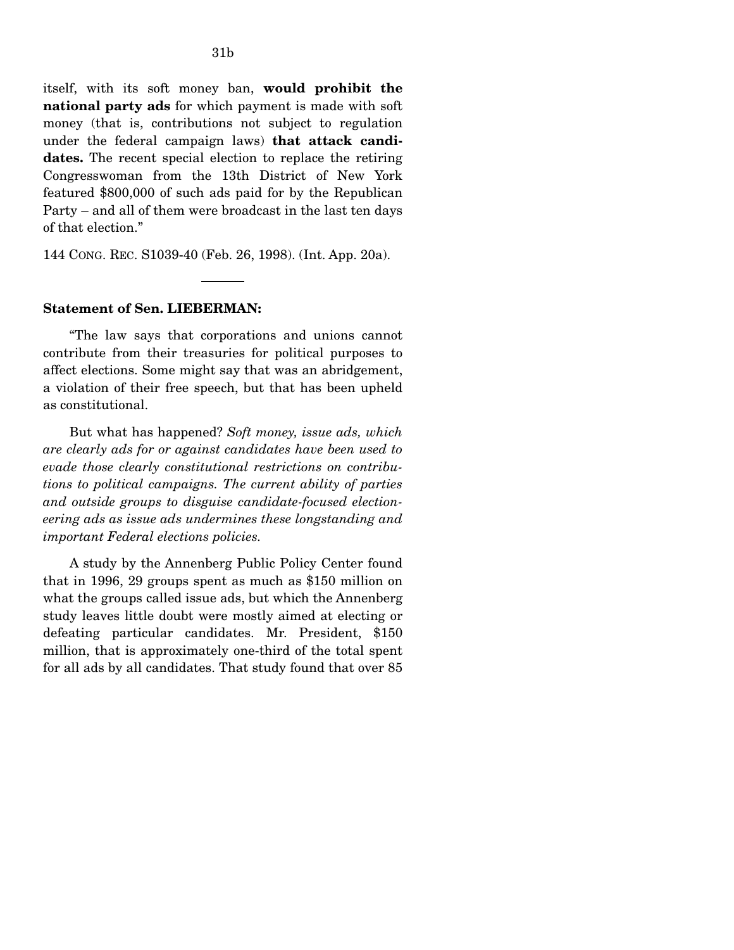itself, with its soft money ban, **would prohibit the national party ads** for which payment is made with soft money (that is, contributions not subject to regulation under the federal campaign laws) **that attack candidates.** The recent special election to replace the retiring Congresswoman from the 13th District of New York featured \$800,000 of such ads paid for by the Republican Party – and all of them were broadcast in the last ten days of that election."

144 CONG. REC. S1039-40 (Feb. 26, 1998). (Int. App. 20a).

#### **Statement of Sen. LIEBERMAN:**

"The law says that corporations and unions cannot contribute from their treasuries for political purposes to affect elections. Some might say that was an abridgement, a violation of their free speech, but that has been upheld as constitutional.

But what has happened? *Soft money, issue ads, which are clearly ads for or against candidates have been used to evade those clearly constitutional restrictions on contributions to political campaigns. The current ability of parties and outside groups to disguise candidate-focused electioneering ads as issue ads undermines these longstanding and important Federal elections policies.* 

A study by the Annenberg Public Policy Center found that in 1996, 29 groups spent as much as \$150 million on what the groups called issue ads, but which the Annenberg study leaves little doubt were mostly aimed at electing or defeating particular candidates. Mr. President, \$150 million, that is approximately one-third of the total spent for all ads by all candidates. That study found that over 85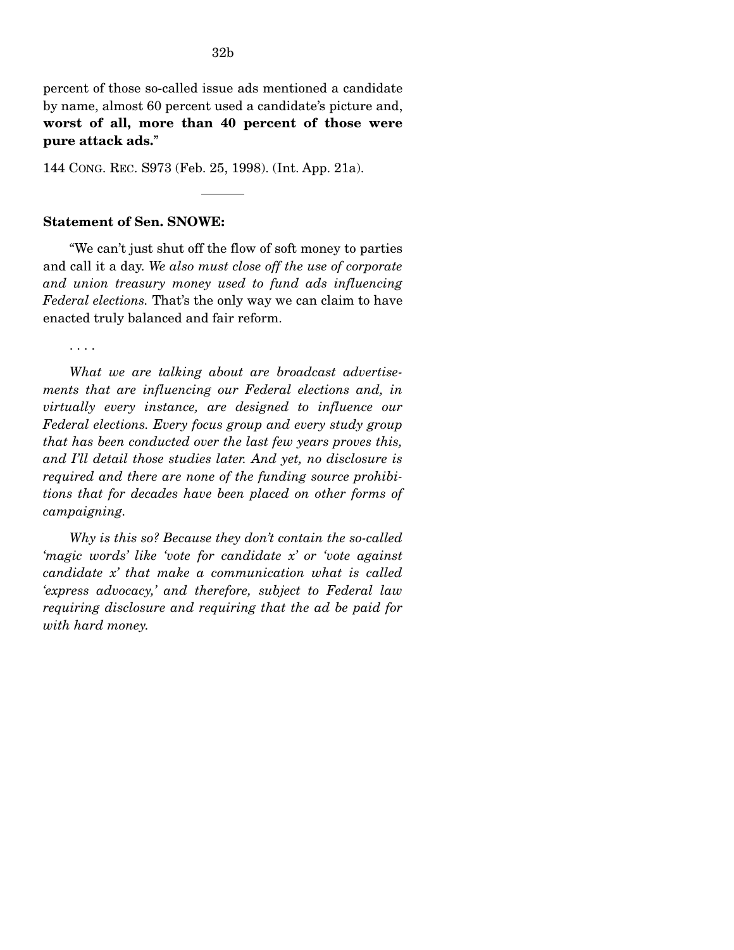percent of those so-called issue ads mentioned a candidate by name, almost 60 percent used a candidate's picture and, **worst of all, more than 40 percent of those were pure attack ads.**"

144 CONG. REC. S973 (Feb. 25, 1998). (Int. App. 21a).

### **Statement of Sen. SNOWE:**

"We can't just shut off the flow of soft money to parties and call it a day. *We also must close off the use of corporate and union treasury money used to fund ads influencing Federal elections.* That's the only way we can claim to have enacted truly balanced and fair reform.

. . . .

*What we are talking about are broadcast advertisements that are influencing our Federal elections and, in virtually every instance, are designed to influence our Federal elections. Every focus group and every study group that has been conducted over the last few years proves this, and I'll detail those studies later. And yet, no disclosure is required and there are none of the funding source prohibitions that for decades have been placed on other forms of campaigning.* 

*Why is this so? Because they don't contain the so-called 'magic words' like 'vote for candidate x' or 'vote against candidate x' that make a communication what is called 'express advocacy,' and therefore, subject to Federal law requiring disclosure and requiring that the ad be paid for with hard money.*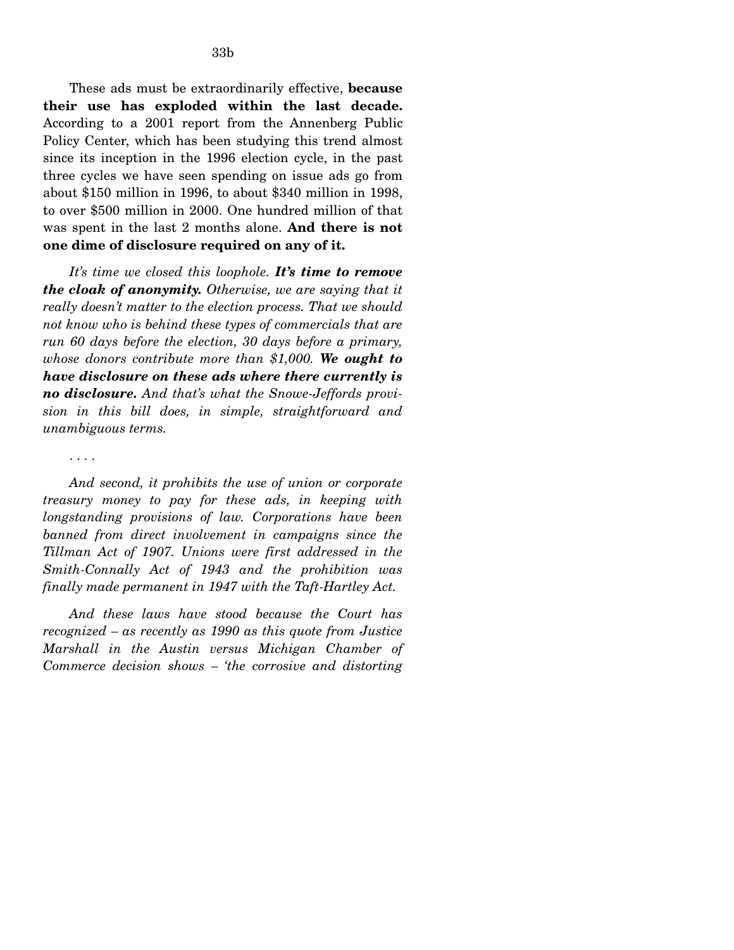These ads must be extraordinarily effective, **because their use has exploded within the last decade.**  According to a 2001 report from the Annenberg Public Policy Center, which has been studying this trend almost since its inception in the 1996 election cycle, in the past three cycles we have seen spending on issue ads go from about \$150 million in 1996, to about \$340 million in 1998, to over \$500 million in 2000. One hundred million of that was spent in the last 2 months alone. **And there is not one dime of disclosure required on any of it.** 

*It's time we closed this loophole. It's time to remove the cloak of anonymity. Otherwise, we are saying that it really doesn't matter to the election process. That we should not know who is behind these types of commercials that are run 60 days before the election, 30 days before a primary, whose donors contribute more than \$1,000. We ought to have disclosure on these ads where there currently is no disclosure. And that's what the Snowe-Jeffords provision in this bill does, in simple, straightforward and unambiguous terms.* 

. . . .

*And second, it prohibits the use of union or corporate treasury money to pay for these ads, in keeping with longstanding provisions of law. Corporations have been banned from direct involvement in campaigns since the Tillman Act of 1907. Unions were first addressed in the Smith-Connally Act of 1943 and the prohibition was finally made permanent in 1947 with the Taft-Hartley Act.* 

*And these laws have stood because the Court has recognized – as recently as 1990 as this quote from Justice Marshall in the Austin versus Michigan Chamber of Commerce decision shows – 'the corrosive and distorting*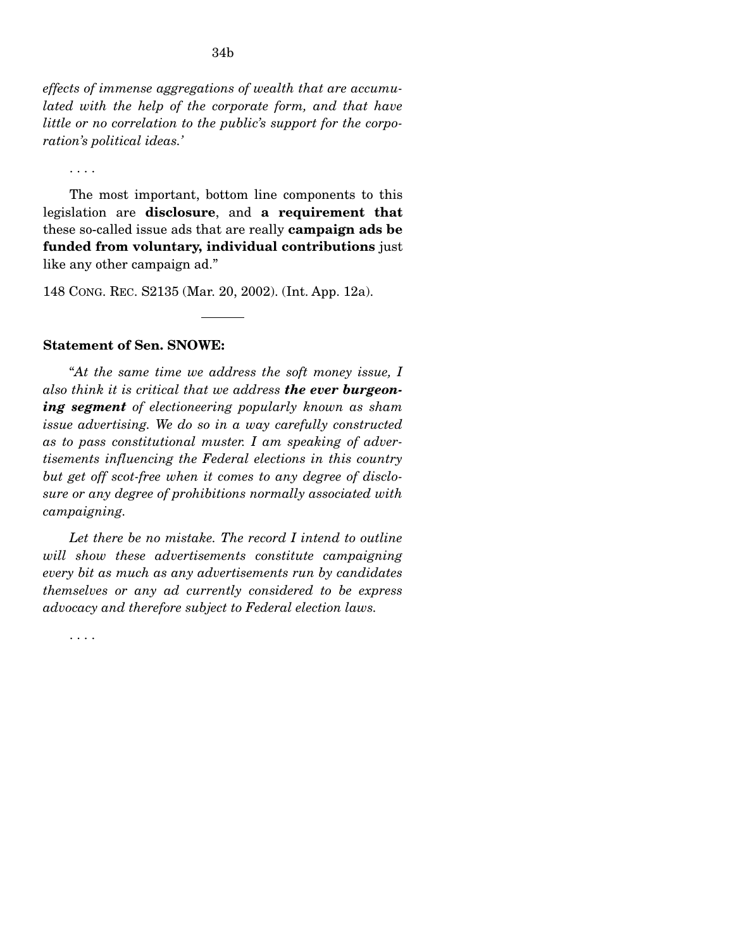*effects of immense aggregations of wealth that are accumulated with the help of the corporate form, and that have little or no correlation to the public's support for the corporation's political ideas.'* 

. . . .

The most important, bottom line components to this legislation are **disclosure**, and **a requirement that**  these so-called issue ads that are really **campaign ads be funded from voluntary, individual contributions** just like any other campaign ad."

148 CONG. REC. S2135 (Mar. 20, 2002). (Int. App. 12a).

### **Statement of Sen. SNOWE:**

"*At the same time we address the soft money issue, I also think it is critical that we address the ever burgeoning segment of electioneering popularly known as sham issue advertising. We do so in a way carefully constructed as to pass constitutional muster. I am speaking of advertisements influencing the Federal elections in this country but get off scot-free when it comes to any degree of disclosure or any degree of prohibitions normally associated with campaigning.* 

*Let there be no mistake. The record I intend to outline will show these advertisements constitute campaigning every bit as much as any advertisements run by candidates themselves or any ad currently considered to be express advocacy and therefore subject to Federal election laws.* 

. . . .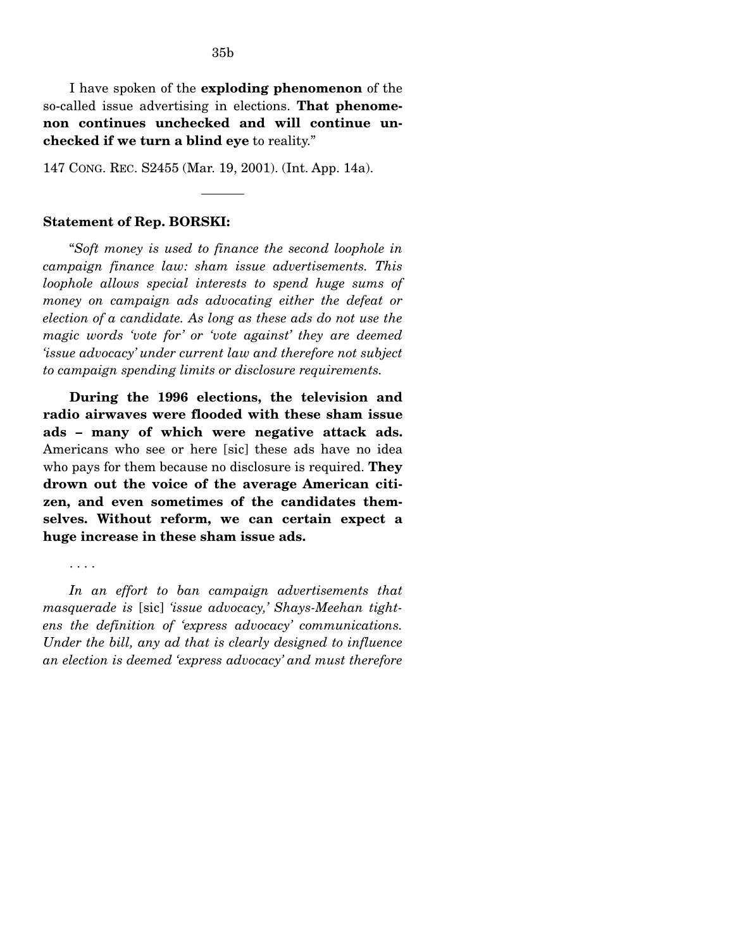I have spoken of the **exploding phenomenon** of the so-called issue advertising in elections. **That phenomenon continues unchecked and will continue unchecked if we turn a blind eye** to reality."

147 CONG. REC. S2455 (Mar. 19, 2001). (Int. App. 14a).

#### **Statement of Rep. BORSKI:**

"*Soft money is used to finance the second loophole in campaign finance law: sham issue advertisements. This loophole allows special interests to spend huge sums of money on campaign ads advocating either the defeat or election of a candidate. As long as these ads do not use the magic words 'vote for' or 'vote against' they are deemed 'issue advocacy' under current law and therefore not subject to campaign spending limits or disclosure requirements.* 

**During the 1996 elections, the television and radio airwaves were flooded with these sham issue ads – many of which were negative attack ads.**  Americans who see or here [sic] these ads have no idea who pays for them because no disclosure is required. **They drown out the voice of the average American citizen, and even sometimes of the candidates themselves. Without reform, we can certain expect a huge increase in these sham issue ads.** 

#### . . . .

*In an effort to ban campaign advertisements that masquerade is* [sic] *'issue advocacy,' Shays-Meehan tightens the definition of 'express advocacy' communications. Under the bill, any ad that is clearly designed to influence an election is deemed 'express advocacy' and must therefore*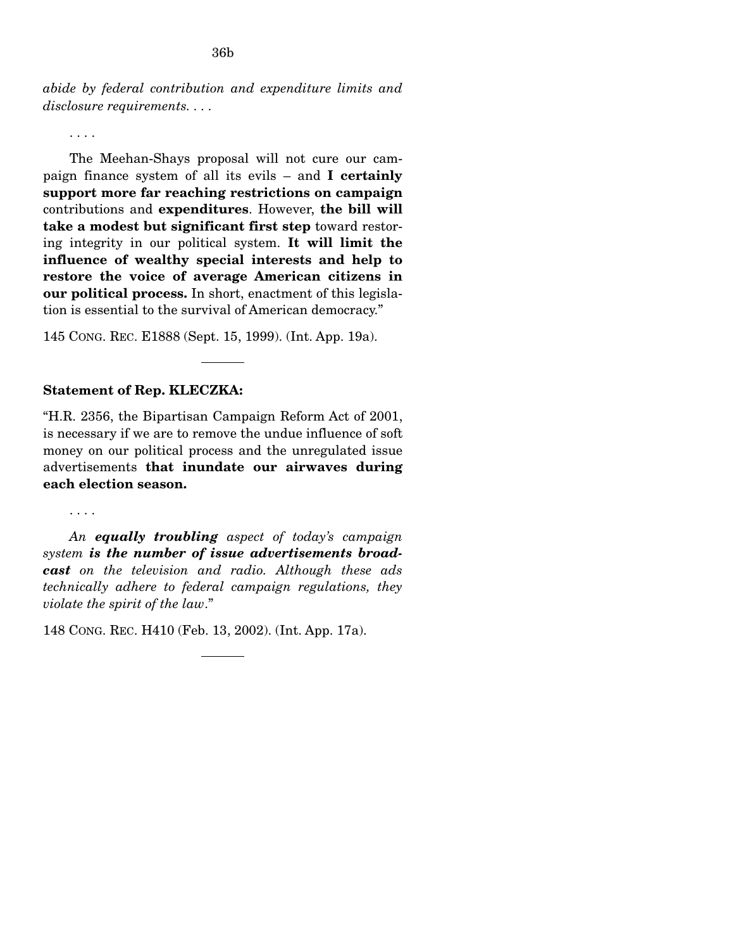*abide by federal contribution and expenditure limits and disclosure requirements. . . .* 

. . . .

The Meehan-Shays proposal will not cure our campaign finance system of all its evils – and **I certainly support more far reaching restrictions on campaign**  contributions and **expenditures**. However, **the bill will take a modest but significant first step** toward restoring integrity in our political system. **It will limit the influence of wealthy special interests and help to restore the voice of average American citizens in our political process.** In short, enactment of this legislation is essential to the survival of American democracy."

145 CONG. REC. E1888 (Sept. 15, 1999). (Int. App. 19a).

### **Statement of Rep. KLECZKA:**

"H.R. 2356, the Bipartisan Campaign Reform Act of 2001, is necessary if we are to remove the undue influence of soft money on our political process and the unregulated issue advertisements **that inundate our airwaves during each election season.** 

. . . .

*An equally troubling aspect of today's campaign system is the number of issue advertisements broadcast on the television and radio. Although these ads technically adhere to federal campaign regulations, they violate the spirit of the law*."

148 CONG. REC. H410 (Feb. 13, 2002). (Int. App. 17a).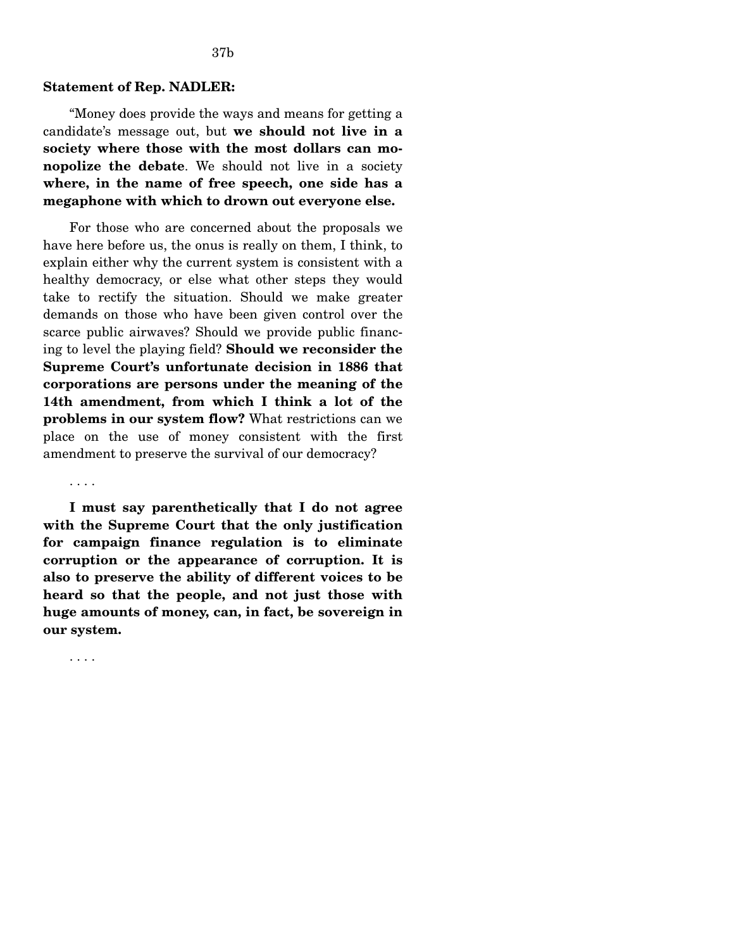#### **Statement of Rep. NADLER:**

"Money does provide the ways and means for getting a candidate's message out, but **we should not live in a society where those with the most dollars can monopolize the debate**. We should not live in a society **where, in the name of free speech, one side has a megaphone with which to drown out everyone else.** 

For those who are concerned about the proposals we have here before us, the onus is really on them, I think, to explain either why the current system is consistent with a healthy democracy, or else what other steps they would take to rectify the situation. Should we make greater demands on those who have been given control over the scarce public airwaves? Should we provide public financing to level the playing field? **Should we reconsider the Supreme Court's unfortunate decision in 1886 that corporations are persons under the meaning of the 14th amendment, from which I think a lot of the problems in our system flow?** What restrictions can we place on the use of money consistent with the first amendment to preserve the survival of our democracy?

. . . .

**I must say parenthetically that I do not agree with the Supreme Court that the only justification for campaign finance regulation is to eliminate corruption or the appearance of corruption. It is also to preserve the ability of different voices to be heard so that the people, and not just those with huge amounts of money, can, in fact, be sovereign in our system.** 

. . . .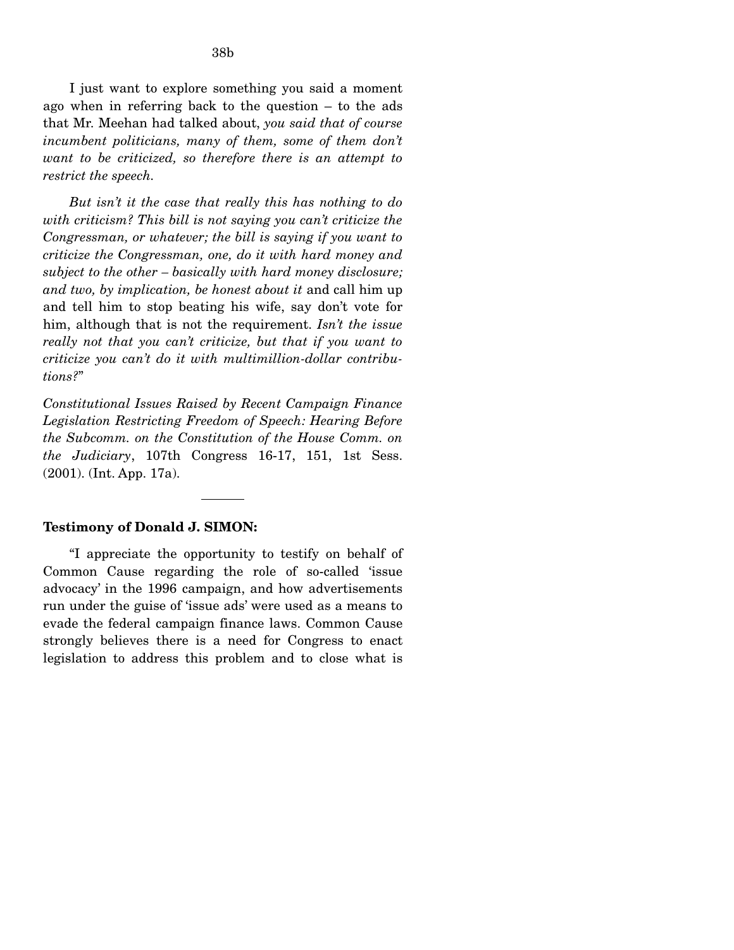I just want to explore something you said a moment ago when in referring back to the question – to the ads that Mr. Meehan had talked about, *you said that of course incumbent politicians, many of them, some of them don't want to be criticized, so therefore there is an attempt to restrict the speech.* 

*But isn't it the case that really this has nothing to do with criticism? This bill is not saying you can't criticize the Congressman, or whatever; the bill is saying if you want to criticize the Congressman, one, do it with hard money and subject to the other – basically with hard money disclosure; and two, by implication, be honest about it* and call him up and tell him to stop beating his wife, say don't vote for him, although that is not the requirement. *Isn't the issue really not that you can't criticize, but that if you want to criticize you can't do it with multimillion-dollar contributions?*"

*Constitutional Issues Raised by Recent Campaign Finance Legislation Restricting Freedom of Speech: Hearing Before the Subcomm. on the Constitution of the House Comm. on the Judiciary*, 107th Congress 16-17, 151, 1st Sess. (2001). (Int. App. 17a).

### **Testimony of Donald J. SIMON:**

"I appreciate the opportunity to testify on behalf of Common Cause regarding the role of so-called 'issue advocacy' in the 1996 campaign, and how advertisements run under the guise of 'issue ads' were used as a means to evade the federal campaign finance laws. Common Cause strongly believes there is a need for Congress to enact legislation to address this problem and to close what is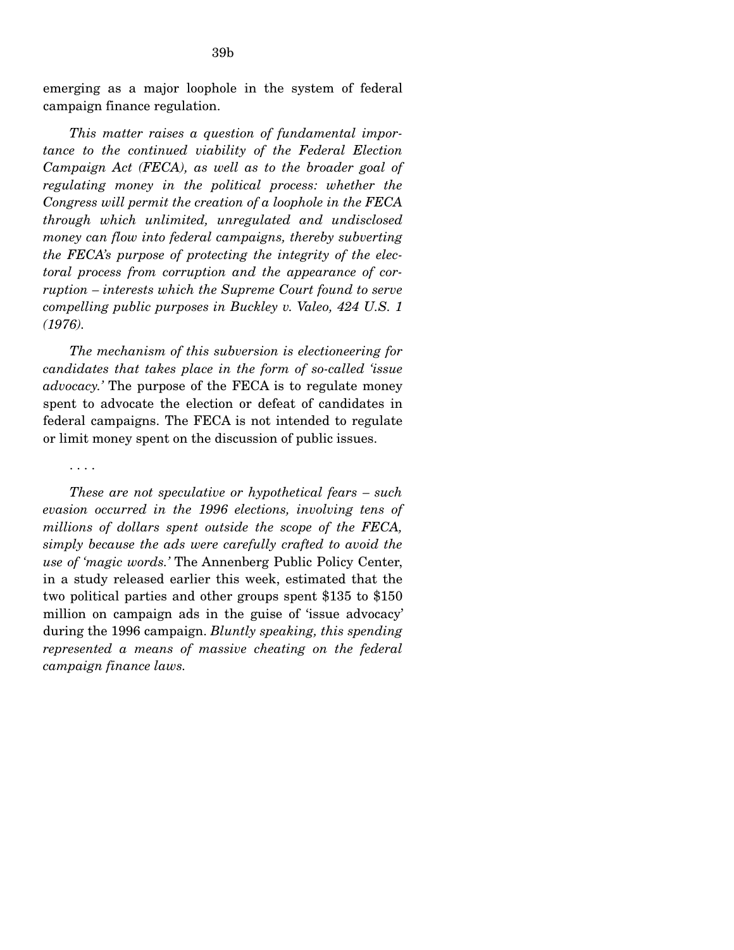emerging as a major loophole in the system of federal campaign finance regulation.

*This matter raises a question of fundamental importance to the continued viability of the Federal Election Campaign Act (FECA), as well as to the broader goal of regulating money in the political process: whether the Congress will permit the creation of a loophole in the FECA through which unlimited, unregulated and undisclosed money can flow into federal campaigns, thereby subverting the FECA's purpose of protecting the integrity of the electoral process from corruption and the appearance of corruption – interests which the Supreme Court found to serve compelling public purposes in Buckley v. Valeo, 424 U.S. 1 (1976).* 

*The mechanism of this subversion is electioneering for candidates that takes place in the form of so-called 'issue advocacy.'* The purpose of the FECA is to regulate money spent to advocate the election or defeat of candidates in federal campaigns. The FECA is not intended to regulate or limit money spent on the discussion of public issues.

#### . . . .

*These are not speculative or hypothetical fears – such evasion occurred in the 1996 elections, involving tens of millions of dollars spent outside the scope of the FECA, simply because the ads were carefully crafted to avoid the use of 'magic words.'* The Annenberg Public Policy Center, in a study released earlier this week, estimated that the two political parties and other groups spent \$135 to \$150 million on campaign ads in the guise of 'issue advocacy' during the 1996 campaign. *Bluntly speaking, this spending represented a means of massive cheating on the federal campaign finance laws.*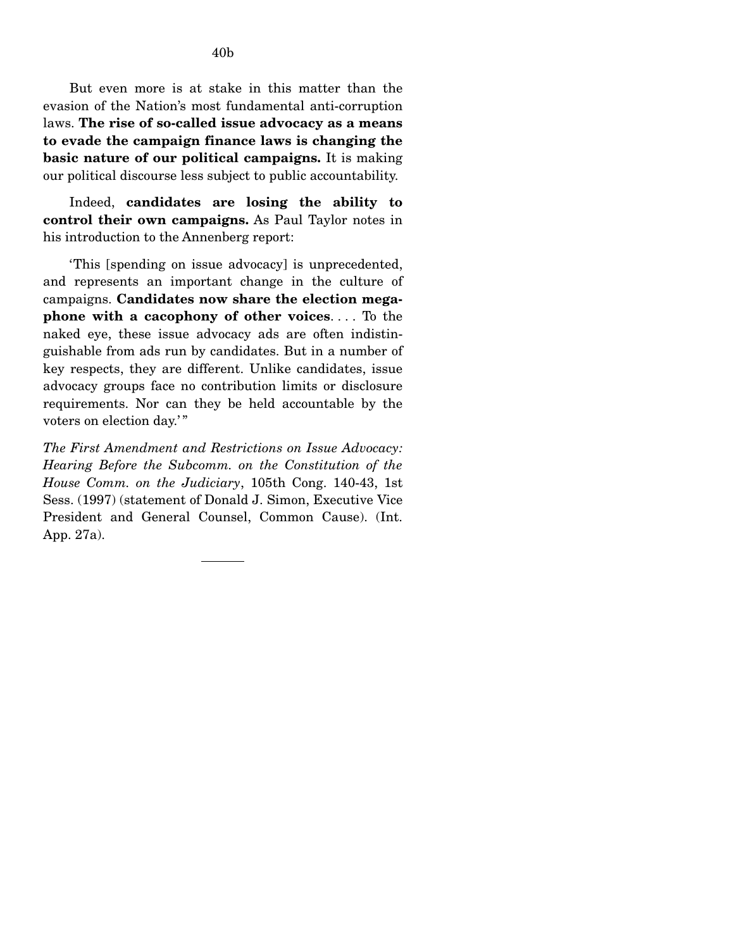But even more is at stake in this matter than the evasion of the Nation's most fundamental anti-corruption laws. **The rise of so-called issue advocacy as a means to evade the campaign finance laws is changing the basic nature of our political campaigns.** It is making our political discourse less subject to public accountability.

Indeed, **candidates are losing the ability to control their own campaigns.** As Paul Taylor notes in his introduction to the Annenberg report:

'This [spending on issue advocacy] is unprecedented, and represents an important change in the culture of campaigns. **Candidates now share the election megaphone with a cacophony of other voices**. . . . To the naked eye, these issue advocacy ads are often indistinguishable from ads run by candidates. But in a number of key respects, they are different. Unlike candidates, issue advocacy groups face no contribution limits or disclosure requirements. Nor can they be held accountable by the voters on election day.'"

*The First Amendment and Restrictions on Issue Advocacy: Hearing Before the Subcomm. on the Constitution of the House Comm. on the Judiciary*, 105th Cong. 140-43, 1st Sess. (1997) (statement of Donald J. Simon, Executive Vice President and General Counsel, Common Cause). (Int. App. 27a).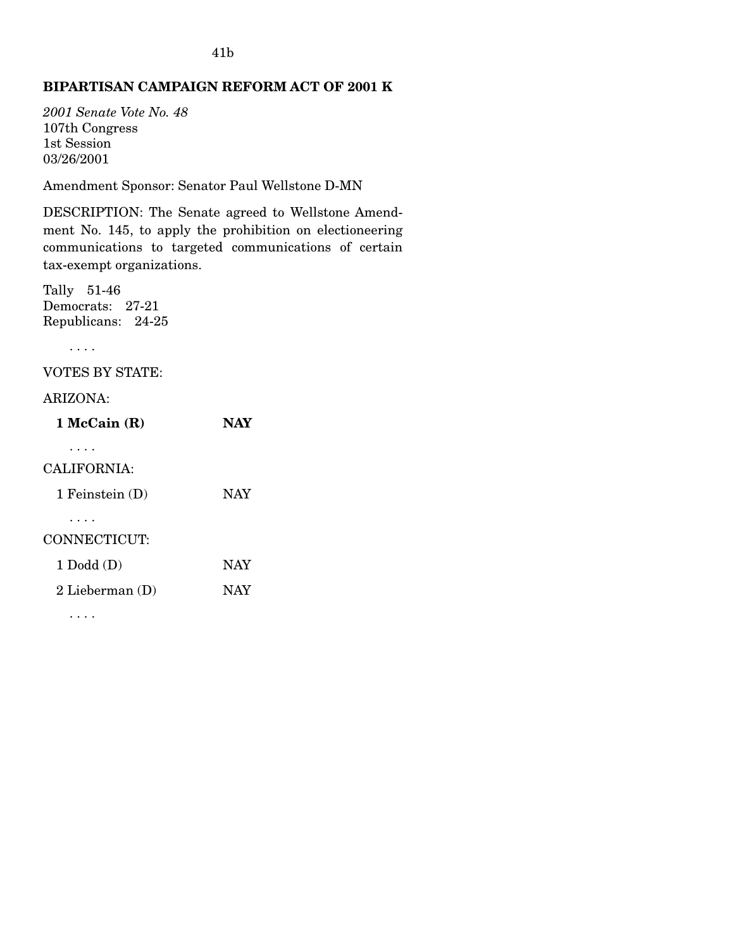# **BIPARTISAN CAMPAIGN REFORM ACT OF 2001 K**

*2001 Senate Vote No. 48*  107th Congress 1st Session 03/26/2001

Amendment Sponsor: Senator Paul Wellstone D-MN

DESCRIPTION: The Senate agreed to Wellstone Amendment No. 145, to apply the prohibition on electioneering communications to targeted communications of certain tax-exempt organizations.

Tally 51-46 Democrats: 27-21 Republicans: 24-25

. . . .

VOTES BY STATE:

## ARIZONA:

| $1$ McCain $(R)$                 | NAY        |
|----------------------------------|------------|
| CALIFORNIA:<br>1 Feinstein $(D)$ | <b>NAY</b> |
| CONNECTICUT:                     |            |
| $1$ Dodd $(D)$                   | <b>NAY</b> |
| 2 Lieberman $(D)$                | <b>NAY</b> |
|                                  |            |

. . . .